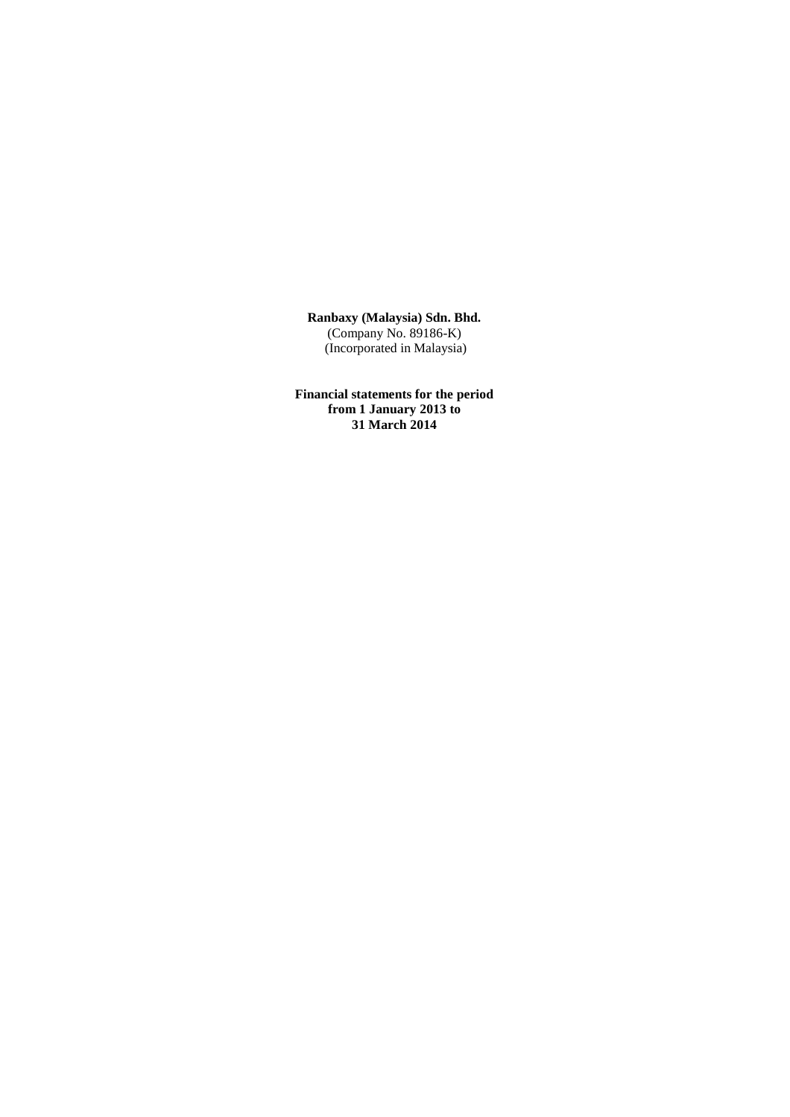**Ranbaxy (Malaysia) Sdn. Bhd.** (Company No. 89186-K) (Incorporated in Malaysia)

**Financial statements for the period from 1 January 2013 to 31 March 2014**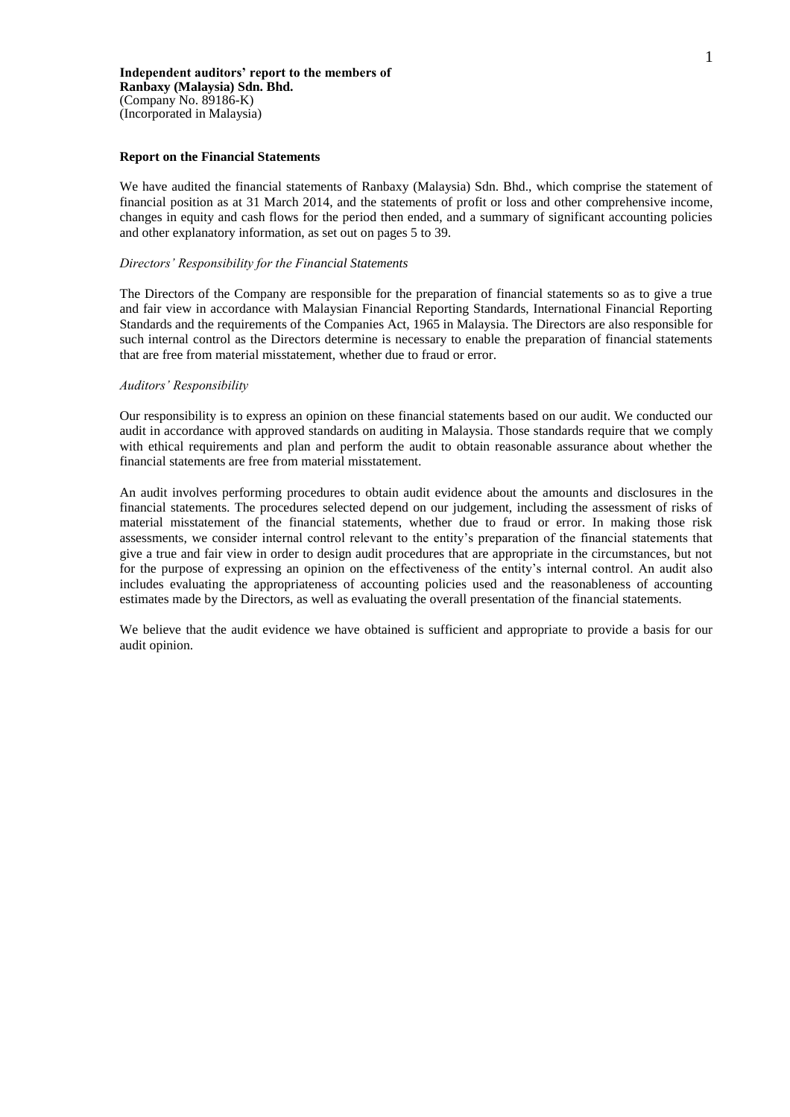#### **Report on the Financial Statements**

We have audited the financial statements of Ranbaxy (Malaysia) Sdn. Bhd., which comprise the statement of financial position as at 31 March 2014, and the statements of profit or loss and other comprehensive income, changes in equity and cash flows for the period then ended, and a summary of significant accounting policies and other explanatory information, as set out on pages 5 to 39.

#### *Directors' Responsibility for the Financial Statements*

The Directors of the Company are responsible for the preparation of financial statements so as to give a true and fair view in accordance with Malaysian Financial Reporting Standards, International Financial Reporting Standards and the requirements of the Companies Act, 1965 in Malaysia. The Directors are also responsible for such internal control as the Directors determine is necessary to enable the preparation of financial statements that are free from material misstatement, whether due to fraud or error.

#### *Auditors' Responsibility*

Our responsibility is to express an opinion on these financial statements based on our audit. We conducted our audit in accordance with approved standards on auditing in Malaysia. Those standards require that we comply with ethical requirements and plan and perform the audit to obtain reasonable assurance about whether the financial statements are free from material misstatement.

An audit involves performing procedures to obtain audit evidence about the amounts and disclosures in the financial statements. The procedures selected depend on our judgement, including the assessment of risks of material misstatement of the financial statements, whether due to fraud or error. In making those risk assessments, we consider internal control relevant to the entity's preparation of the financial statements that give a true and fair view in order to design audit procedures that are appropriate in the circumstances, but not for the purpose of expressing an opinion on the effectiveness of the entity's internal control. An audit also includes evaluating the appropriateness of accounting policies used and the reasonableness of accounting estimates made by the Directors, as well as evaluating the overall presentation of the financial statements.

We believe that the audit evidence we have obtained is sufficient and appropriate to provide a basis for our audit opinion.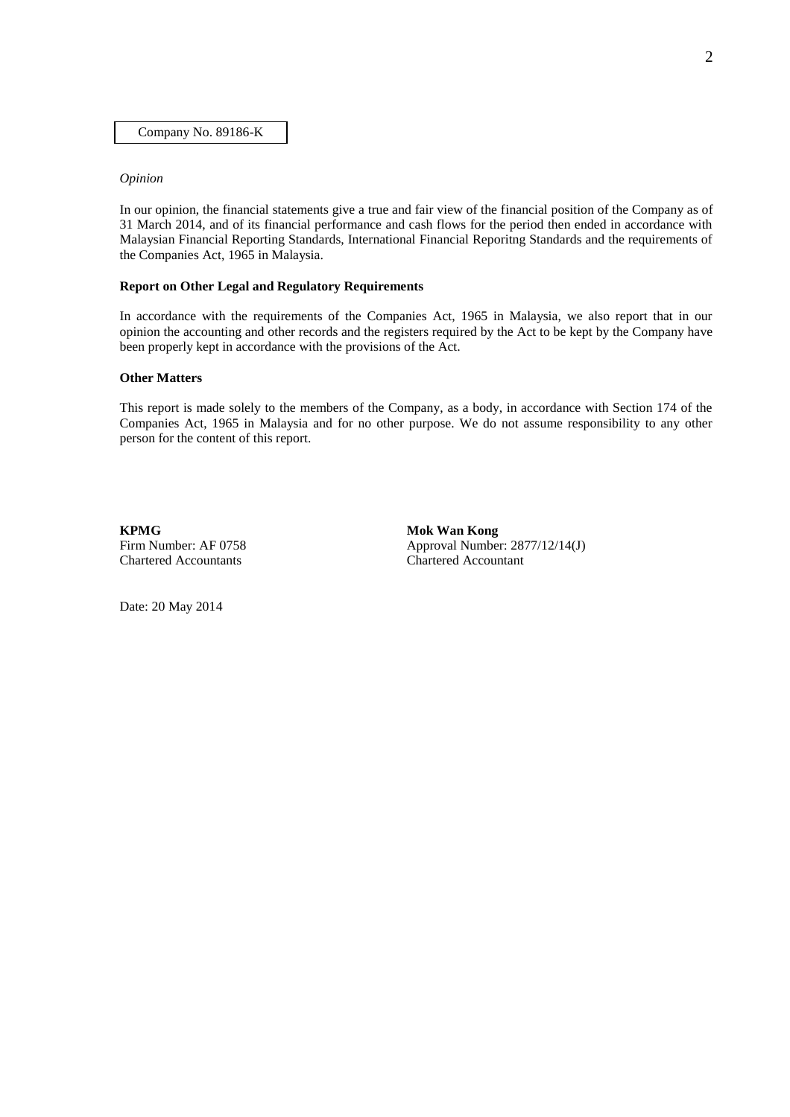# *Opinion*

In our opinion, the financial statements give a true and fair view of the financial position of the Company as of 31 March 2014, and of its financial performance and cash flows for the period then ended in accordance with Malaysian Financial Reporting Standards, International Financial Reporitng Standards and the requirements of the Companies Act, 1965 in Malaysia.

# **Report on Other Legal and Regulatory Requirements**

In accordance with the requirements of the Companies Act, 1965 in Malaysia, we also report that in our opinion the accounting and other records and the registers required by the Act to be kept by the Company have been properly kept in accordance with the provisions of the Act.

## **Other Matters**

This report is made solely to the members of the Company, as a body, in accordance with Section 174 of the Companies Act, 1965 in Malaysia and for no other purpose. We do not assume responsibility to any other person for the content of this report.

**KPMG Mok Wan Kong** Chartered Accountants Chartered Accountant

Firm Number: AF 0758 Approval Number: 2877/12/14(J)

Date: 20 May 2014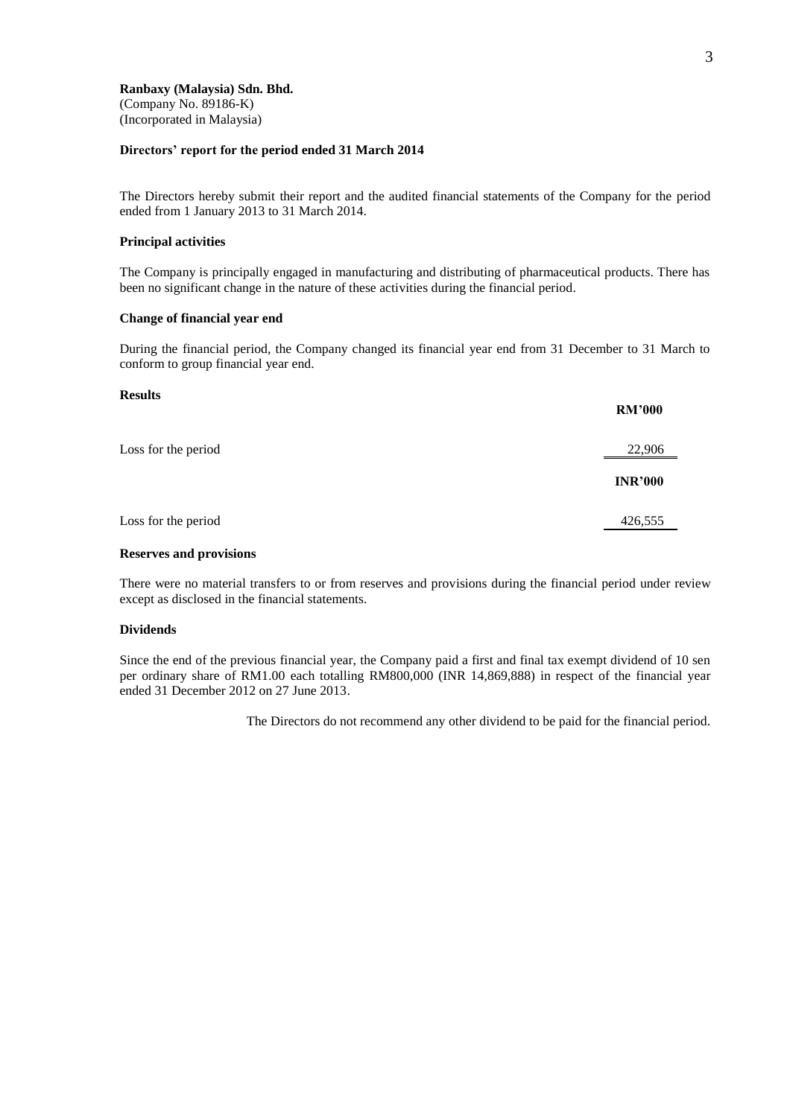**Ranbaxy (Malaysia) Sdn. Bhd.** (Company No. 89186-K) (Incorporated in Malaysia)

# **Directors' report for the period ended 31 March 2014**

The Directors hereby submit their report and the audited financial statements of the Company for the period ended from 1 January 2013 to 31 March 2014.

#### **Principal activities**

The Company is principally engaged in manufacturing and distributing of pharmaceutical products. There has been no significant change in the nature of these activities during the financial period.

## **Change of financial year end**

During the financial period, the Company changed its financial year end from 31 December to 31 March to conform to group financial year end.

#### **Results**

| <b>RM'000</b>  |
|----------------|
| 22,906         |
| <b>INR'000</b> |
| 426,555        |
|                |

## **Reserves and provisions**

There were no material transfers to or from reserves and provisions during the financial period under review except as disclosed in the financial statements.

#### **Dividends**

Since the end of the previous financial year, the Company paid a first and final tax exempt dividend of 10 sen per ordinary share of RM1.00 each totalling RM800,000 (INR 14,869,888) in respect of the financial year ended 31 December 2012 on 27 June 2013.

The Directors do not recommend any other dividend to be paid for the financial period.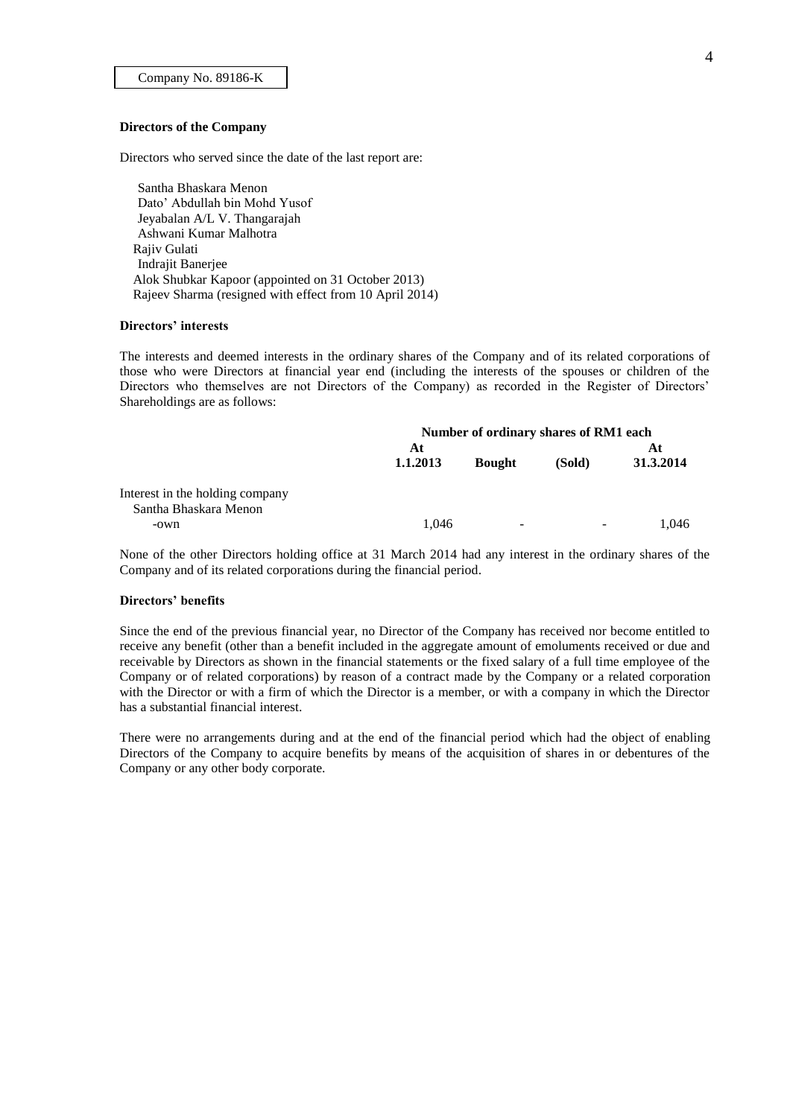#### **Directors of the Company**

Directors who served since the date of the last report are:

Santha Bhaskara Menon Dato' Abdullah bin Mohd Yusof Jeyabalan A/L V. Thangarajah Ashwani Kumar Malhotra Rajiv Gulati Indrajit Banerjee Alok Shubkar Kapoor (appointed on 31 October 2013) Rajeev Sharma (resigned with effect from 10 April 2014)

#### **Directors' interests**

The interests and deemed interests in the ordinary shares of the Company and of its related corporations of those who were Directors at financial year end (including the interests of the spouses or children of the Directors who themselves are not Directors of the Company) as recorded in the Register of Directors' Shareholdings are as follows:

|                                 | Number of ordinary shares of RM1 each |                          |        |           |
|---------------------------------|---------------------------------------|--------------------------|--------|-----------|
|                                 | At                                    |                          | At     |           |
|                                 | 1.1.2013                              | <b>Bought</b>            | (Sold) | 31.3.2014 |
| Interest in the holding company |                                       |                          |        |           |
| Santha Bhaskara Menon           |                                       |                          |        |           |
| -own                            | 1.046                                 | $\overline{\phantom{0}}$ | -      | 1.046     |

None of the other Directors holding office at 31 March 2014 had any interest in the ordinary shares of the Company and of its related corporations during the financial period.

#### **Directors' benefits**

Since the end of the previous financial year, no Director of the Company has received nor become entitled to receive any benefit (other than a benefit included in the aggregate amount of emoluments received or due and receivable by Directors as shown in the financial statements or the fixed salary of a full time employee of the Company or of related corporations) by reason of a contract made by the Company or a related corporation with the Director or with a firm of which the Director is a member, or with a company in which the Director has a substantial financial interest.

There were no arrangements during and at the end of the financial period which had the object of enabling Directors of the Company to acquire benefits by means of the acquisition of shares in or debentures of the Company or any other body corporate.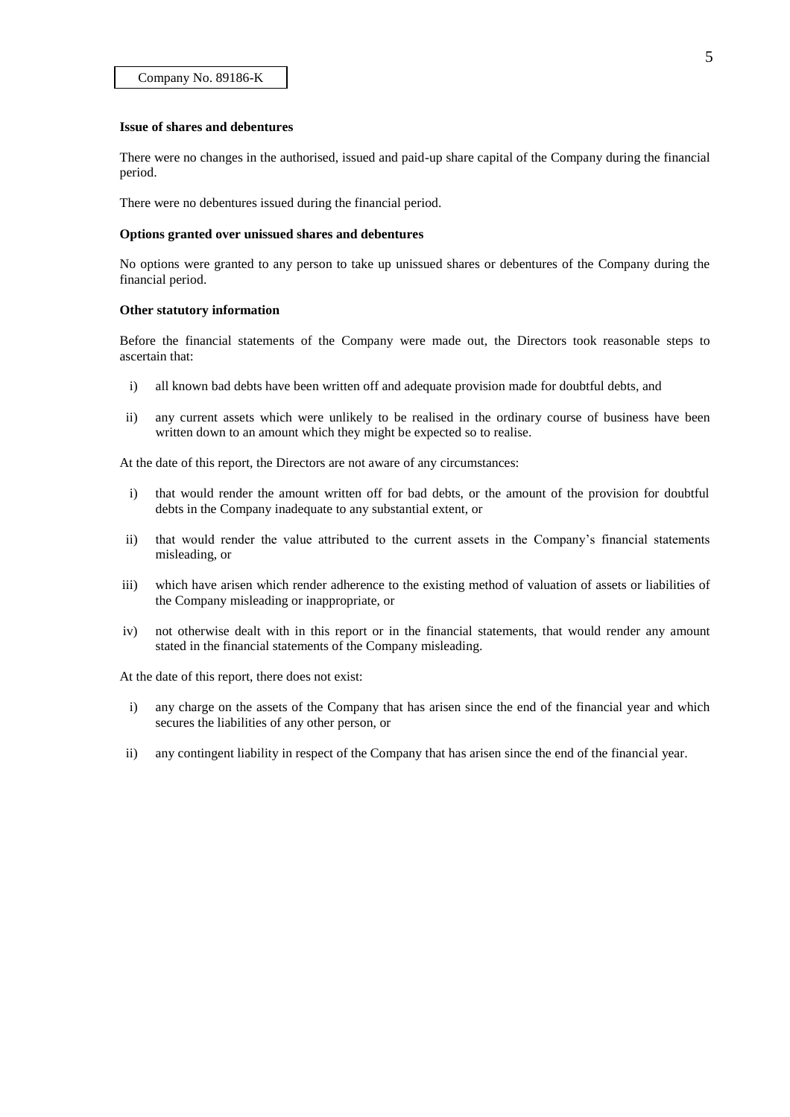#### **Issue of shares and debentures**

There were no changes in the authorised, issued and paid-up share capital of the Company during the financial period.

There were no debentures issued during the financial period.

#### **Options granted over unissued shares and debentures**

No options were granted to any person to take up unissued shares or debentures of the Company during the financial period.

## **Other statutory information**

Before the financial statements of the Company were made out, the Directors took reasonable steps to ascertain that:

- i) all known bad debts have been written off and adequate provision made for doubtful debts, and
- ii) any current assets which were unlikely to be realised in the ordinary course of business have been written down to an amount which they might be expected so to realise.

At the date of this report, the Directors are not aware of any circumstances:

- i) that would render the amount written off for bad debts, or the amount of the provision for doubtful debts in the Company inadequate to any substantial extent, or
- ii) that would render the value attributed to the current assets in the Company's financial statements misleading, or
- iii) which have arisen which render adherence to the existing method of valuation of assets or liabilities of the Company misleading or inappropriate, or
- iv) not otherwise dealt with in this report or in the financial statements, that would render any amount stated in the financial statements of the Company misleading.

At the date of this report, there does not exist:

- i) any charge on the assets of the Company that has arisen since the end of the financial year and which secures the liabilities of any other person, or
- ii) any contingent liability in respect of the Company that has arisen since the end of the financial year.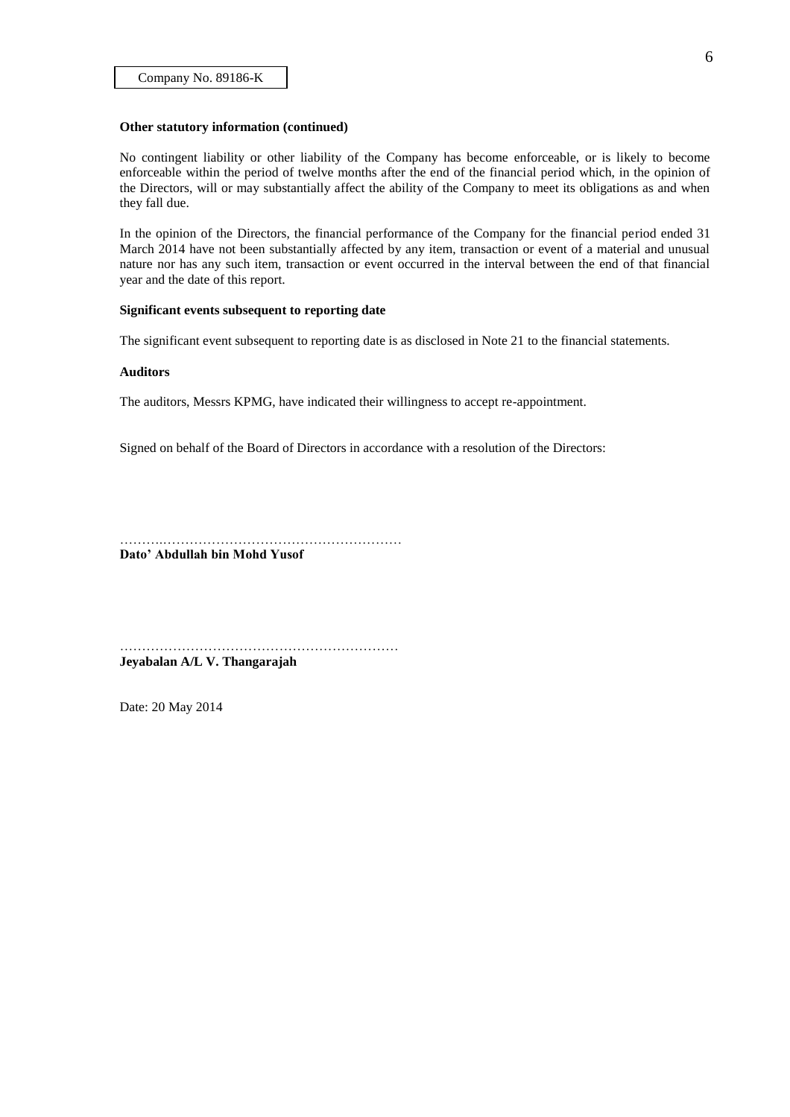## **Other statutory information (continued)**

No contingent liability or other liability of the Company has become enforceable, or is likely to become enforceable within the period of twelve months after the end of the financial period which, in the opinion of the Directors, will or may substantially affect the ability of the Company to meet its obligations as and when they fall due.

In the opinion of the Directors, the financial performance of the Company for the financial period ended 31 March 2014 have not been substantially affected by any item, transaction or event of a material and unusual nature nor has any such item, transaction or event occurred in the interval between the end of that financial year and the date of this report.

## **Significant events subsequent to reporting date**

The significant event subsequent to reporting date is as disclosed in Note 21 to the financial statements.

#### **Auditors**

The auditors, Messrs KPMG, have indicated their willingness to accept re-appointment.

Signed on behalf of the Board of Directors in accordance with a resolution of the Directors:

……….……………………………………………… **Dato' Abdullah bin Mohd Yusof**

……………………………………………………… **Jeyabalan A/L V. Thangarajah**

Date: 20 May 2014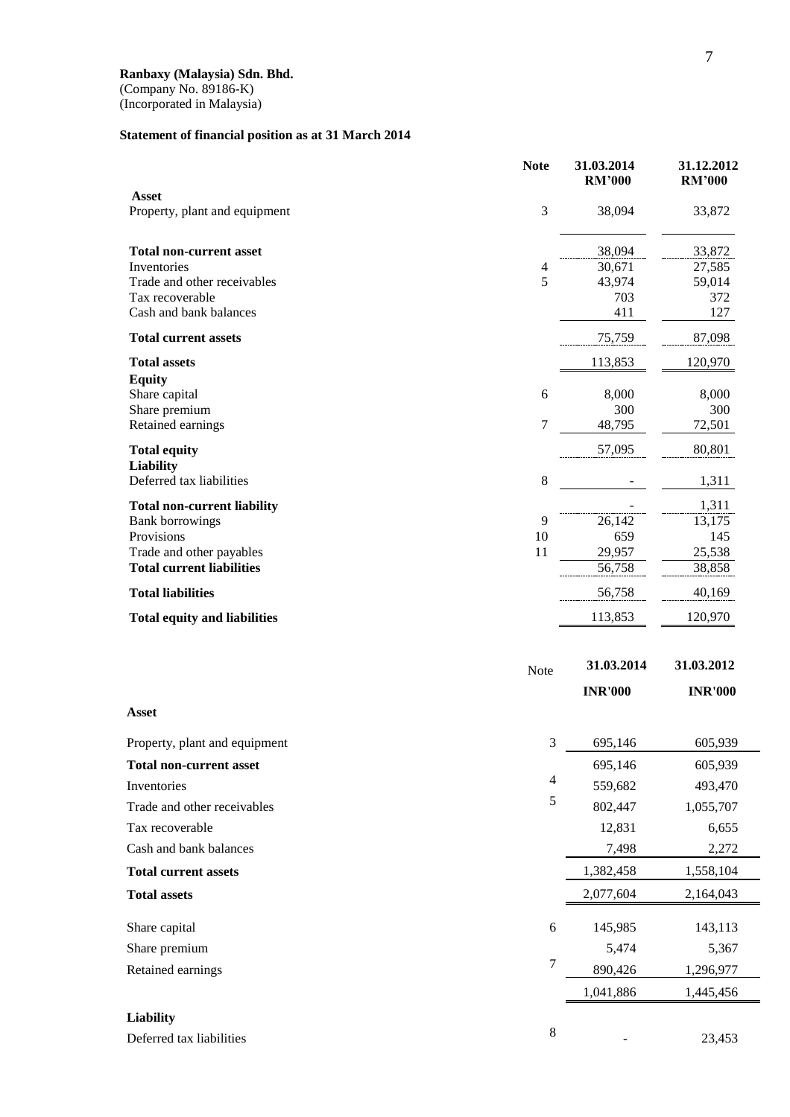# **Ranbaxy (Malaysia) Sdn. Bhd.**

(Company No. 89186-K) (Incorporated in Malaysia)

# **Statement of financial position as at 31 March 2014**

|                                               | <b>Note</b>    | 31.03.2014<br><b>RM'000</b>  | 31.12.2012<br><b>RM'000</b>  |
|-----------------------------------------------|----------------|------------------------------|------------------------------|
| <b>Asset</b><br>Property, plant and equipment | 3              | 38,094                       | 33,872                       |
| <b>Total non-current asset</b>                |                | 38,094                       | 33,872                       |
| Inventories                                   | 4              | 30,671                       | 27,585                       |
| Trade and other receivables                   | 5              | 43,974                       | 59,014                       |
| Tax recoverable<br>Cash and bank balances     |                | 703<br>411                   | 372<br>127                   |
| <b>Total current assets</b>                   |                | 75,759                       | 87,098                       |
| <b>Total assets</b>                           |                | 113,853                      | 120,970                      |
| <b>Equity</b><br>Share capital                | 6              | 8,000                        | 8,000                        |
| Share premium                                 |                | 300                          | 300                          |
| Retained earnings                             | 7              | 48,795                       | 72,501                       |
| <b>Total equity</b><br>Liability              |                | 57,095                       | 80,801                       |
| Deferred tax liabilities                      | 8              |                              | 1,311                        |
| <b>Total non-current liability</b>            |                |                              | 1,311                        |
| <b>Bank borrowings</b>                        | 9              | 26,142                       | 13,175                       |
| Provisions<br>Trade and other payables        | 10<br>11       | 659<br>29,957                | 145<br>25,538                |
| <b>Total current liabilities</b>              |                | 56,758                       | 38,858                       |
| <b>Total liabilities</b>                      |                | 56,758                       | 40,169                       |
| <b>Total equity and liabilities</b>           |                | 113,853                      | 120,970                      |
|                                               |                |                              |                              |
|                                               | Note           | 31.03.2014<br><b>INR'000</b> | 31.03.2012<br><b>INR'000</b> |
| Asset                                         |                |                              |                              |
| Property, plant and equipment                 | 3              | 695,146                      | 605,939                      |
| <b>Total non-current asset</b>                |                | 695,146                      | 605,939                      |
| Inventories                                   | $\overline{4}$ | 559,682                      | 493,470                      |
| Trade and other receivables                   | $\mathfrak s$  | 802,447                      | 1,055,707                    |
| Tax recoverable                               |                | 12,831                       | 6,655                        |
| Cash and bank balances                        |                | 7,498                        | 2,272                        |
| <b>Total current assets</b>                   |                | 1,382,458                    | 1,558,104                    |
| <b>Total assets</b>                           |                | 2,077,604                    | 2,164,043                    |
| Share capital                                 | $\sqrt{6}$     | 145,985                      | 143,113                      |
| Share premium                                 |                | 5,474                        | 5,367                        |
| Retained earnings                             | 7              | 890,426                      | 1,296,977                    |
|                                               |                | 1,041,886                    | 1,445,456                    |
| Liability                                     |                |                              |                              |
| Deferred tax liabilities                      | $\,8\,$        |                              | 23,453                       |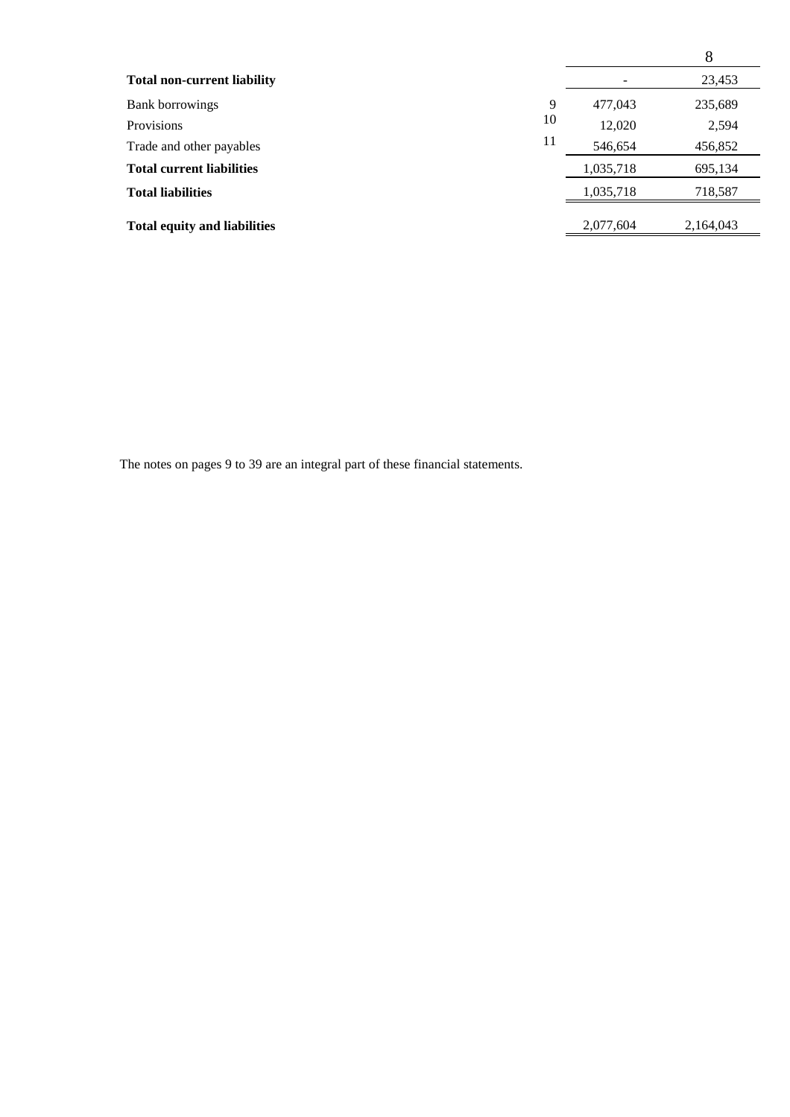|                                     |    |           | 8         |
|-------------------------------------|----|-----------|-----------|
| <b>Total non-current liability</b>  |    |           | 23,453    |
| <b>Bank borrowings</b>              | 9  | 477,043   | 235,689   |
| Provisions                          | 10 | 12,020    | 2,594     |
| Trade and other payables            | 11 | 546,654   | 456,852   |
| <b>Total current liabilities</b>    |    | 1,035,718 | 695,134   |
| <b>Total liabilities</b>            |    | 1,035,718 | 718,587   |
| <b>Total equity and liabilities</b> |    | 2,077,604 | 2,164,043 |
|                                     |    |           |           |

The notes on pages 9 to 39 are an integral part of these financial statements.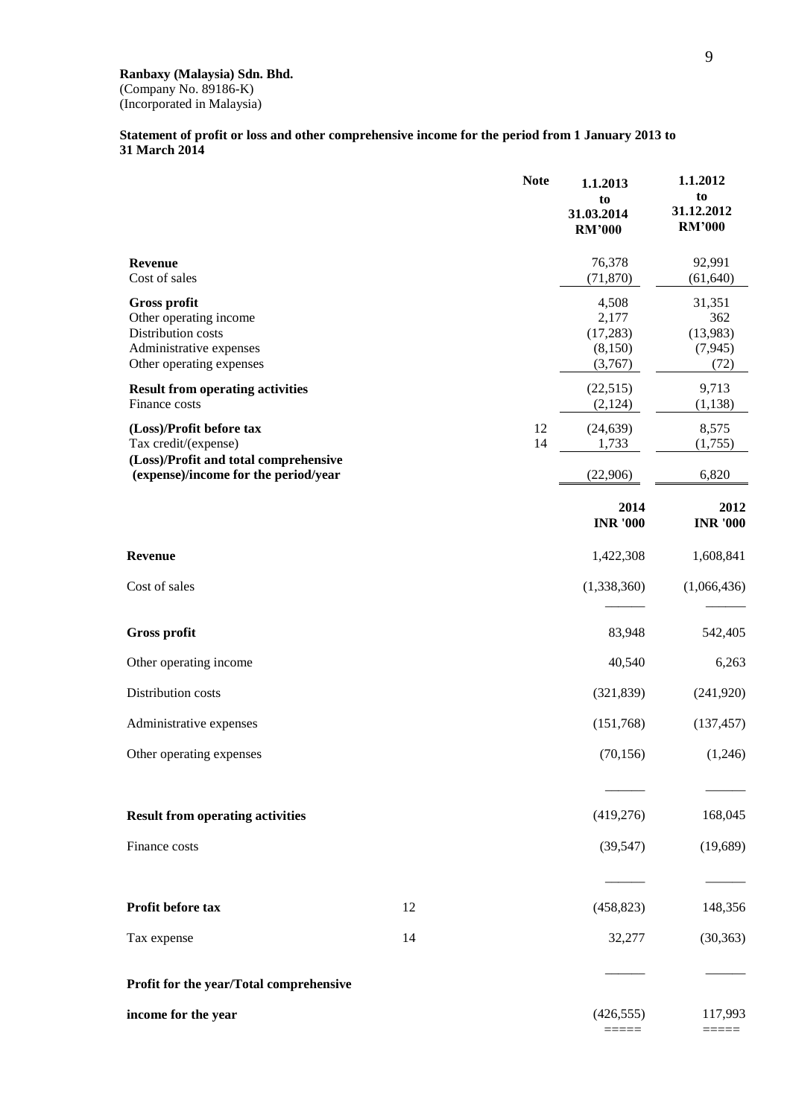## **Statement of profit or loss and other comprehensive income for the period from 1 January 2013 to 31 March 2014**

|                                                                                                                            |    | <b>Note</b> | 1.1.2013<br>to<br>31.03.2014<br><b>RM'000</b>     | 1.1.2012<br>to<br>31.12.2012<br><b>RM'000</b> |
|----------------------------------------------------------------------------------------------------------------------------|----|-------------|---------------------------------------------------|-----------------------------------------------|
| <b>Revenue</b><br>Cost of sales                                                                                            |    |             | 76,378<br>(71, 870)                               | 92,991<br>(61, 640)                           |
| <b>Gross profit</b><br>Other operating income<br>Distribution costs<br>Administrative expenses<br>Other operating expenses |    |             | 4,508<br>2,177<br>(17, 283)<br>(8,150)<br>(3,767) | 31,351<br>362<br>(13,983)<br>(7, 945)<br>(72) |
| <b>Result from operating activities</b><br>Finance costs                                                                   |    |             | (22, 515)<br>(2,124)                              | 9,713<br>(1, 138)                             |
| (Loss)/Profit before tax<br>Tax credit/(expense)                                                                           |    | 12<br>14    | (24, 639)<br>1,733                                | 8,575<br>(1,755)                              |
| (Loss)/Profit and total comprehensive<br>(expense)/income for the period/year                                              |    |             | (22,906)                                          | 6,820                                         |
|                                                                                                                            |    |             | 2014<br><b>INR '000</b>                           | 2012<br><b>INR '000</b>                       |
| Revenue                                                                                                                    |    |             | 1,422,308                                         | 1,608,841                                     |
| Cost of sales                                                                                                              |    |             | (1,338,360)                                       | (1,066,436)                                   |
| <b>Gross profit</b>                                                                                                        |    |             | 83,948                                            | 542,405                                       |
| Other operating income                                                                                                     |    |             | 40,540                                            | 6,263                                         |
| Distribution costs                                                                                                         |    |             | (321, 839)                                        | (241,920)                                     |
| Administrative expenses                                                                                                    |    |             | (151,768)                                         | (137, 457)                                    |
| Other operating expenses                                                                                                   |    |             | (70, 156)                                         | (1,246)                                       |
|                                                                                                                            |    |             |                                                   |                                               |
| <b>Result from operating activities</b>                                                                                    |    |             | (419, 276)                                        | 168,045                                       |
| Finance costs                                                                                                              |    |             | (39, 547)                                         | (19,689)                                      |
|                                                                                                                            |    |             |                                                   |                                               |
| Profit before tax                                                                                                          | 12 |             | (458, 823)                                        | 148,356                                       |
| Tax expense                                                                                                                | 14 |             | 32,277                                            | (30, 363)                                     |
| Profit for the year/Total comprehensive                                                                                    |    |             |                                                   |                                               |
| income for the year                                                                                                        |    |             | (426, 555)                                        | 117,993<br>=====                              |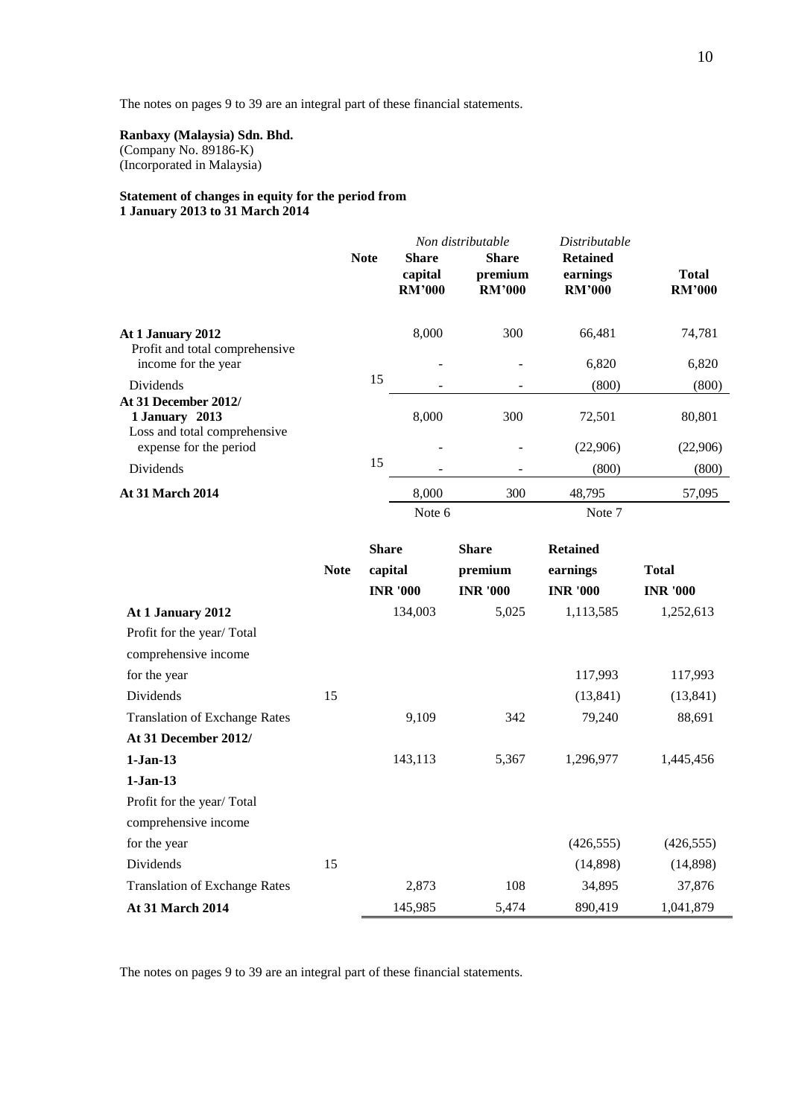**Ranbaxy (Malaysia) Sdn. Bhd.** (Company No. 89186-K) (Incorporated in Malaysia)

## **Statement of changes in equity for the period from 1 January 2013 to 31 March 2014**

|                                                     |             |                                          | Non distributable                        | Distributable                                |                               |
|-----------------------------------------------------|-------------|------------------------------------------|------------------------------------------|----------------------------------------------|-------------------------------|
|                                                     | <b>Note</b> | <b>Share</b><br>capital<br><b>RM'000</b> | <b>Share</b><br>premium<br><b>RM'000</b> | <b>Retained</b><br>earnings<br><b>RM'000</b> | <b>Total</b><br><b>RM'000</b> |
| At 1 January 2012<br>Profit and total comprehensive |             | 8,000                                    | 300                                      | 66,481                                       | 74,781                        |
| income for the year                                 |             |                                          |                                          | 6,820                                        | 6,820                         |
| Dividends                                           | 15          |                                          |                                          | (800)                                        | (800)                         |
| At 31 December 2012/                                |             |                                          |                                          |                                              |                               |
| 1 January 2013<br>Loss and total comprehensive      |             | 8,000                                    | 300                                      | 72,501                                       | 80,801                        |
| expense for the period                              |             |                                          |                                          | (22,906)                                     | (22,906)                      |
| Dividends                                           | 15          |                                          |                                          | (800)                                        | (800)                         |
| <b>At 31 March 2014</b>                             |             | 8,000                                    | 300                                      | 48,795                                       | 57,095                        |
|                                                     |             | Note 6                                   |                                          | Note 7                                       |                               |

|                                      |             | <b>Share</b>    | <b>Share</b>    | <b>Retained</b> |                 |
|--------------------------------------|-------------|-----------------|-----------------|-----------------|-----------------|
|                                      | <b>Note</b> | capital         | premium         | earnings        | <b>Total</b>    |
|                                      |             | <b>INR '000</b> | <b>INR '000</b> | <b>INR '000</b> | <b>INR '000</b> |
| At 1 January 2012                    |             | 134,003         | 5,025           | 1,113,585       | 1,252,613       |
| Profit for the year/Total            |             |                 |                 |                 |                 |
| comprehensive income                 |             |                 |                 |                 |                 |
| for the year                         |             |                 |                 | 117,993         | 117,993         |
| Dividends                            | 15          |                 |                 | (13, 841)       | (13, 841)       |
| <b>Translation of Exchange Rates</b> |             | 9,109           | 342             | 79,240          | 88,691          |
| At 31 December 2012/                 |             |                 |                 |                 |                 |
| $1-Jan-13$                           |             | 143,113         | 5,367           | 1,296,977       | 1,445,456       |
| $1-Jan-13$                           |             |                 |                 |                 |                 |
| Profit for the year/Total            |             |                 |                 |                 |                 |
| comprehensive income                 |             |                 |                 |                 |                 |
| for the year                         |             |                 |                 | (426, 555)      | (426, 555)      |
| Dividends                            | 15          |                 |                 | (14, 898)       | (14,898)        |
| <b>Translation of Exchange Rates</b> |             | 2,873           | 108             | 34,895          | 37,876          |
| <b>At 31 March 2014</b>              |             | 145,985         | 5,474           | 890,419         | 1,041,879       |

The notes on pages 9 to 39 are an integral part of these financial statements.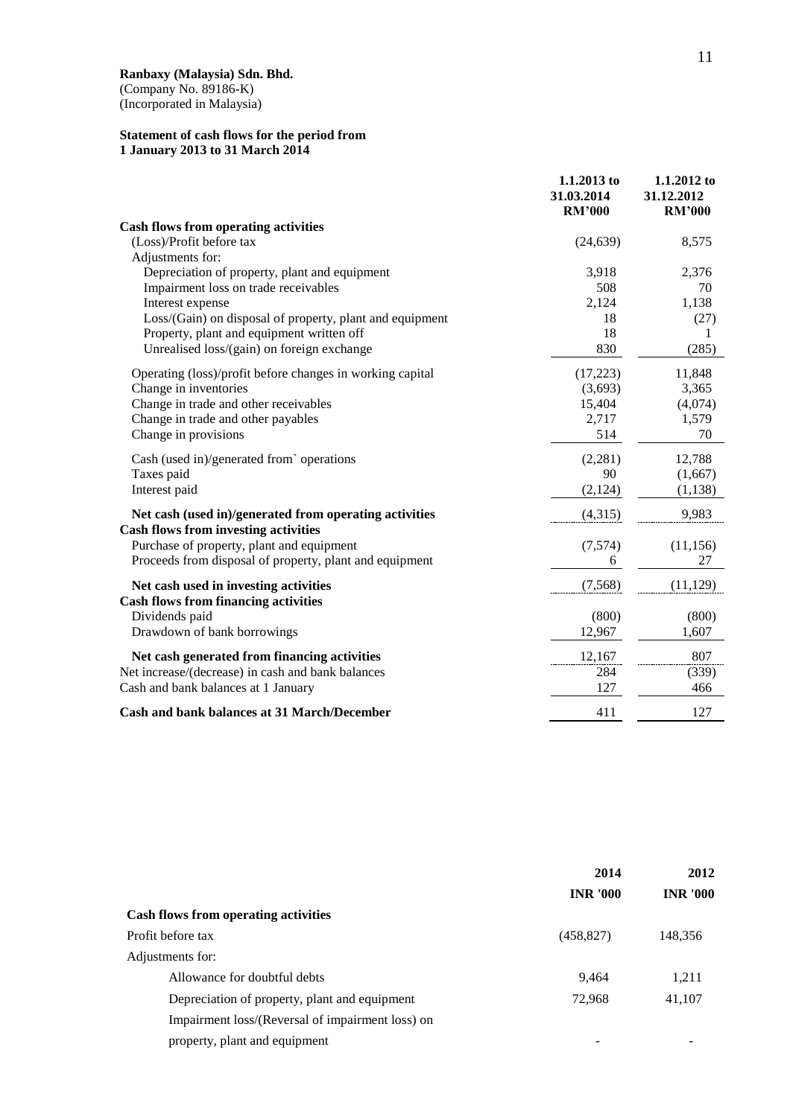**Ranbaxy (Malaysia) Sdn. Bhd.** (Company No. 89186-K) (Incorporated in Malaysia)

## **Statement of cash flows for the period from 1 January 2013 to 31 March 2014**

|                                                                                                       | 1.1.2013 to<br>31.03.2014<br><b>RM'000</b> | 1.1.2012 to<br>31.12.2012<br><b>RM'000</b> |
|-------------------------------------------------------------------------------------------------------|--------------------------------------------|--------------------------------------------|
| <b>Cash flows from operating activities</b>                                                           |                                            |                                            |
| (Loss)/Profit before tax                                                                              | (24, 639)                                  | 8,575                                      |
| Adjustments for:                                                                                      |                                            |                                            |
| Depreciation of property, plant and equipment                                                         | 3,918                                      | 2,376                                      |
| Impairment loss on trade receivables                                                                  | 508                                        | 70                                         |
| Interest expense                                                                                      | 2,124                                      | 1,138                                      |
| Loss/(Gain) on disposal of property, plant and equipment                                              | 18                                         | (27)                                       |
| Property, plant and equipment written off                                                             | 18                                         | 1                                          |
| Unrealised loss/(gain) on foreign exchange                                                            | 830                                        | (285)                                      |
| Operating (loss)/profit before changes in working capital                                             | (17,223)                                   | 11,848                                     |
| Change in inventories                                                                                 | (3,693)                                    | 3,365                                      |
| Change in trade and other receivables                                                                 | 15,404                                     | (4,074)                                    |
| Change in trade and other payables                                                                    | 2,717                                      | 1,579                                      |
| Change in provisions                                                                                  | 514                                        | 70                                         |
| Cash (used in)/generated from` operations                                                             | (2,281)                                    | 12,788                                     |
| Taxes paid                                                                                            | 90                                         | (1,667)                                    |
| Interest paid                                                                                         | (2,124)                                    | (1,138)                                    |
| Net cash (used in)/generated from operating activities<br><b>Cash flows from investing activities</b> | (4,315)                                    | 9,983                                      |
| Purchase of property, plant and equipment                                                             | (7,574)                                    | (11, 156)                                  |
| Proceeds from disposal of property, plant and equipment                                               | 6                                          | 27                                         |
| Net cash used in investing activities<br><b>Cash flows from financing activities</b>                  | (7, 568)                                   | (11, 129)                                  |
| Dividends paid                                                                                        | (800)                                      | (800)                                      |
| Drawdown of bank borrowings                                                                           | 12,967                                     | 1,607                                      |
| Net cash generated from financing activities                                                          | 12,167                                     | 807                                        |
| Net increase/(decrease) in cash and bank balances                                                     | 284                                        | (339)                                      |
| Cash and bank balances at 1 January                                                                   | 127                                        | 466                                        |
| Cash and bank balances at 31 March/December                                                           | 411                                        | 127                                        |

|                                                  | 2014            | 2012            |  |
|--------------------------------------------------|-----------------|-----------------|--|
|                                                  | <b>INR '000</b> | <b>INR '000</b> |  |
| Cash flows from operating activities             |                 |                 |  |
| Profit before tax                                | (458, 827)      | 148,356         |  |
| Adjustments for:                                 |                 |                 |  |
| Allowance for doubtful debts                     | 9.464           | 1.211           |  |
| Depreciation of property, plant and equipment    | 72,968          | 41,107          |  |
| Impairment loss/(Reversal of impairment loss) on |                 |                 |  |
| property, plant and equipment                    |                 |                 |  |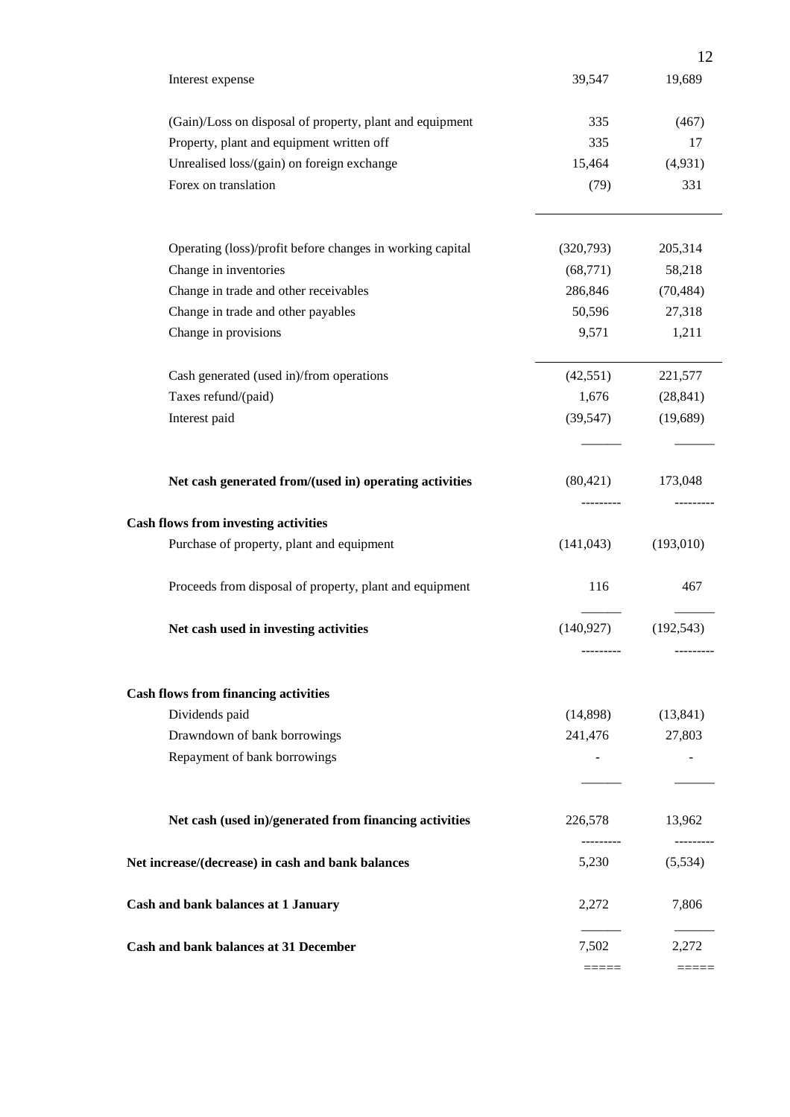|                                                           |                    | 14                      |
|-----------------------------------------------------------|--------------------|-------------------------|
| Interest expense                                          | 39,547             | 19,689                  |
| (Gain)/Loss on disposal of property, plant and equipment  | 335                | (467)                   |
| Property, plant and equipment written off                 | 335                | 17                      |
| Unrealised loss/(gain) on foreign exchange                | 15,464             | (4,931)                 |
| Forex on translation                                      | (79)               | 331                     |
| Operating (loss)/profit before changes in working capital | (320,793)          | 205,314                 |
| Change in inventories                                     | (68,771)           | 58,218                  |
| Change in trade and other receivables                     | 286,846            | (70, 484)               |
| Change in trade and other payables                        | 50,596             | 27,318                  |
| Change in provisions                                      | 9,571              | 1,211                   |
| Cash generated (used in)/from operations                  | (42,551)           | 221,577                 |
| Taxes refund/(paid)                                       | 1,676              | (28, 841)               |
| Interest paid                                             | (39, 547)          | (19,689)                |
| Net cash generated from/(used in) operating activities    |                    | $(80,421)$ 173,048      |
|                                                           |                    |                         |
| <b>Cash flows from investing activities</b>               |                    |                         |
| Purchase of property, plant and equipment                 | (141, 043)         | (193,010)               |
| Proceeds from disposal of property, plant and equipment   | 116                | 467                     |
| Net cash used in investing activities                     |                    | $(140,927)$ $(192,543)$ |
|                                                           |                    |                         |
| <b>Cash flows from financing activities</b>               |                    |                         |
| Dividends paid                                            | (14,898)           | (13, 841)               |
| Drawndown of bank borrowings                              | 241,476            | 27,803                  |
| Repayment of bank borrowings                              |                    |                         |
| Net cash (used in)/generated from financing activities    | 226,578            | 13,962                  |
| Net increase/(decrease) in cash and bank balances         | ---------<br>5,230 | (5,534)                 |
| Cash and bank balances at 1 January                       | 2,272              | 7,806                   |
| Cash and bank balances at 31 December                     | 7,502              | 2,272                   |
|                                                           |                    |                         |

 $12$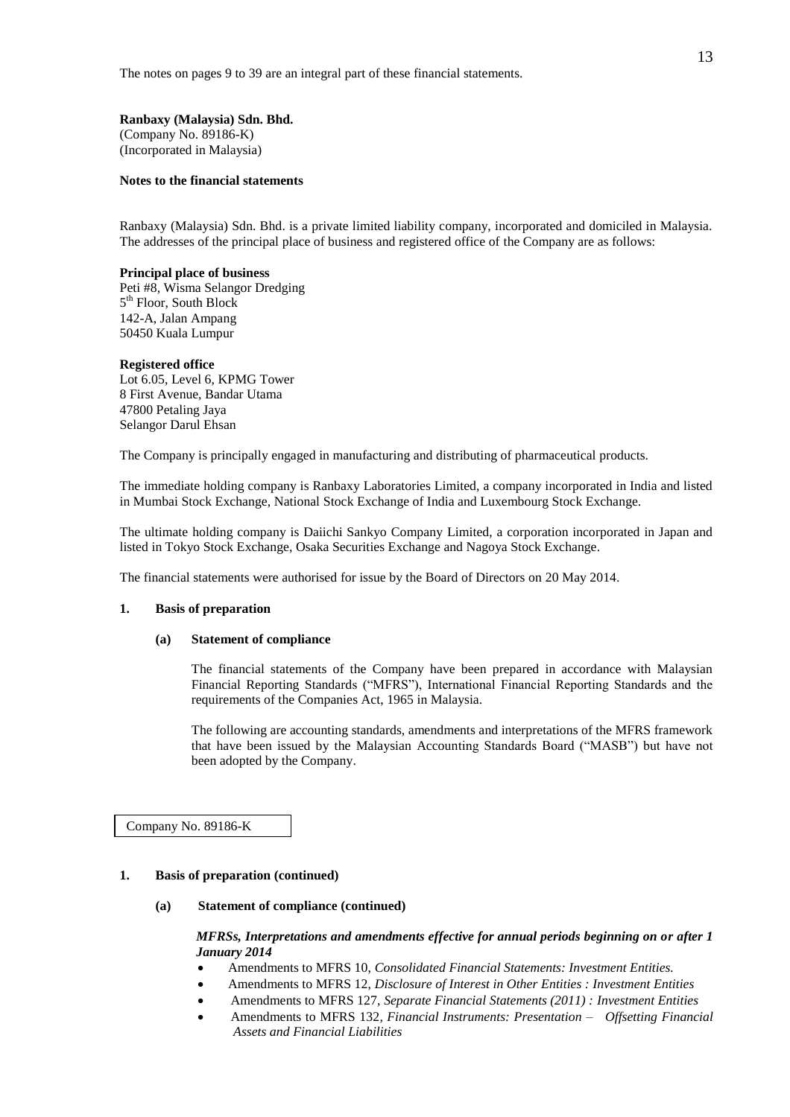The notes on pages 9 to 39 are an integral part of these financial statements.

**Ranbaxy (Malaysia) Sdn. Bhd.** (Company No. 89186-K) (Incorporated in Malaysia)

## **Notes to the financial statements**

Ranbaxy (Malaysia) Sdn. Bhd. is a private limited liability company, incorporated and domiciled in Malaysia. The addresses of the principal place of business and registered office of the Company are as follows:

# **Principal place of business**

Peti #8, Wisma Selangor Dredging 5<sup>th</sup> Floor, South Block 142-A, Jalan Ampang 50450 Kuala Lumpur

# **Registered office**

Lot 6.05, Level 6, KPMG Tower 8 First Avenue, Bandar Utama 47800 Petaling Jaya Selangor Darul Ehsan

The Company is principally engaged in manufacturing and distributing of pharmaceutical products.

The immediate holding company is Ranbaxy Laboratories Limited, a company incorporated in India and listed in Mumbai Stock Exchange, National Stock Exchange of India and Luxembourg Stock Exchange.

The ultimate holding company is Daiichi Sankyo Company Limited, a corporation incorporated in Japan and listed in Tokyo Stock Exchange, Osaka Securities Exchange and Nagoya Stock Exchange.

The financial statements were authorised for issue by the Board of Directors on 20 May 2014.

# **1. Basis of preparation**

#### **(a) Statement of compliance**

The financial statements of the Company have been prepared in accordance with Malaysian Financial Reporting Standards ("MFRS"), International Financial Reporting Standards and the requirements of the Companies Act, 1965 in Malaysia.

The following are accounting standards, amendments and interpretations of the MFRS framework that have been issued by the Malaysian Accounting Standards Board ("MASB") but have not been adopted by the Company.

Company No. 89186-K

#### **1. Basis of preparation (continued)**

#### **(a) Statement of compliance (continued)**

*MFRSs, Interpretations and amendments effective for annual periods beginning on or after 1 January 2014*

- Amendments to MFRS 10, *Consolidated Financial Statements: Investment Entities.*
- Amendments to MFRS 12, *Disclosure of Interest in Other Entities : Investment Entities*
- Amendments to MFRS 127, *Separate Financial Statements (2011) : Investment Entities*
- Amendments to MFRS 132*, Financial Instruments: Presentation Offsetting Financial Assets and Financial Liabilities*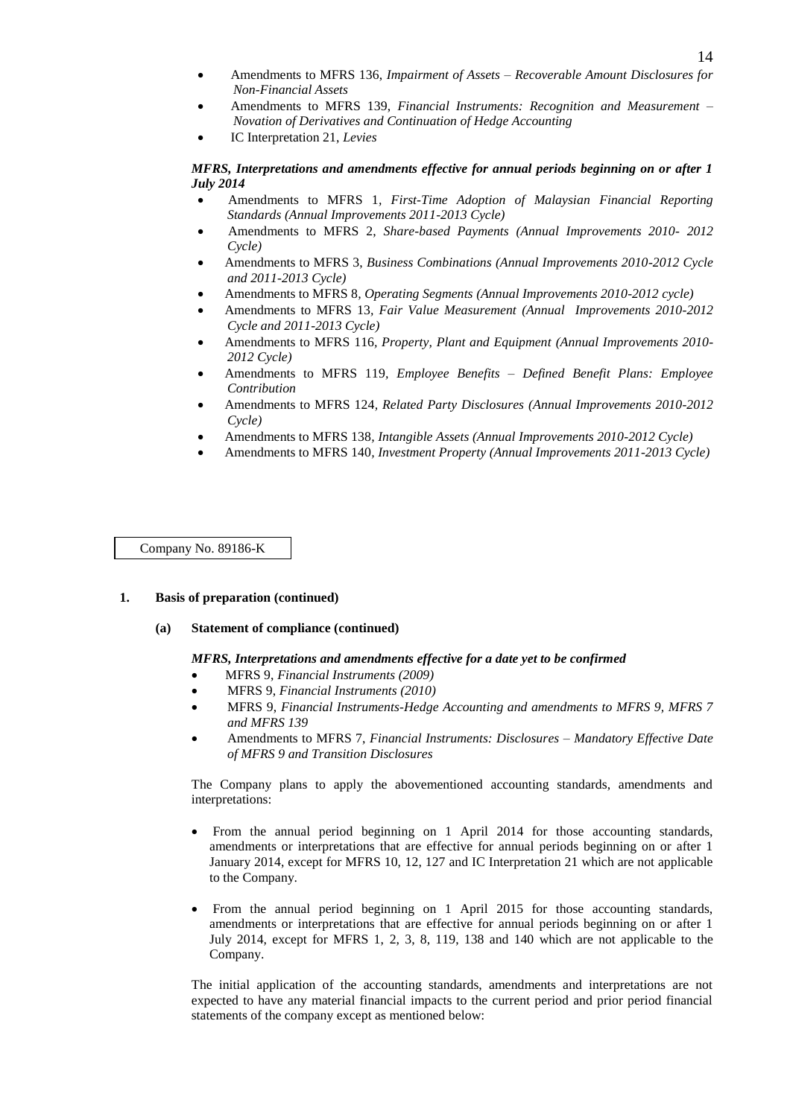- Amendments to MFRS 136, *Impairment of Assets – Recoverable Amount Disclosures for Non-Financial Assets*
- Amendments to MFRS 139, *Financial Instruments: Recognition and Measurement – Novation of Derivatives and Continuation of Hedge Accounting*
- IC Interpretation 21, *Levies*

*MFRS, Interpretations and amendments effective for annual periods beginning on or after 1 July 2014*

- Amendments to MFRS 1*, First-Time Adoption of Malaysian Financial Reporting Standards (Annual Improvements 2011-2013 Cycle)*
- Amendments to MFRS 2, *Share-based Payments (Annual Improvements 2010- 2012 Cycle)*
- Amendments to MFRS 3, *Business Combinations (Annual Improvements 2010-2012 Cycle and 2011-2013 Cycle)*
- Amendments to MFRS 8*, Operating Segments (Annual Improvements 2010-2012 cycle)*
- Amendments to MFRS 13*, Fair Value Measurement (Annual Improvements 2010-2012 Cycle and 2011-2013 Cycle)*
- Amendments to MFRS 116*, Property, Plant and Equipment (Annual Improvements 2010- 2012 Cycle)*
- Amendments to MFRS 119*, Employee Benefits – Defined Benefit Plans: Employee Contribution*
- Amendments to MFRS 124*, Related Party Disclosures (Annual Improvements 2010-2012 Cycle)*
- Amendments to MFRS 138*, Intangible Assets (Annual Improvements 2010-2012 Cycle)*
- Amendments to MFRS 140*, Investment Property (Annual Improvements 2011-2013 Cycle)*

Company No. 89186-K

# **1. Basis of preparation (continued)**

**(a) Statement of compliance (continued)**

## *MFRS, Interpretations and amendments effective for a date yet to be confirmed*

- MFRS 9, *Financial Instruments (2009)*
- MFRS 9, *Financial Instruments (2010)*
- MFRS 9, *Financial Instruments-Hedge Accounting and amendments to MFRS 9, MFRS 7 and MFRS 139*
- Amendments to MFRS 7, *Financial Instruments: Disclosures – Mandatory Effective Date of MFRS 9 and Transition Disclosures*

The Company plans to apply the abovementioned accounting standards, amendments and interpretations:

- From the annual period beginning on 1 April 2014 for those accounting standards, amendments or interpretations that are effective for annual periods beginning on or after 1 January 2014, except for MFRS 10, 12, 127 and IC Interpretation 21 which are not applicable to the Company.
- From the annual period beginning on 1 April 2015 for those accounting standards, amendments or interpretations that are effective for annual periods beginning on or after 1 July 2014, except for MFRS 1, 2, 3, 8, 119, 138 and 140 which are not applicable to the Company.

The initial application of the accounting standards, amendments and interpretations are not expected to have any material financial impacts to the current period and prior period financial statements of the company except as mentioned below: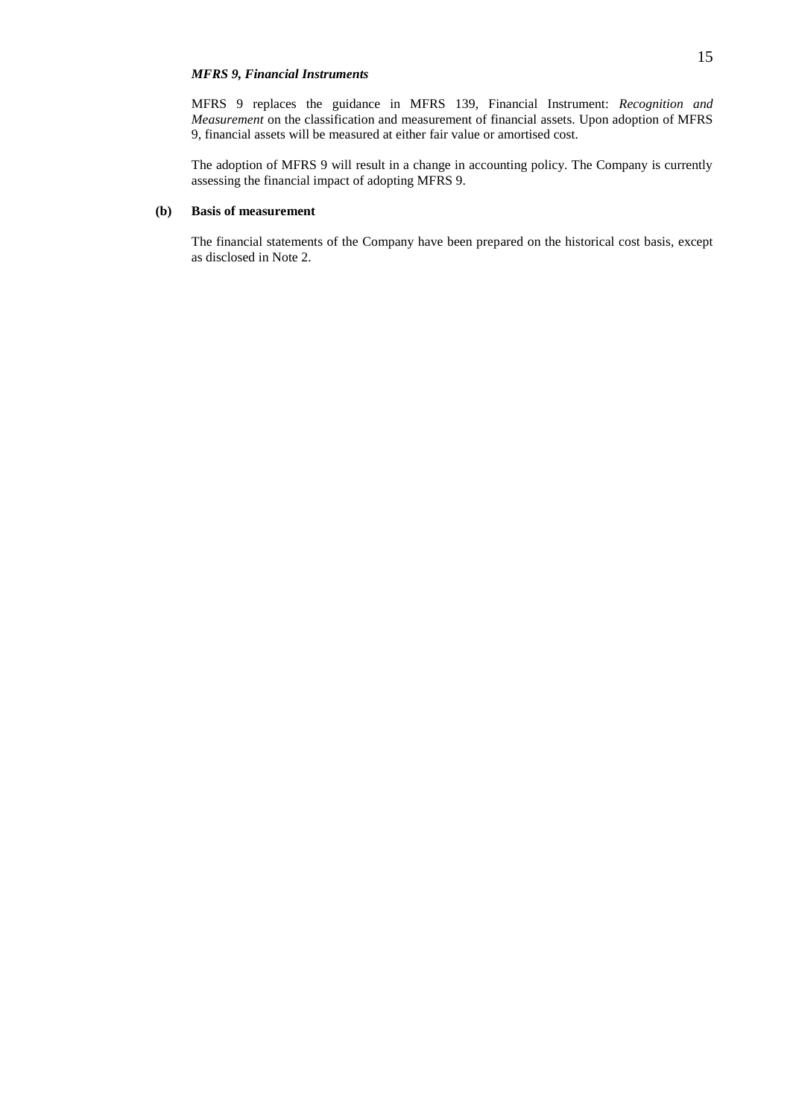#### *MFRS 9, Financial Instruments*

MFRS 9 replaces the guidance in MFRS 139, Financial Instrument: *Recognition and Measurement* on the classification and measurement of financial assets. Upon adoption of MFRS 9, financial assets will be measured at either fair value or amortised cost.

The adoption of MFRS 9 will result in a change in accounting policy. The Company is currently assessing the financial impact of adopting MFRS 9.

## **(b) Basis of measurement**

The financial statements of the Company have been prepared on the historical cost basis, except as disclosed in Note 2.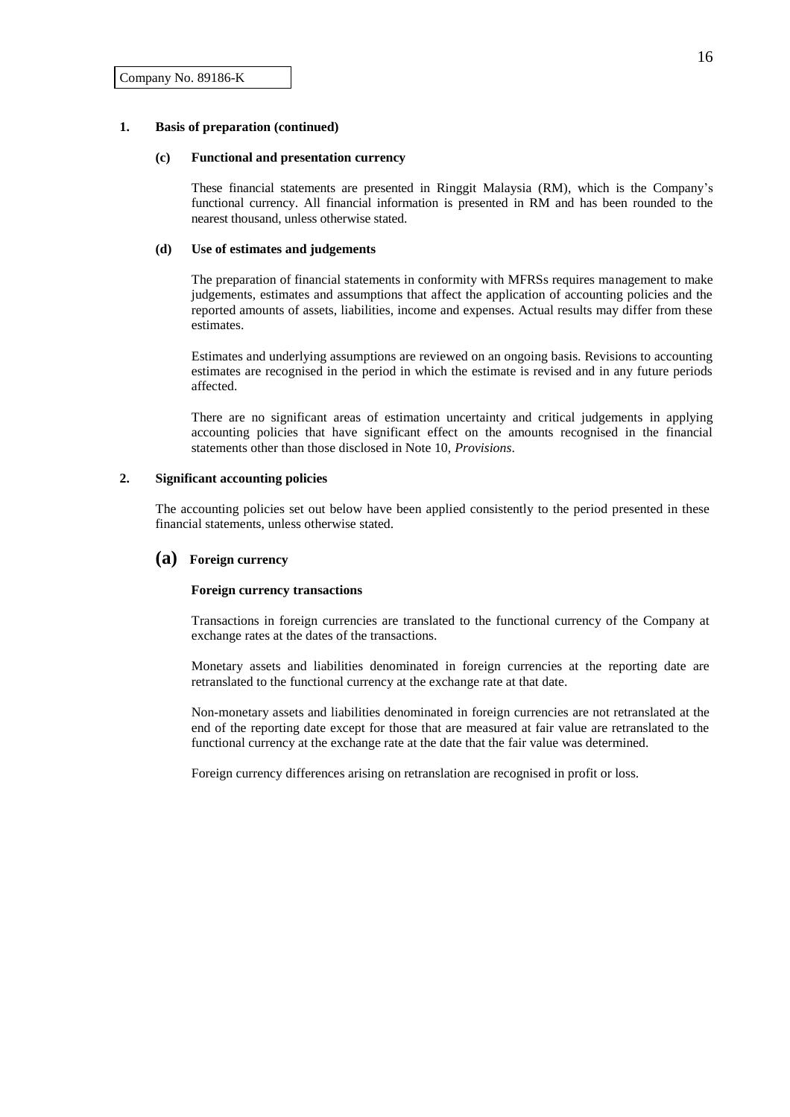## **1. Basis of preparation (continued)**

#### **(c) Functional and presentation currency**

These financial statements are presented in Ringgit Malaysia (RM), which is the Company's functional currency. All financial information is presented in RM and has been rounded to the nearest thousand, unless otherwise stated.

## **(d) Use of estimates and judgements**

The preparation of financial statements in conformity with MFRSs requires management to make judgements, estimates and assumptions that affect the application of accounting policies and the reported amounts of assets, liabilities, income and expenses. Actual results may differ from these estimates.

Estimates and underlying assumptions are reviewed on an ongoing basis. Revisions to accounting estimates are recognised in the period in which the estimate is revised and in any future periods affected.

There are no significant areas of estimation uncertainty and critical judgements in applying accounting policies that have significant effect on the amounts recognised in the financial statements other than those disclosed in Note 10, *Provisions*.

# **2. Significant accounting policies**

The accounting policies set out below have been applied consistently to the period presented in these financial statements, unless otherwise stated.

## **(a) Foreign currency**

#### **Foreign currency transactions**

Transactions in foreign currencies are translated to the functional currency of the Company at exchange rates at the dates of the transactions.

Monetary assets and liabilities denominated in foreign currencies at the reporting date are retranslated to the functional currency at the exchange rate at that date.

Non-monetary assets and liabilities denominated in foreign currencies are not retranslated at the end of the reporting date except for those that are measured at fair value are retranslated to the functional currency at the exchange rate at the date that the fair value was determined.

Foreign currency differences arising on retranslation are recognised in profit or loss.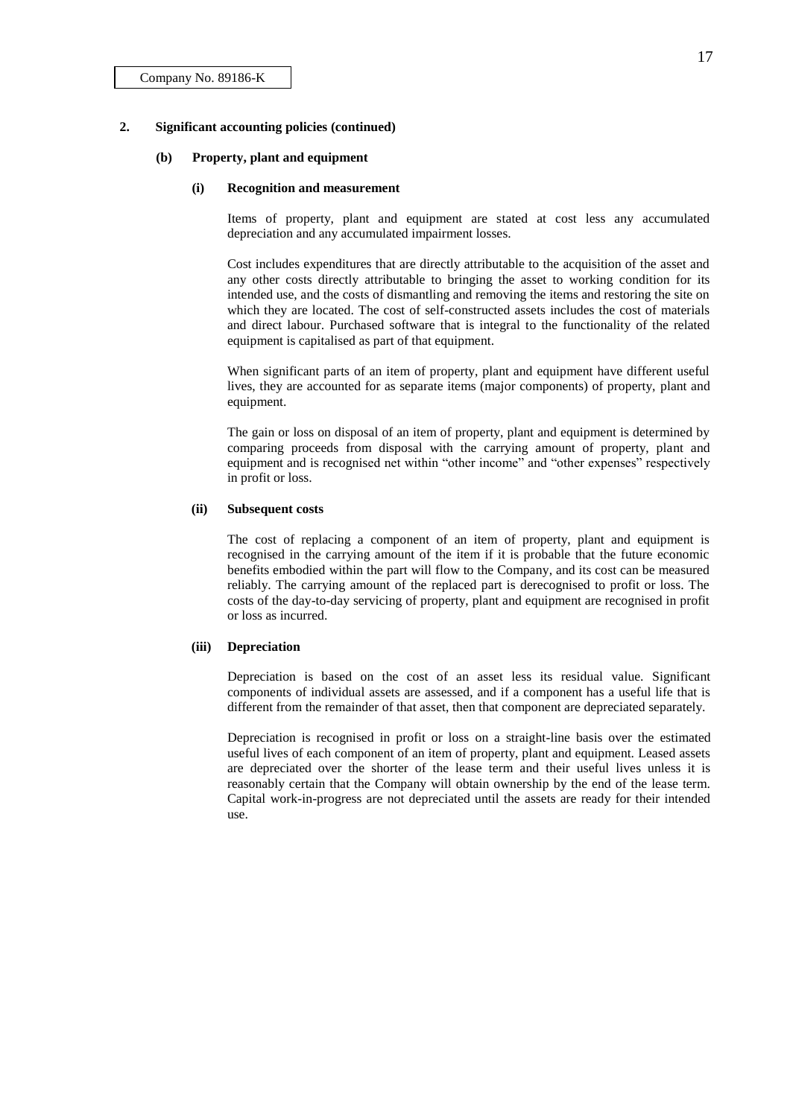#### **(b) Property, plant and equipment**

#### **(i) Recognition and measurement**

Items of property, plant and equipment are stated at cost less any accumulated depreciation and any accumulated impairment losses.

Cost includes expenditures that are directly attributable to the acquisition of the asset and any other costs directly attributable to bringing the asset to working condition for its intended use, and the costs of dismantling and removing the items and restoring the site on which they are located. The cost of self-constructed assets includes the cost of materials and direct labour. Purchased software that is integral to the functionality of the related equipment is capitalised as part of that equipment.

When significant parts of an item of property, plant and equipment have different useful lives, they are accounted for as separate items (major components) of property, plant and equipment.

The gain or loss on disposal of an item of property, plant and equipment is determined by comparing proceeds from disposal with the carrying amount of property, plant and equipment and is recognised net within "other income" and "other expenses" respectively in profit or loss.

#### **(ii) Subsequent costs**

The cost of replacing a component of an item of property, plant and equipment is recognised in the carrying amount of the item if it is probable that the future economic benefits embodied within the part will flow to the Company, and its cost can be measured reliably. The carrying amount of the replaced part is derecognised to profit or loss. The costs of the day-to-day servicing of property, plant and equipment are recognised in profit or loss as incurred.

#### **(iii) Depreciation**

Depreciation is based on the cost of an asset less its residual value. Significant components of individual assets are assessed, and if a component has a useful life that is different from the remainder of that asset, then that component are depreciated separately.

Depreciation is recognised in profit or loss on a straight-line basis over the estimated useful lives of each component of an item of property, plant and equipment. Leased assets are depreciated over the shorter of the lease term and their useful lives unless it is reasonably certain that the Company will obtain ownership by the end of the lease term. Capital work-in-progress are not depreciated until the assets are ready for their intended use.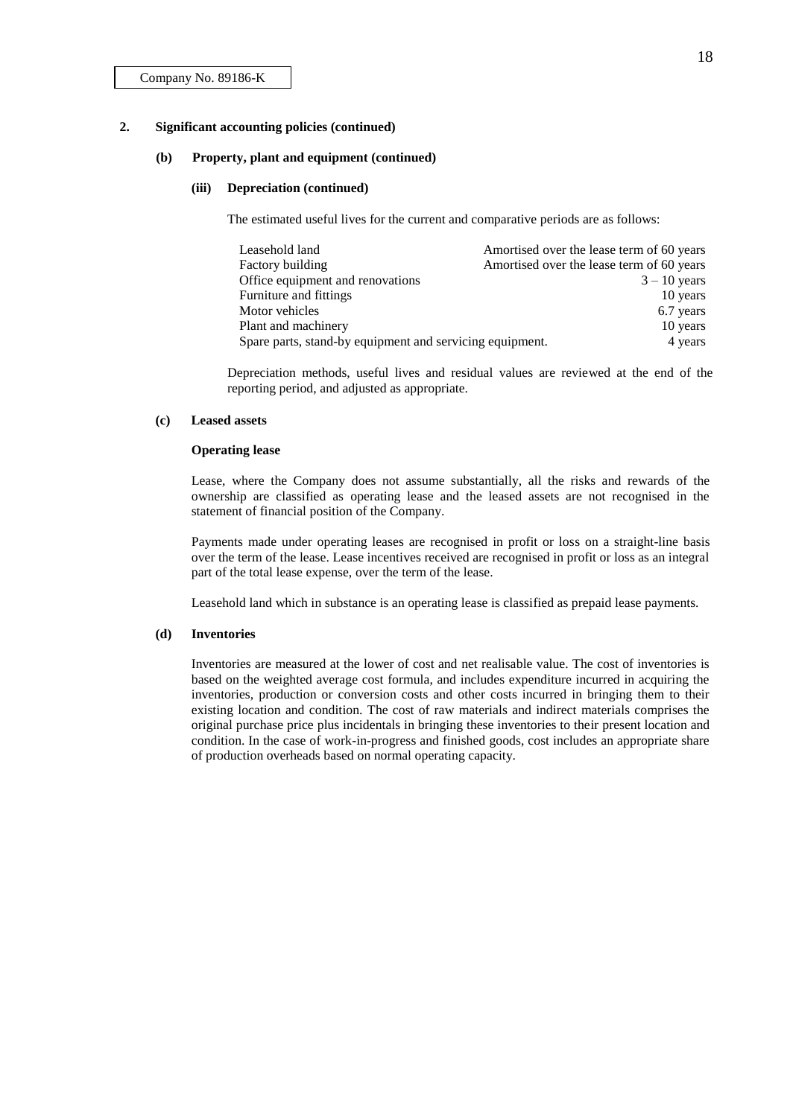#### **(b) Property, plant and equipment (continued)**

#### **(iii) Depreciation (continued)**

The estimated useful lives for the current and comparative periods are as follows:

| Leasehold land                                           | Amortised over the lease term of 60 years |
|----------------------------------------------------------|-------------------------------------------|
| Factory building                                         | Amortised over the lease term of 60 years |
| Office equipment and renovations                         | $3 - 10$ years                            |
| Furniture and fittings                                   | 10 years                                  |
| Motor vehicles                                           | 6.7 years                                 |
| Plant and machinery                                      | 10 years                                  |
| Spare parts, stand-by equipment and servicing equipment. | 4 years                                   |

Depreciation methods, useful lives and residual values are reviewed at the end of the reporting period, and adjusted as appropriate.

#### **(c) Leased assets**

## **Operating lease**

Lease, where the Company does not assume substantially, all the risks and rewards of the ownership are classified as operating lease and the leased assets are not recognised in the statement of financial position of the Company.

Payments made under operating leases are recognised in profit or loss on a straight-line basis over the term of the lease. Lease incentives received are recognised in profit or loss as an integral part of the total lease expense, over the term of the lease.

Leasehold land which in substance is an operating lease is classified as prepaid lease payments.

#### **(d) Inventories**

Inventories are measured at the lower of cost and net realisable value. The cost of inventories is based on the weighted average cost formula, and includes expenditure incurred in acquiring the inventories, production or conversion costs and other costs incurred in bringing them to their existing location and condition. The cost of raw materials and indirect materials comprises the original purchase price plus incidentals in bringing these inventories to their present location and condition. In the case of work-in-progress and finished goods, cost includes an appropriate share of production overheads based on normal operating capacity.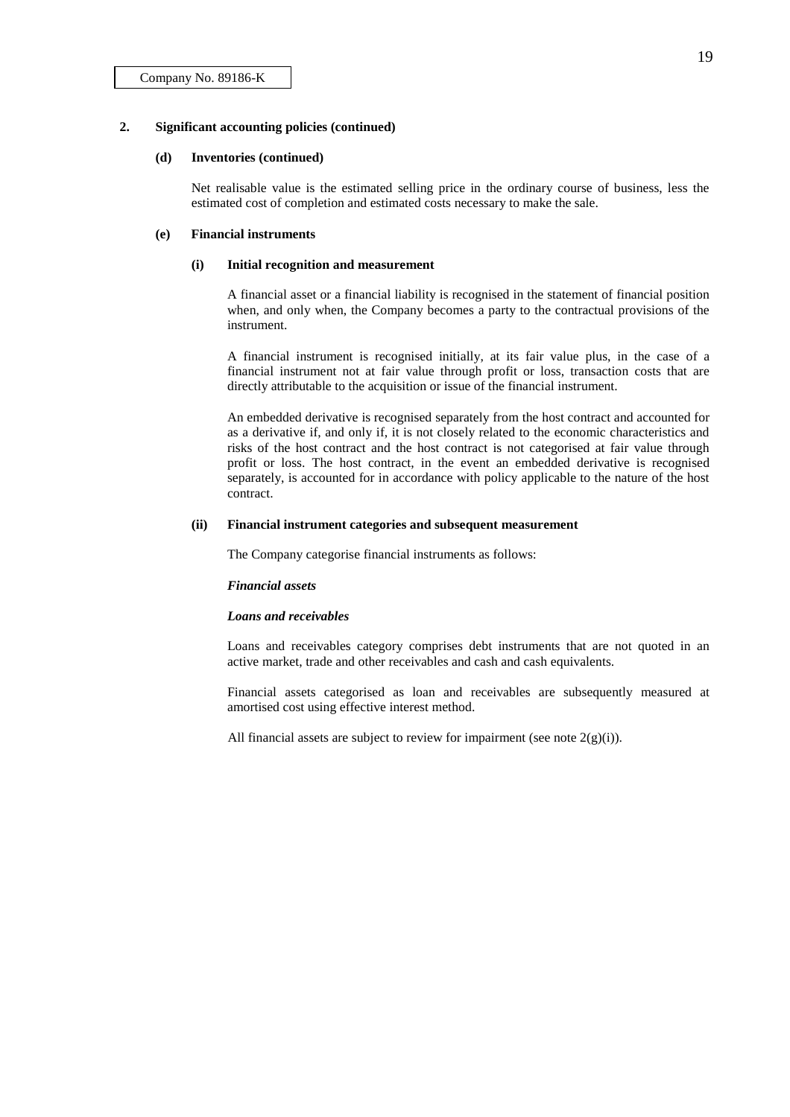#### **(d) Inventories (continued)**

Net realisable value is the estimated selling price in the ordinary course of business, less the estimated cost of completion and estimated costs necessary to make the sale.

#### **(e) Financial instruments**

## **(i) Initial recognition and measurement**

A financial asset or a financial liability is recognised in the statement of financial position when, and only when, the Company becomes a party to the contractual provisions of the instrument.

A financial instrument is recognised initially, at its fair value plus, in the case of a financial instrument not at fair value through profit or loss, transaction costs that are directly attributable to the acquisition or issue of the financial instrument.

An embedded derivative is recognised separately from the host contract and accounted for as a derivative if, and only if, it is not closely related to the economic characteristics and risks of the host contract and the host contract is not categorised at fair value through profit or loss. The host contract, in the event an embedded derivative is recognised separately, is accounted for in accordance with policy applicable to the nature of the host contract.

#### **(ii) Financial instrument categories and subsequent measurement**

The Company categorise financial instruments as follows:

#### *Financial assets*

#### *Loans and receivables*

Loans and receivables category comprises debt instruments that are not quoted in an active market, trade and other receivables and cash and cash equivalents.

Financial assets categorised as loan and receivables are subsequently measured at amortised cost using effective interest method.

All financial assets are subject to review for impairment (see note  $2(g)(i)$ ).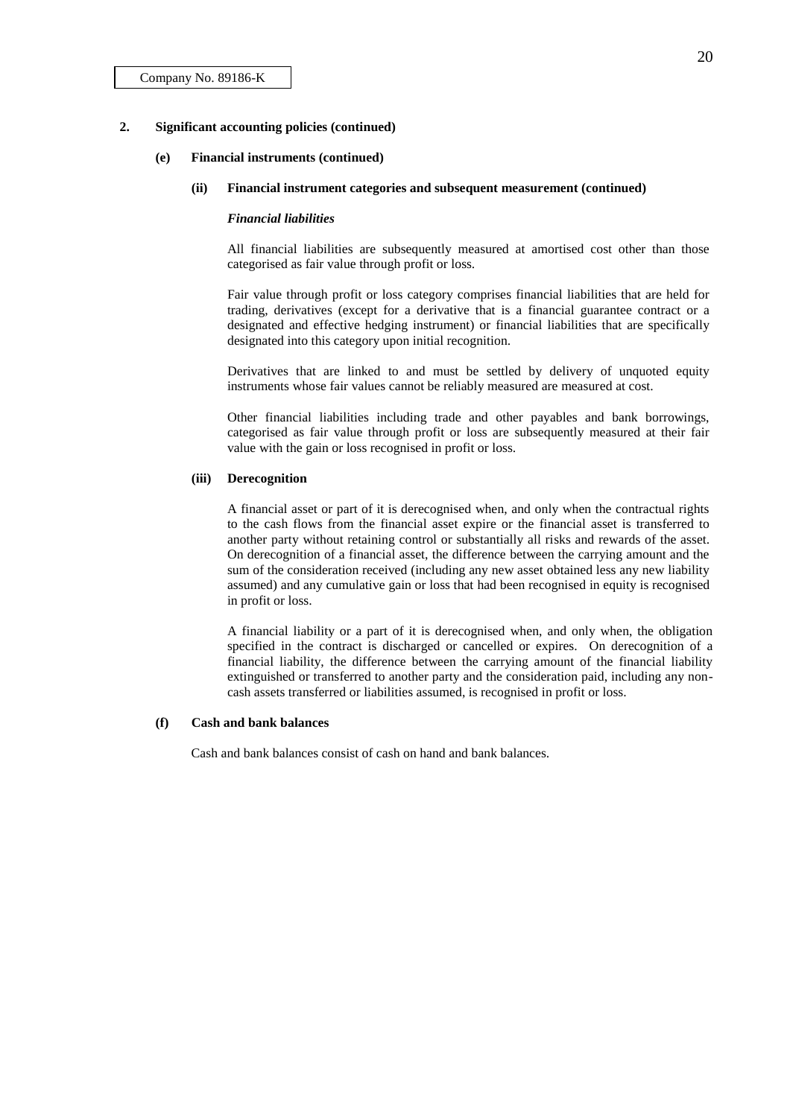#### **(e) Financial instruments (continued)**

#### **(ii) Financial instrument categories and subsequent measurement (continued)**

#### *Financial liabilities*

All financial liabilities are subsequently measured at amortised cost other than those categorised as fair value through profit or loss.

Fair value through profit or loss category comprises financial liabilities that are held for trading, derivatives (except for a derivative that is a financial guarantee contract or a designated and effective hedging instrument) or financial liabilities that are specifically designated into this category upon initial recognition.

Derivatives that are linked to and must be settled by delivery of unquoted equity instruments whose fair values cannot be reliably measured are measured at cost.

Other financial liabilities including trade and other payables and bank borrowings, categorised as fair value through profit or loss are subsequently measured at their fair value with the gain or loss recognised in profit or loss.

#### **(iii) Derecognition**

A financial asset or part of it is derecognised when, and only when the contractual rights to the cash flows from the financial asset expire or the financial asset is transferred to another party without retaining control or substantially all risks and rewards of the asset. On derecognition of a financial asset, the difference between the carrying amount and the sum of the consideration received (including any new asset obtained less any new liability assumed) and any cumulative gain or loss that had been recognised in equity is recognised in profit or loss.

A financial liability or a part of it is derecognised when, and only when, the obligation specified in the contract is discharged or cancelled or expires. On derecognition of a financial liability, the difference between the carrying amount of the financial liability extinguished or transferred to another party and the consideration paid, including any noncash assets transferred or liabilities assumed, is recognised in profit or loss.

# **(f) Cash and bank balances**

Cash and bank balances consist of cash on hand and bank balances.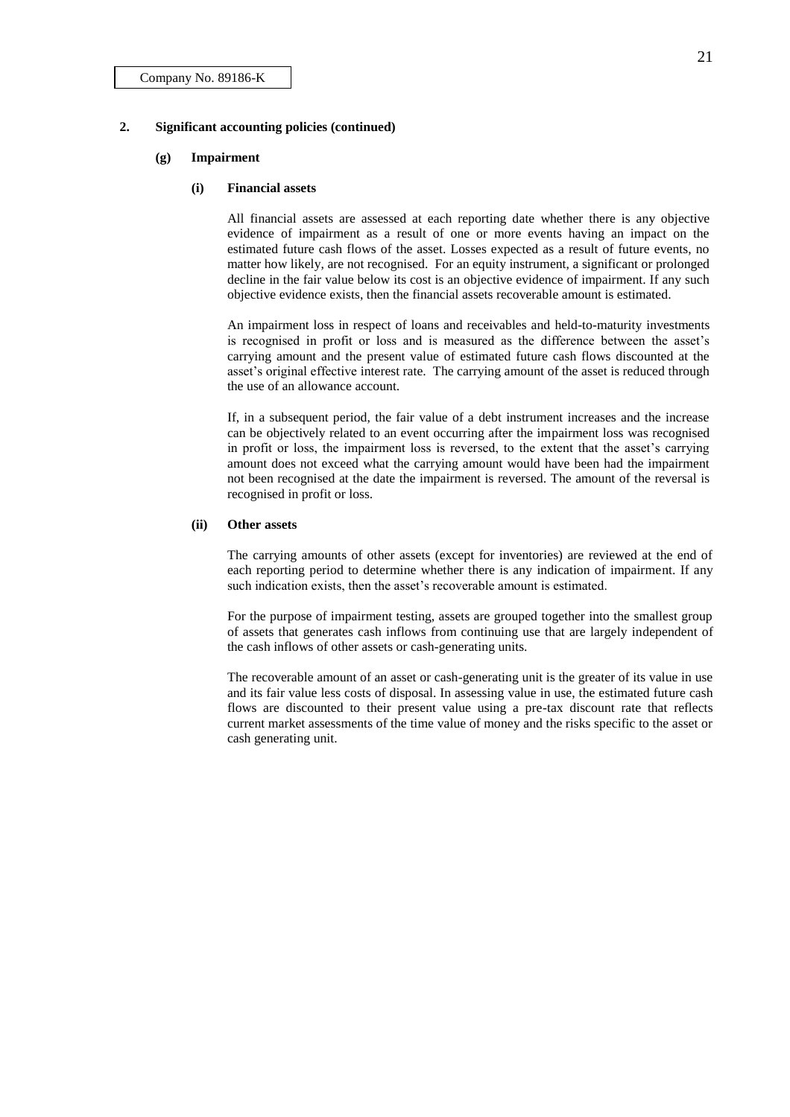#### **(g) Impairment**

#### **(i) Financial assets**

All financial assets are assessed at each reporting date whether there is any objective evidence of impairment as a result of one or more events having an impact on the estimated future cash flows of the asset. Losses expected as a result of future events, no matter how likely, are not recognised. For an equity instrument, a significant or prolonged decline in the fair value below its cost is an objective evidence of impairment. If any such objective evidence exists, then the financial assets recoverable amount is estimated.

An impairment loss in respect of loans and receivables and held-to-maturity investments is recognised in profit or loss and is measured as the difference between the asset's carrying amount and the present value of estimated future cash flows discounted at the asset's original effective interest rate. The carrying amount of the asset is reduced through the use of an allowance account.

If, in a subsequent period, the fair value of a debt instrument increases and the increase can be objectively related to an event occurring after the impairment loss was recognised in profit or loss, the impairment loss is reversed, to the extent that the asset's carrying amount does not exceed what the carrying amount would have been had the impairment not been recognised at the date the impairment is reversed. The amount of the reversal is recognised in profit or loss.

## **(ii) Other assets**

The carrying amounts of other assets (except for inventories) are reviewed at the end of each reporting period to determine whether there is any indication of impairment. If any such indication exists, then the asset's recoverable amount is estimated.

For the purpose of impairment testing, assets are grouped together into the smallest group of assets that generates cash inflows from continuing use that are largely independent of the cash inflows of other assets or cash-generating units.

The recoverable amount of an asset or cash-generating unit is the greater of its value in use and its fair value less costs of disposal. In assessing value in use, the estimated future cash flows are discounted to their present value using a pre-tax discount rate that reflects current market assessments of the time value of money and the risks specific to the asset or cash generating unit.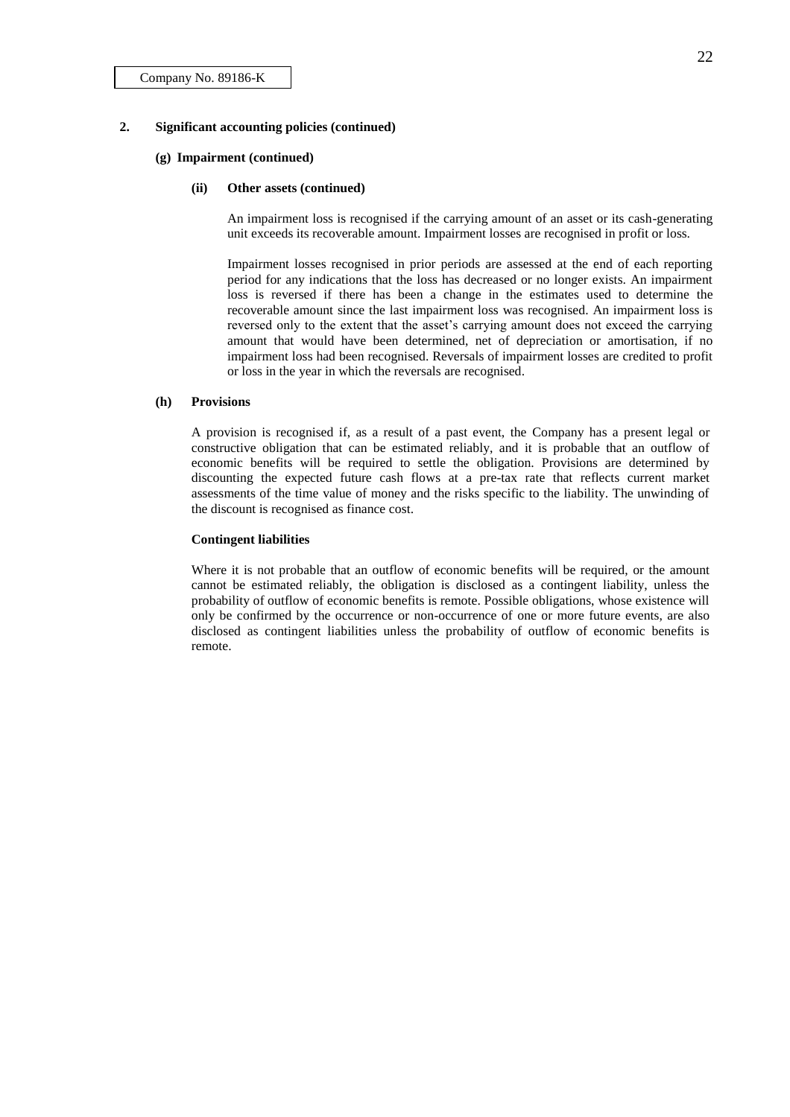#### **(g) Impairment (continued)**

#### **(ii) Other assets (continued)**

An impairment loss is recognised if the carrying amount of an asset or its cash-generating unit exceeds its recoverable amount. Impairment losses are recognised in profit or loss.

Impairment losses recognised in prior periods are assessed at the end of each reporting period for any indications that the loss has decreased or no longer exists. An impairment loss is reversed if there has been a change in the estimates used to determine the recoverable amount since the last impairment loss was recognised. An impairment loss is reversed only to the extent that the asset's carrying amount does not exceed the carrying amount that would have been determined, net of depreciation or amortisation, if no impairment loss had been recognised. Reversals of impairment losses are credited to profit or loss in the year in which the reversals are recognised.

#### **(h) Provisions**

A provision is recognised if, as a result of a past event, the Company has a present legal or constructive obligation that can be estimated reliably, and it is probable that an outflow of economic benefits will be required to settle the obligation. Provisions are determined by discounting the expected future cash flows at a pre-tax rate that reflects current market assessments of the time value of money and the risks specific to the liability. The unwinding of the discount is recognised as finance cost.

#### **Contingent liabilities**

Where it is not probable that an outflow of economic benefits will be required, or the amount cannot be estimated reliably, the obligation is disclosed as a contingent liability, unless the probability of outflow of economic benefits is remote. Possible obligations, whose existence will only be confirmed by the occurrence or non-occurrence of one or more future events, are also disclosed as contingent liabilities unless the probability of outflow of economic benefits is remote.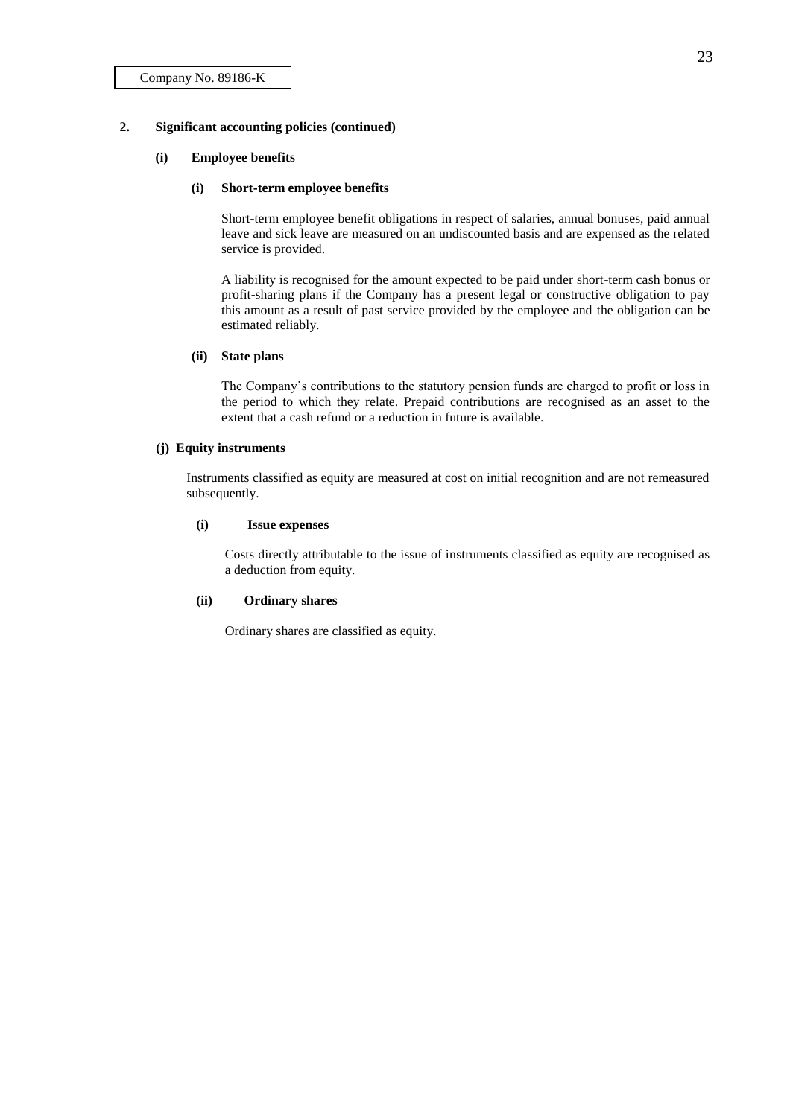#### **(i) Employee benefits**

#### **(i) Short-term employee benefits**

Short-term employee benefit obligations in respect of salaries, annual bonuses, paid annual leave and sick leave are measured on an undiscounted basis and are expensed as the related service is provided.

A liability is recognised for the amount expected to be paid under short-term cash bonus or profit-sharing plans if the Company has a present legal or constructive obligation to pay this amount as a result of past service provided by the employee and the obligation can be estimated reliably.

#### **(ii) State plans**

The Company's contributions to the statutory pension funds are charged to profit or loss in the period to which they relate. Prepaid contributions are recognised as an asset to the extent that a cash refund or a reduction in future is available.

#### **(j) Equity instruments**

Instruments classified as equity are measured at cost on initial recognition and are not remeasured subsequently.

#### **(i) Issue expenses**

Costs directly attributable to the issue of instruments classified as equity are recognised as a deduction from equity.

# **(ii) Ordinary shares**

Ordinary shares are classified as equity.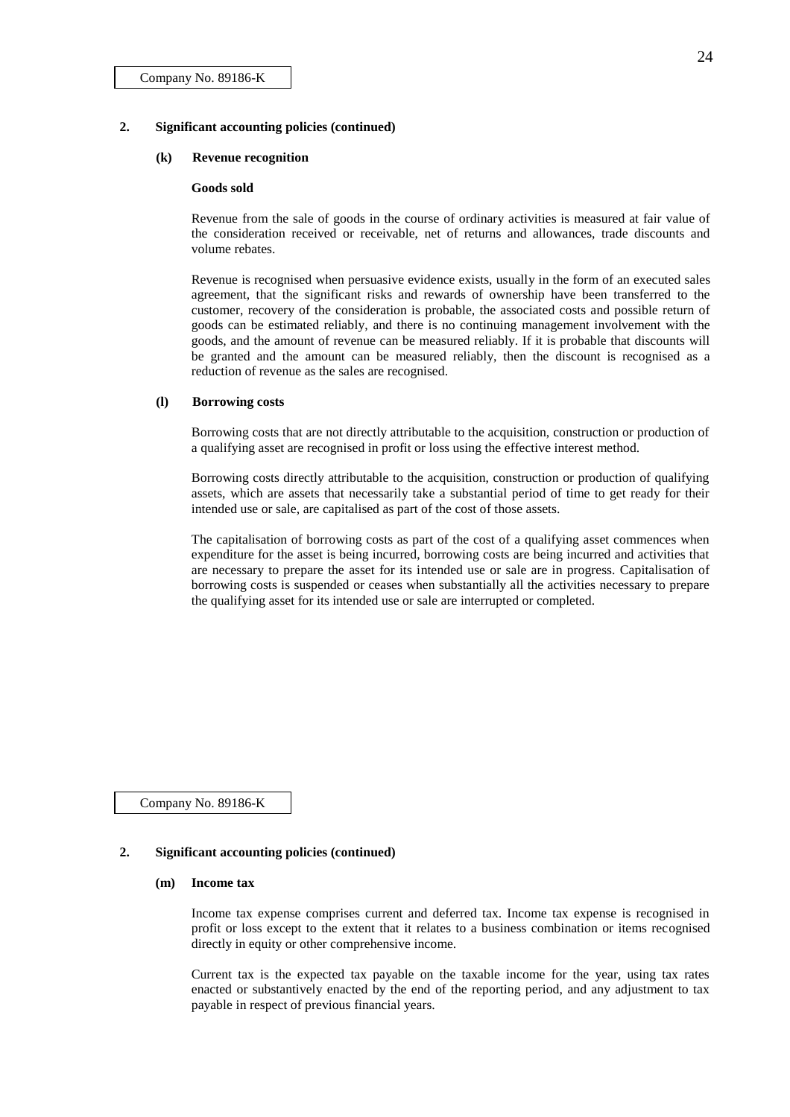#### **(k) Revenue recognition**

#### **Goods sold**

Revenue from the sale of goods in the course of ordinary activities is measured at fair value of the consideration received or receivable, net of returns and allowances, trade discounts and volume rebates.

Revenue is recognised when persuasive evidence exists, usually in the form of an executed sales agreement, that the significant risks and rewards of ownership have been transferred to the customer, recovery of the consideration is probable, the associated costs and possible return of goods can be estimated reliably, and there is no continuing management involvement with the goods, and the amount of revenue can be measured reliably. If it is probable that discounts will be granted and the amount can be measured reliably, then the discount is recognised as a reduction of revenue as the sales are recognised.

#### **(l) Borrowing costs**

Borrowing costs that are not directly attributable to the acquisition, construction or production of a qualifying asset are recognised in profit or loss using the effective interest method.

Borrowing costs directly attributable to the acquisition, construction or production of qualifying assets, which are assets that necessarily take a substantial period of time to get ready for their intended use or sale, are capitalised as part of the cost of those assets.

The capitalisation of borrowing costs as part of the cost of a qualifying asset commences when expenditure for the asset is being incurred, borrowing costs are being incurred and activities that are necessary to prepare the asset for its intended use or sale are in progress. Capitalisation of borrowing costs is suspended or ceases when substantially all the activities necessary to prepare the qualifying asset for its intended use or sale are interrupted or completed.

Company No. 89186-K

## **2. Significant accounting policies (continued)**

## **(m) Income tax**

Income tax expense comprises current and deferred tax. Income tax expense is recognised in profit or loss except to the extent that it relates to a business combination or items recognised directly in equity or other comprehensive income.

Current tax is the expected tax payable on the taxable income for the year, using tax rates enacted or substantively enacted by the end of the reporting period, and any adjustment to tax payable in respect of previous financial years.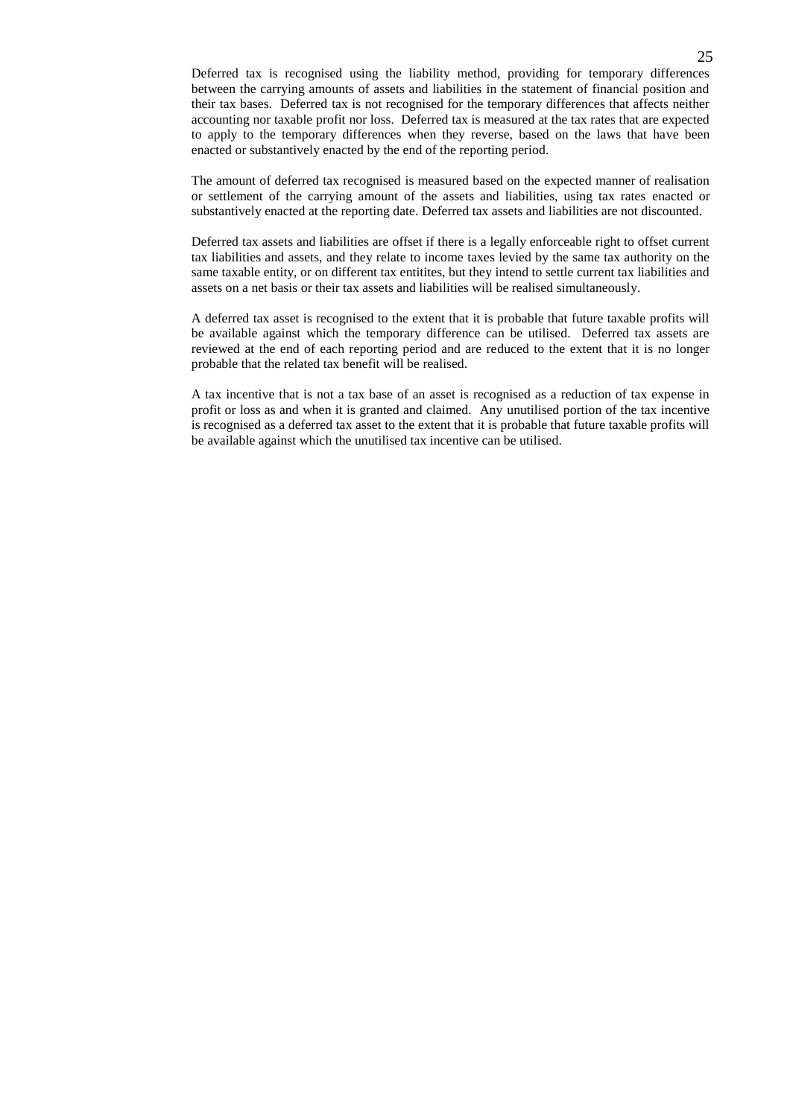Deferred tax is recognised using the liability method, providing for temporary differences between the carrying amounts of assets and liabilities in the statement of financial position and their tax bases. Deferred tax is not recognised for the temporary differences that affects neither accounting nor taxable profit nor loss. Deferred tax is measured at the tax rates that are expected to apply to the temporary differences when they reverse, based on the laws that have been enacted or substantively enacted by the end of the reporting period.

The amount of deferred tax recognised is measured based on the expected manner of realisation or settlement of the carrying amount of the assets and liabilities, using tax rates enacted or substantively enacted at the reporting date. Deferred tax assets and liabilities are not discounted.

Deferred tax assets and liabilities are offset if there is a legally enforceable right to offset current tax liabilities and assets, and they relate to income taxes levied by the same tax authority on the same taxable entity, or on different tax entitites, but they intend to settle current tax liabilities and assets on a net basis or their tax assets and liabilities will be realised simultaneously.

A deferred tax asset is recognised to the extent that it is probable that future taxable profits will be available against which the temporary difference can be utilised. Deferred tax assets are reviewed at the end of each reporting period and are reduced to the extent that it is no longer probable that the related tax benefit will be realised.

A tax incentive that is not a tax base of an asset is recognised as a reduction of tax expense in profit or loss as and when it is granted and claimed. Any unutilised portion of the tax incentive is recognised as a deferred tax asset to the extent that it is probable that future taxable profits will be available against which the unutilised tax incentive can be utilised.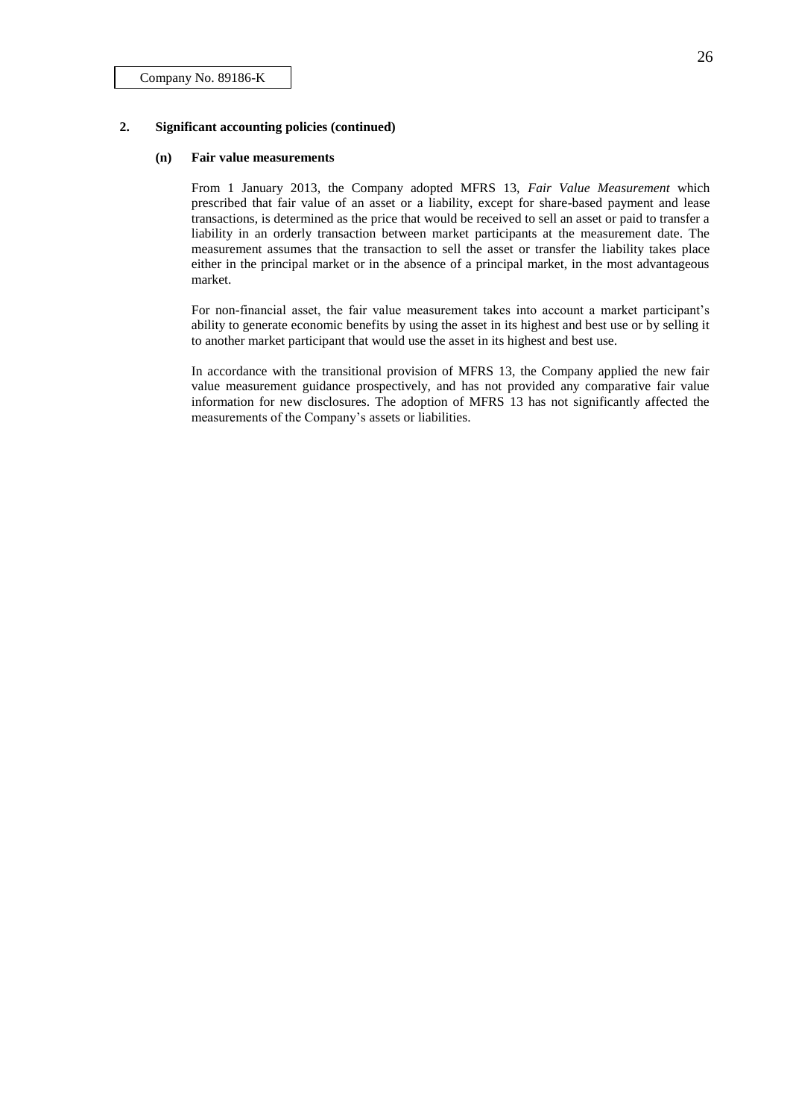#### **(n) Fair value measurements**

From 1 January 2013, the Company adopted MFRS 13, *Fair Value Measurement* which prescribed that fair value of an asset or a liability, except for share-based payment and lease transactions, is determined as the price that would be received to sell an asset or paid to transfer a liability in an orderly transaction between market participants at the measurement date. The measurement assumes that the transaction to sell the asset or transfer the liability takes place either in the principal market or in the absence of a principal market, in the most advantageous market.

For non-financial asset, the fair value measurement takes into account a market participant's ability to generate economic benefits by using the asset in its highest and best use or by selling it to another market participant that would use the asset in its highest and best use.

In accordance with the transitional provision of MFRS 13, the Company applied the new fair value measurement guidance prospectively, and has not provided any comparative fair value information for new disclosures. The adoption of MFRS 13 has not significantly affected the measurements of the Company's assets or liabilities.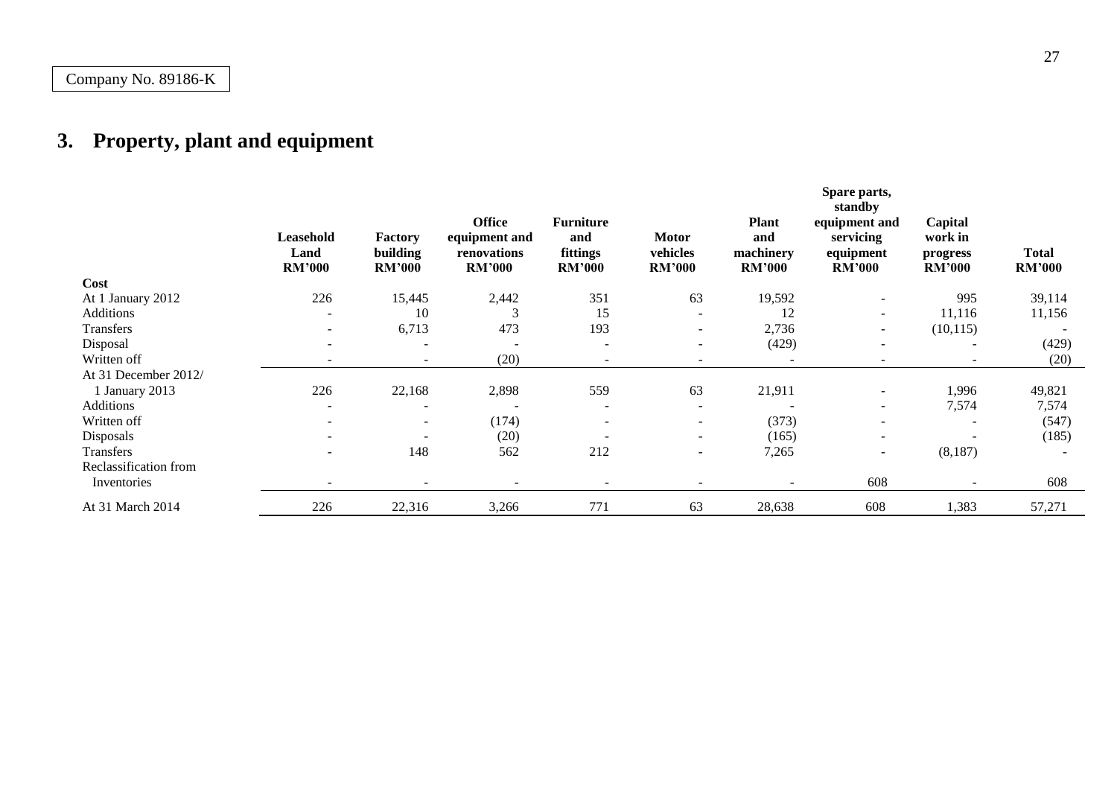# **3. Property, plant and equipment**

|                       | Leasehold<br>Land<br><b>RM'000</b> | <b>Factory</b><br>building<br><b>RM'000</b> | <b>Office</b><br>equipment and<br>renovations<br><b>RM'000</b> | <b>Furniture</b><br>and<br>fittings<br><b>RM'000</b> | <b>Motor</b><br>vehicles<br><b>RM'000</b> | <b>Plant</b><br>and<br>machinery<br><b>RM'000</b> | Spare parts,<br>standby<br>equipment and<br>servicing<br>equipment<br><b>RM'000</b> | Capital<br>work in<br>progress<br><b>RM'000</b> | <b>Total</b><br><b>RM'000</b> |
|-----------------------|------------------------------------|---------------------------------------------|----------------------------------------------------------------|------------------------------------------------------|-------------------------------------------|---------------------------------------------------|-------------------------------------------------------------------------------------|-------------------------------------------------|-------------------------------|
| Cost                  |                                    |                                             |                                                                |                                                      |                                           |                                                   |                                                                                     |                                                 |                               |
| At 1 January 2012     | 226                                | 15,445                                      | 2,442                                                          | 351                                                  | 63                                        | 19,592                                            | $\overline{\phantom{a}}$                                                            | 995                                             | 39,114                        |
| Additions             |                                    | 10                                          | 3                                                              | 15                                                   | $\overline{\phantom{a}}$                  | 12                                                | $\qquad \qquad -$                                                                   | 11,116                                          | 11,156                        |
| Transfers             |                                    | 6,713                                       | 473                                                            | 193                                                  | $\overline{\phantom{a}}$                  | 2,736                                             | $\overline{\phantom{a}}$                                                            | (10, 115)                                       |                               |
| Disposal              | $\overline{\phantom{a}}$           |                                             | $\overline{a}$                                                 | $\overline{\phantom{a}}$                             | $\sim$                                    | (429)                                             | $\overline{\phantom{a}}$                                                            | $\overline{\phantom{a}}$                        | (429)                         |
| Written off           |                                    |                                             | (20)                                                           | ۰                                                    | $\overline{\phantom{a}}$                  |                                                   |                                                                                     | $\overline{\phantom{a}}$                        | (20)                          |
| At 31 December 2012/  |                                    |                                             |                                                                |                                                      |                                           |                                                   |                                                                                     |                                                 |                               |
| 1 January 2013        | 226                                | 22,168                                      | 2,898                                                          | 559                                                  | 63                                        | 21,911                                            |                                                                                     | 1,996                                           | 49,821                        |
| Additions             | $\overline{\phantom{a}}$           |                                             | $\overline{\phantom{0}}$                                       | $\overline{\phantom{a}}$                             | $\overline{\phantom{a}}$                  |                                                   | $\overline{\phantom{a}}$                                                            | 7,574                                           | 7,574                         |
| Written off           |                                    |                                             | (174)                                                          | $\equiv$                                             | $\overline{\phantom{a}}$                  | (373)                                             |                                                                                     |                                                 | (547)                         |
| Disposals             |                                    |                                             | (20)                                                           | $\overline{\phantom{a}}$                             | $\overline{\phantom{a}}$                  | (165)                                             | $\overline{\phantom{a}}$                                                            | $\overline{\phantom{a}}$                        | (185)                         |
| Transfers             |                                    | 148                                         | 562                                                            | 212                                                  | $\overline{\phantom{a}}$                  | 7,265                                             | $\overline{\phantom{a}}$                                                            | (8,187)                                         |                               |
| Reclassification from |                                    |                                             |                                                                |                                                      |                                           |                                                   |                                                                                     |                                                 |                               |
| Inventories           |                                    |                                             | $\overline{\phantom{a}}$                                       | ۰                                                    |                                           |                                                   | 608                                                                                 | ٠                                               | 608                           |
| At 31 March 2014      | 226                                | 22,316                                      | 3,266                                                          | 771                                                  | 63                                        | 28,638                                            | 608                                                                                 | 1,383                                           | 57,271                        |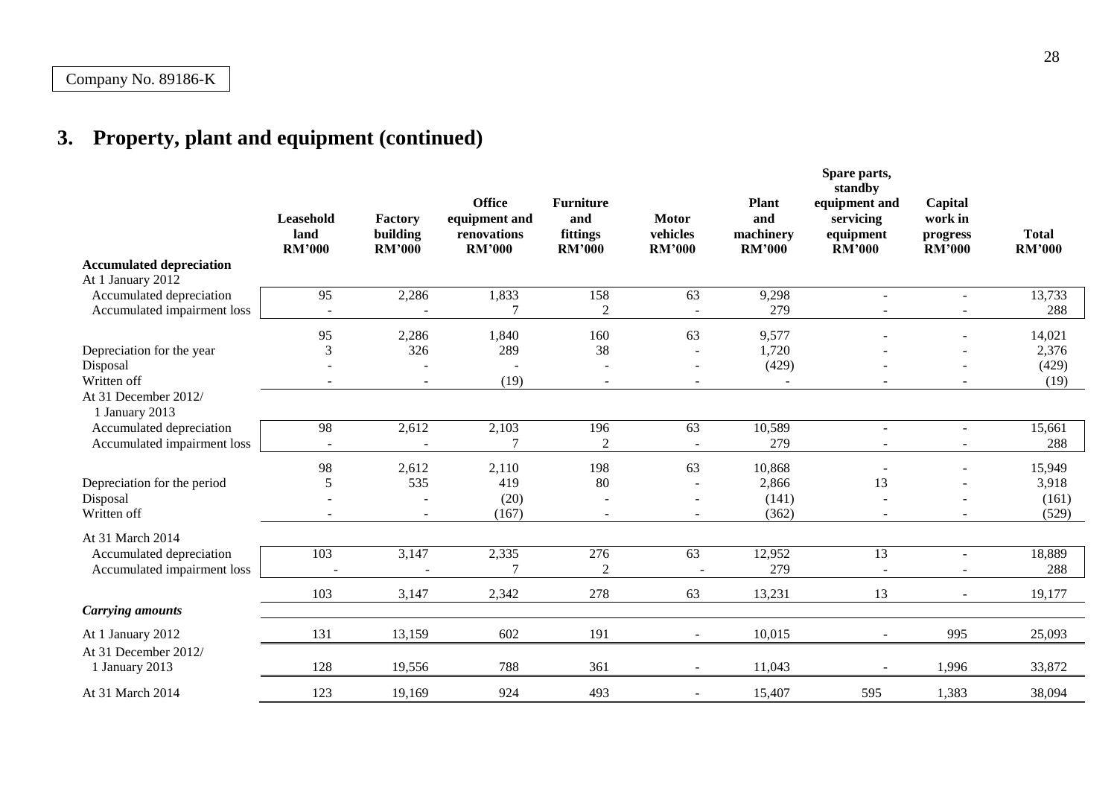# **3. Property, plant and equipment (continued)**

|                                                         | Leasehold<br>land<br><b>RM'000</b> | Factory<br>building<br><b>RM'000</b> | <b>Office</b><br>equipment and<br>renovations<br><b>RM'000</b> | <b>Furniture</b><br>and<br>fittings<br><b>RM'000</b> | <b>Motor</b><br>vehicles<br><b>RM'000</b> | <b>Plant</b><br>and<br>machinery<br><b>RM'000</b> | Spare parts,<br>standby<br>equipment and<br>servicing<br>equipment<br><b>RM'000</b> | Capital<br>work in<br>progress<br><b>RM'000</b> | <b>Total</b><br><b>RM'000</b> |
|---------------------------------------------------------|------------------------------------|--------------------------------------|----------------------------------------------------------------|------------------------------------------------------|-------------------------------------------|---------------------------------------------------|-------------------------------------------------------------------------------------|-------------------------------------------------|-------------------------------|
| <b>Accumulated depreciation</b><br>At 1 January 2012    |                                    |                                      |                                                                |                                                      |                                           |                                                   |                                                                                     |                                                 |                               |
| Accumulated depreciation<br>Accumulated impairment loss | 95<br>$\sim$                       | 2,286                                | 1,833<br>7                                                     | 158<br>$\overline{2}$                                | 63<br>$\sim$                              | 9,298<br>279                                      | $\blacksquare$                                                                      | $\blacksquare$<br>$\sim$                        | 13,733<br>288                 |
| Depreciation for the year                               | 95<br>3                            | 2,286<br>326                         | 1,840<br>289                                                   | 160<br>38                                            | 63                                        | 9,577<br>1,720                                    |                                                                                     |                                                 | 14,021<br>2,376               |
| Disposal<br>Written off                                 |                                    |                                      | (19)                                                           |                                                      |                                           | (429)                                             |                                                                                     |                                                 | (429)<br>(19)                 |
| At 31 December 2012/<br>1 January 2013                  |                                    |                                      |                                                                |                                                      |                                           |                                                   |                                                                                     |                                                 |                               |
| Accumulated depreciation<br>Accumulated impairment loss | 98                                 | 2,612                                | 2,103<br>$\overline{7}$                                        | 196<br>$\overline{2}$                                | 63<br>$\sim$                              | 10,589<br>279                                     | $\sim$                                                                              | $\blacksquare$<br>$\overline{\phantom{a}}$      | 15,661<br>288                 |
| Depreciation for the period                             | 98<br>$\mathfrak s$                | 2,612<br>535                         | 2,110<br>419                                                   | 198<br>80                                            | 63                                        | 10,868<br>2,866                                   | $\overline{\phantom{a}}$<br>13                                                      |                                                 | 15,949<br>3,918               |
| Disposal<br>Written off                                 |                                    |                                      | (20)<br>(167)                                                  |                                                      |                                           | (141)<br>(362)                                    |                                                                                     |                                                 | (161)<br>(529)                |
| At 31 March 2014<br>Accumulated depreciation            | 103                                | 3,147                                | 2,335                                                          | 276                                                  | 63                                        | 12,952                                            | $\overline{13}$                                                                     |                                                 | 18,889                        |
| Accumulated impairment loss                             |                                    |                                      | $\overline{7}$                                                 | $\overline{2}$                                       | $\overline{\phantom{a}}$                  | 279                                               | $\overline{\phantom{a}}$                                                            | $\overline{\phantom{a}}$                        | 288                           |
| <b>Carrying amounts</b>                                 | 103                                | 3,147                                | 2,342                                                          | 278                                                  | 63                                        | 13,231                                            | 13                                                                                  |                                                 | 19,177                        |
| At 1 January 2012<br>At 31 December 2012/               | 131                                | 13,159                               | 602                                                            | 191                                                  | $\blacksquare$                            | 10,015                                            | $\blacksquare$                                                                      | 995                                             | 25,093                        |
| 1 January 2013                                          | 128                                | 19,556                               | 788                                                            | 361                                                  | $\sim$                                    | 11,043                                            |                                                                                     | 1,996                                           | 33,872                        |
| At 31 March 2014                                        | 123                                | 19,169                               | 924                                                            | 493                                                  |                                           | 15,407                                            | 595                                                                                 | 1,383                                           | 38,094                        |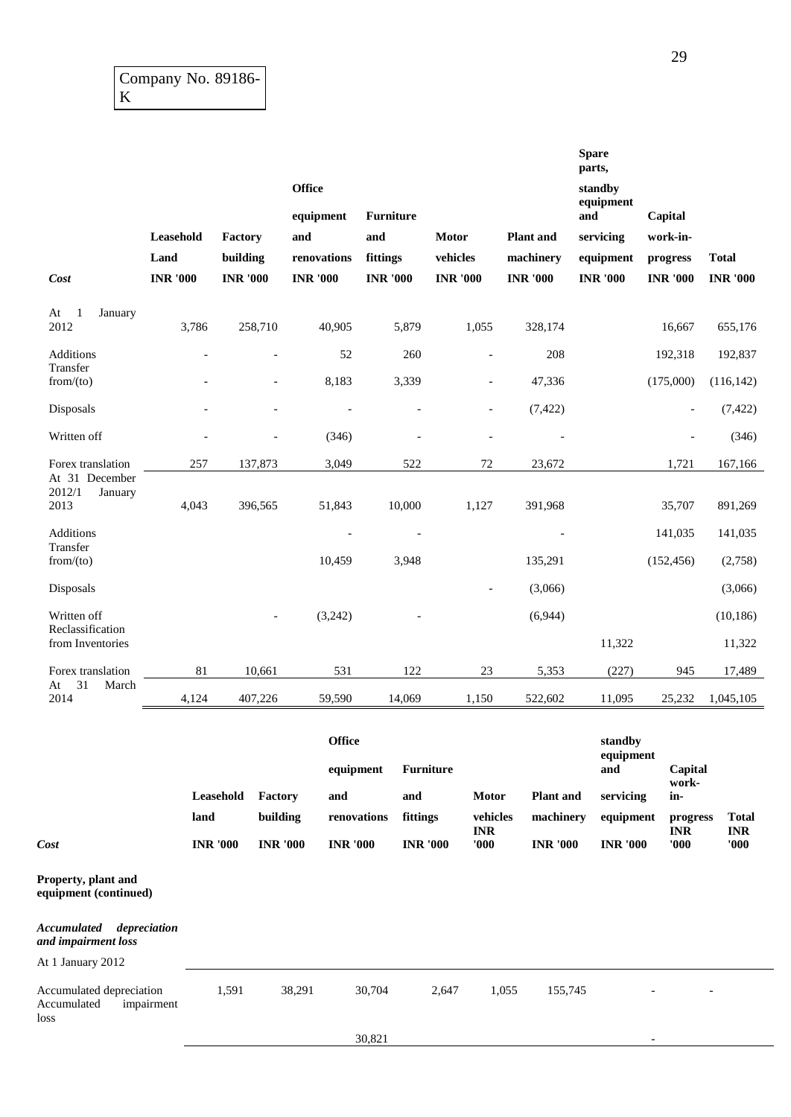|                                             | Leasehold<br>Land | Factory<br>building | <b>Office</b><br>equipment<br>and<br>renovations | <b>Furniture</b><br>and<br>fittings | <b>Motor</b><br>vehicles | <b>Plant</b> and<br>machinery | <b>Spare</b><br>parts,<br>standby<br>equipment<br>and<br>servicing<br>equipment | Capital<br>work-in-<br>progress | <b>Total</b>    |
|---------------------------------------------|-------------------|---------------------|--------------------------------------------------|-------------------------------------|--------------------------|-------------------------------|---------------------------------------------------------------------------------|---------------------------------|-----------------|
| Cost                                        | <b>INR '000</b>   | <b>INR '000</b>     | <b>INR '000</b>                                  | <b>INR '000</b>                     | <b>INR '000</b>          | <b>INR '000</b>               | <b>INR '000</b>                                                                 | <b>INR '000</b>                 | <b>INR '000</b> |
| January<br>At<br>1<br>2012                  | 3,786             | 258,710             | 40,905                                           | 5,879                               | 1,055                    | 328,174                       |                                                                                 | 16,667                          | 655,176         |
| <b>Additions</b>                            |                   |                     | 52                                               | 260                                 | $\overline{a}$           | 208                           |                                                                                 | 192,318                         | 192,837         |
| Transfer<br>from/(to)                       |                   |                     | 8,183                                            | 3,339                               | $\overline{\phantom{a}}$ | 47,336                        |                                                                                 | (175,000)                       | (116, 142)      |
| Disposals                                   |                   |                     | $\overline{a}$                                   |                                     | $\qquad \qquad -$        | (7, 422)                      |                                                                                 |                                 | (7, 422)        |
| Written off                                 |                   |                     | (346)                                            |                                     |                          |                               |                                                                                 |                                 | (346)           |
| Forex translation                           | 257               | 137,873             | 3,049                                            | 522                                 | 72                       | 23,672                        |                                                                                 | 1,721                           | 167,166         |
| At 31 December<br>2012/1<br>January<br>2013 | 4,043             | 396,565             | 51,843                                           | 10,000                              | 1,127                    | 391,968                       |                                                                                 | 35,707                          | 891,269         |
| Additions                                   |                   |                     |                                                  |                                     |                          | $\overline{\phantom{a}}$      |                                                                                 | 141,035                         | 141,035         |
| Transfer<br>from/(to)                       |                   |                     | 10,459                                           | 3,948                               |                          | 135,291                       |                                                                                 | (152, 456)                      | (2,758)         |
| Disposals                                   |                   |                     |                                                  |                                     | $\qquad \qquad -$        | (3,066)                       |                                                                                 |                                 | (3,066)         |
| Written off<br>Reclassification             |                   |                     | (3,242)                                          |                                     |                          | (6,944)                       |                                                                                 |                                 | (10, 186)       |
| from Inventories                            |                   |                     |                                                  |                                     |                          |                               | 11,322                                                                          |                                 | 11,322          |
| Forex translation                           | 81                | 10,661              | 531                                              | 122                                 | $23\,$                   | 5,353                         | (227)                                                                           | 945                             | 17,489          |
| 31<br>March<br>At<br>2014                   | 4,124             | 407,226             | 59,590                                           | 14,069                              | 1,150                    | 522,602                       | 11,095                                                                          | 25,232                          | 1,045,105       |

|                                                               |                 |                 | <b>Office</b><br>equipment | <b>Furniture</b> |                        |                  | standby<br>equipment<br>and | Capital<br>work-       |                            |
|---------------------------------------------------------------|-----------------|-----------------|----------------------------|------------------|------------------------|------------------|-----------------------------|------------------------|----------------------------|
|                                                               | Leasehold       | Factory         | and                        | and              | <b>Motor</b>           | <b>Plant</b> and | servicing                   | in-                    |                            |
|                                                               | land            | building        | renovations                | fittings         | vehicles<br><b>INR</b> | machinery        | equipment                   | progress<br><b>INR</b> | <b>Total</b><br><b>INR</b> |
| Cost                                                          | <b>INR '000</b> | <b>INR '000</b> | <b>INR '000</b>            | <b>INR '000</b>  | '000'                  | <b>INR '000</b>  | <b>INR '000</b>             | '000'                  | '000'                      |
| Property, plant and<br>equipment (continued)                  |                 |                 |                            |                  |                        |                  |                             |                        |                            |
| Accumulated<br>depreciation<br>and impairment loss            |                 |                 |                            |                  |                        |                  |                             |                        |                            |
| At 1 January 2012                                             |                 |                 |                            |                  |                        |                  |                             |                        |                            |
| Accumulated depreciation<br>Accumulated<br>impairment<br>loss | 1,591           | 38,291          | 30,704                     | 2,647            | 1,055                  | 155,745          |                             |                        |                            |
|                                                               |                 |                 | 30,821                     |                  |                        |                  | $\overline{\phantom{a}}$    |                        |                            |
|                                                               |                 |                 |                            |                  |                        |                  |                             |                        |                            |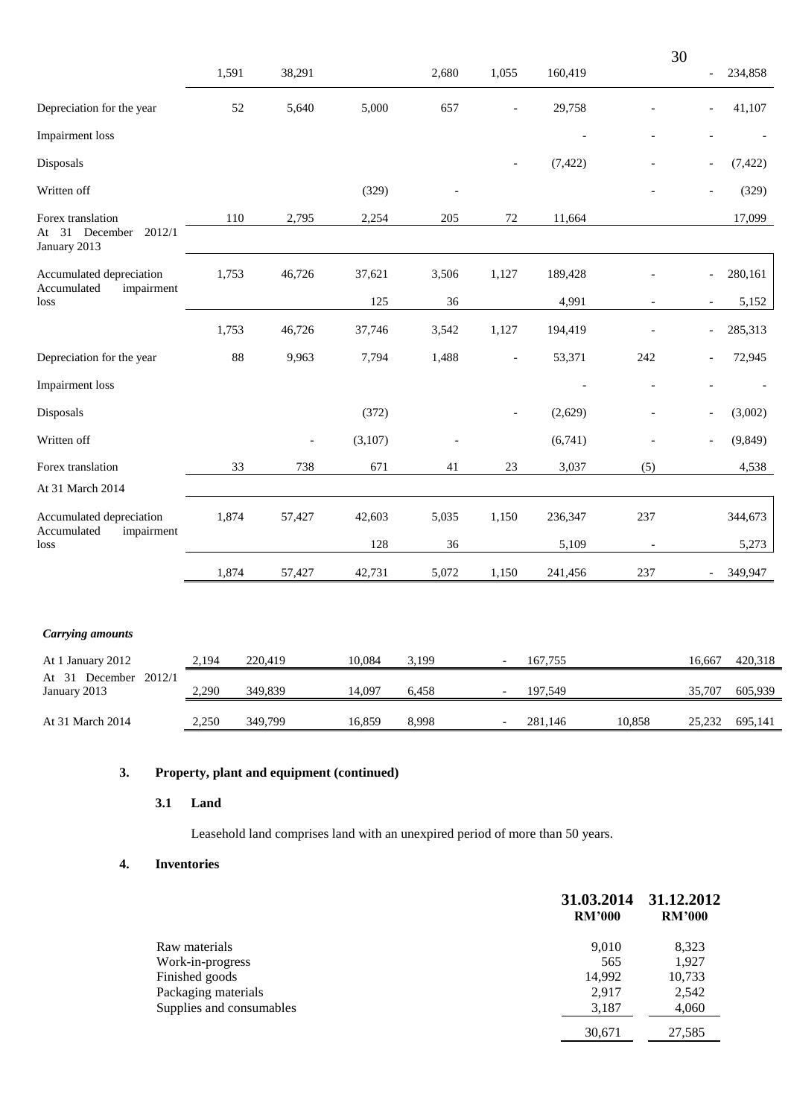|                                                               |       |     |                |         |       |                |          |                | 30             |          |
|---------------------------------------------------------------|-------|-----|----------------|---------|-------|----------------|----------|----------------|----------------|----------|
|                                                               | 1,591 |     | 38,291         |         | 2,680 | 1,055          | 160,419  |                | $\overline{a}$ | 234,858  |
| Depreciation for the year                                     |       | 52  | 5,640          | 5,000   | 657   |                | 29,758   |                |                | 41,107   |
| <b>Impairment</b> loss                                        |       |     |                |         |       |                |          |                |                |          |
| Disposals                                                     |       |     |                |         |       |                | (7, 422) |                |                | (7, 422) |
| Written off                                                   |       |     |                | (329)   |       |                |          |                |                | (329)    |
| Forex translation<br>At 31 December<br>2012/1<br>January 2013 |       | 110 | 2,795          | 2,254   | 205   | $72\,$         | 11,664   |                |                | 17,099   |
| Accumulated depreciation                                      | 1,753 |     | 46,726         | 37,621  | 3,506 | 1,127          | 189,428  |                | $\overline{a}$ | 280,161  |
| Accumulated<br>impairment<br>loss                             |       |     |                | 125     | 36    |                | 4,991    | $\blacksquare$ |                | 5,152    |
|                                                               | 1,753 |     | 46,726         | 37,746  | 3,542 | 1,127          | 194,419  |                |                | 285,313  |
| Depreciation for the year                                     |       | 88  | 9,963          | 7,794   | 1,488 | $\overline{a}$ | 53,371   | 242            |                | 72,945   |
| <b>Impairment</b> loss                                        |       |     |                |         |       |                |          |                |                |          |
| Disposals                                                     |       |     |                | (372)   |       |                | (2,629)  |                |                | (3,002)  |
| Written off                                                   |       |     | $\overline{a}$ | (3,107) |       |                | (6,741)  |                |                | (9, 849) |
| Forex translation                                             |       | 33  | 738            | 671     | 41    | $23\,$         | 3,037    | (5)            |                | 4,538    |
| At 31 March 2014                                              |       |     |                |         |       |                |          |                |                |          |
| Accumulated depreciation<br>Accumulated<br>impairment         | 1,874 |     | 57,427         | 42,603  | 5,035 | 1,150          | 236,347  | 237            |                | 344,673  |
| loss                                                          |       |     |                | 128     | 36    |                | 5,109    |                |                | 5,273    |
|                                                               | 1,874 |     | 57,427         | 42,731  | 5,072 | 1,150          | 241,456  | 237            |                | 349,947  |
| <b>Carrying amounts</b>                                       |       |     |                |         |       |                |          |                |                |          |
| At 1 January 2012<br>At 31 December 2012/1                    | 2,194 |     | 220,419        | 10,084  | 3,199 | $\sim$         | 167,755  |                | 16,667         | 420,318  |
| January 2013                                                  | 2,290 |     | 349,839        | 14,097  | 6,458 |                | 197,549  |                | 35,707         | 605,939  |
| At 31 March 2014                                              | 2,250 |     | 349,799        | 16,859  | 8,998 |                | 281,146  | 10,858         | 25,232         | 695,141  |

# **3. Property, plant and equipment (continued)**

# **3.1 Land**

Leasehold land comprises land with an unexpired period of more than 50 years.

# **4. Inventories**

|                          | 31.03.2014<br><b>RM'000</b> | 31.12.2012<br><b>RM'000</b> |
|--------------------------|-----------------------------|-----------------------------|
| Raw materials            | 9,010                       | 8,323                       |
| Work-in-progress         | 565                         | 1.927                       |
| Finished goods           | 14.992                      | 10,733                      |
| Packaging materials      | 2,917                       | 2,542                       |
| Supplies and consumables | 3,187                       | 4,060                       |
|                          | 30,671                      | 27.585                      |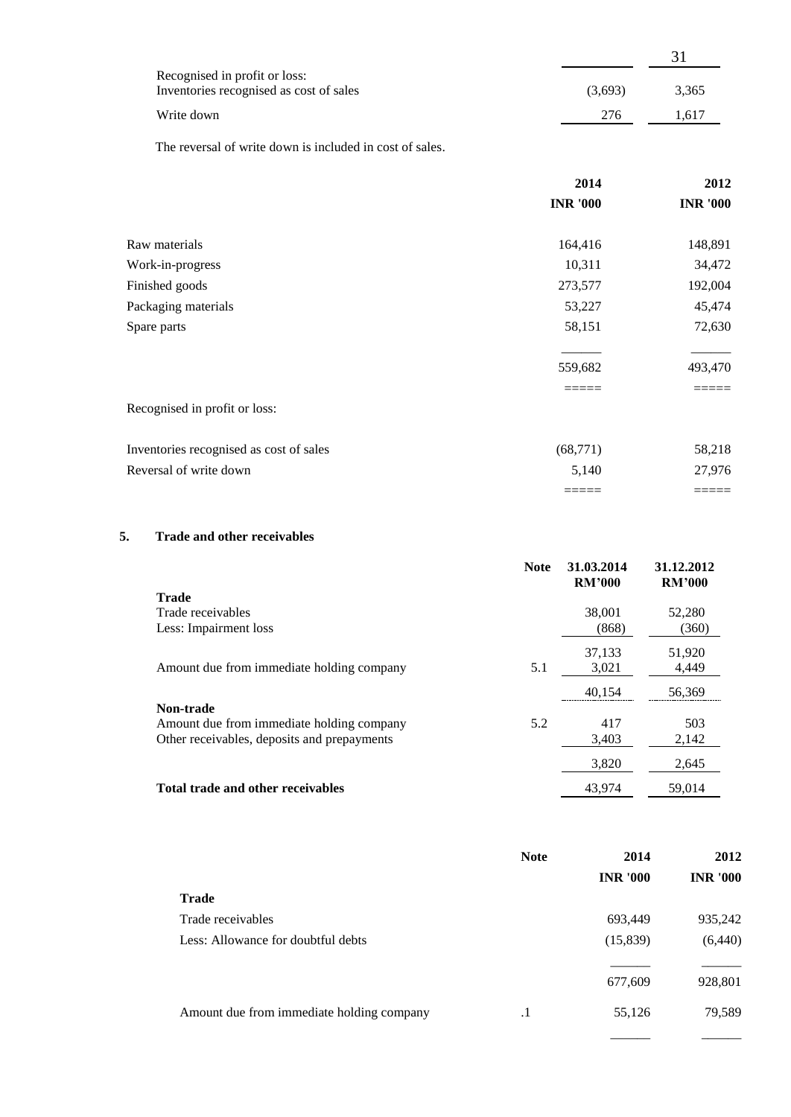| Recognised in profit or loss:<br>Inventories recognised as cost of sales | (3,693) | 3.365 |
|--------------------------------------------------------------------------|---------|-------|
| Write down                                                               | 276     | 1.617 |

The reversal of write down is included in cost of sales.

|                                         | 2014            | 2012            |
|-----------------------------------------|-----------------|-----------------|
|                                         | <b>INR '000</b> | <b>INR '000</b> |
| Raw materials                           | 164,416         | 148,891         |
| Work-in-progress                        | 10,311          | 34,472          |
| Finished goods                          | 273,577         | 192,004         |
| Packaging materials                     | 53,227          | 45,474          |
| Spare parts                             | 58,151          | 72,630          |
|                                         | 559,682         | 493,470         |
|                                         |                 |                 |
| Recognised in profit or loss:           |                 |                 |
| Inventories recognised as cost of sales | (68, 771)       | 58,218          |
| Reversal of write down                  | 5,140           | 27,976          |
|                                         |                 |                 |

# **5. Trade and other receivables**

|                                                                                          | <b>Note</b> | 31.03.2014<br><b>RM'000</b> | 31.12.2012<br><b>RM'000</b> |
|------------------------------------------------------------------------------------------|-------------|-----------------------------|-----------------------------|
| Trade                                                                                    |             |                             |                             |
| Trade receivables<br>Less: Impairment loss                                               |             | 38,001<br>(868)             | 52,280<br>(360)             |
| Amount due from immediate holding company                                                | 5.1         | 37,133<br>3,021             | 51,920<br>4,449             |
| Non-trade                                                                                |             | 40,154                      | 56,369                      |
| Amount due from immediate holding company<br>Other receivables, deposits and prepayments | 5.2         | 417<br>3,403                | 503<br>2,142                |
|                                                                                          |             | 3,820                       | 2,645                       |
| Total trade and other receivables                                                        |             | 43,974                      | 59,014                      |

|                                           | <b>Note</b> | 2014            | 2012            |
|-------------------------------------------|-------------|-----------------|-----------------|
|                                           |             | <b>INR</b> '000 | <b>INR '000</b> |
| Trade                                     |             |                 |                 |
| Trade receivables                         |             | 693,449         | 935,242         |
| Less: Allowance for doubtful debts        |             | (15,839)        | (6, 440)        |
|                                           |             | 677,609         | 928,801         |
| Amount due from immediate holding company | $\cdot$ 1   | 55,126          | 79,589          |

 $\overline{\phantom{a}}$  , and the set of  $\overline{\phantom{a}}$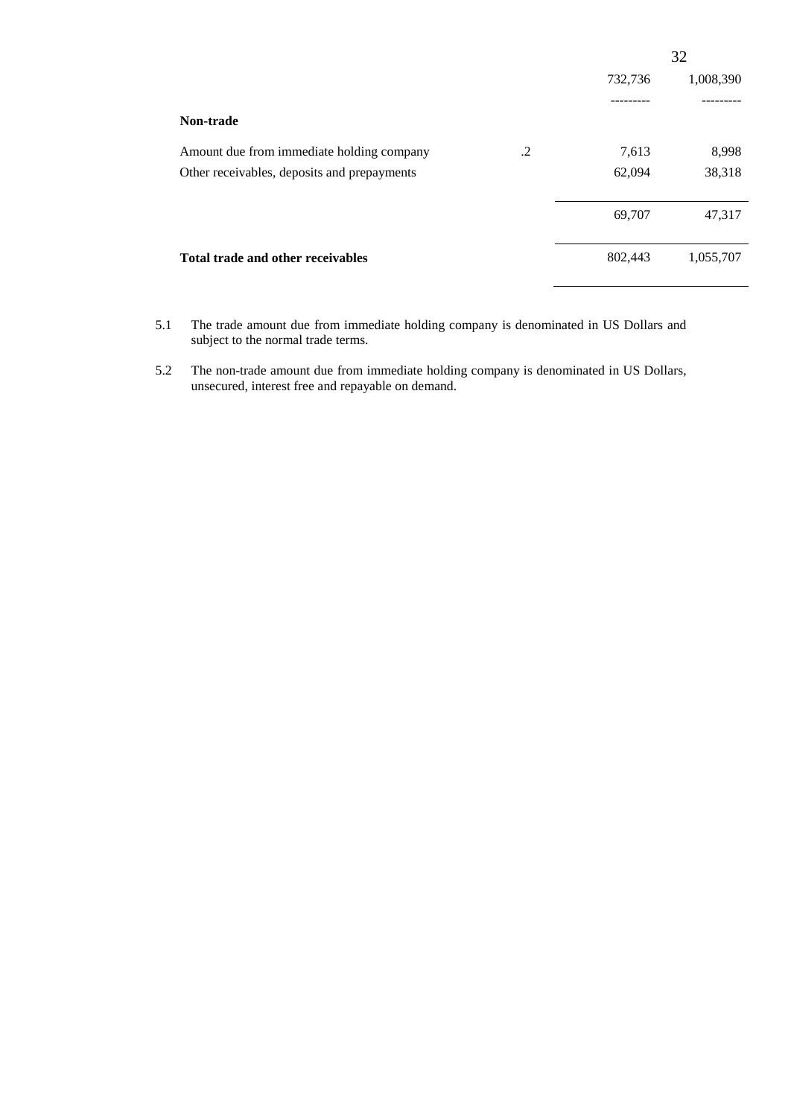|                                             |    |         | 32        |
|---------------------------------------------|----|---------|-----------|
|                                             |    | 732,736 | 1,008,390 |
|                                             |    |         |           |
| Non-trade                                   |    |         |           |
| Amount due from immediate holding company   | .2 | 7,613   | 8,998     |
| Other receivables, deposits and prepayments |    | 62,094  | 38,318    |
|                                             |    |         |           |
|                                             |    | 69,707  | 47,317    |
|                                             |    |         |           |
| Total trade and other receivables           |    | 802,443 | 1,055,707 |
|                                             |    |         |           |

- 5.1 The trade amount due from immediate holding company is denominated in US Dollars and subject to the normal trade terms.
- 5.2 The non-trade amount due from immediate holding company is denominated in US Dollars, unsecured, interest free and repayable on demand.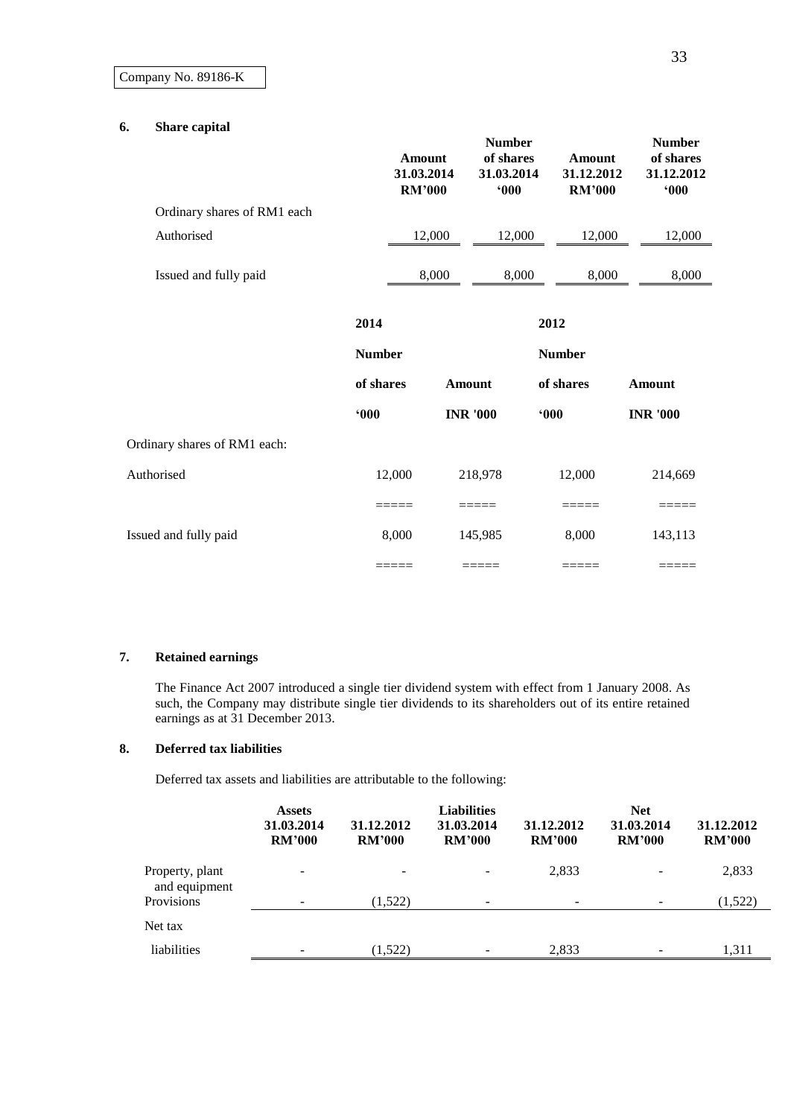# **6. Share capital**

|                              |                     | <b>Amount</b><br>31.03.2014<br><b>RM'000</b> | <b>Number</b><br>of shares<br>31.03.2014<br>000 | <b>Amount</b><br>31.12.2012<br><b>RM'000</b> | <b>Number</b><br>of shares<br>31.12.2012<br>000 |
|------------------------------|---------------------|----------------------------------------------|-------------------------------------------------|----------------------------------------------|-------------------------------------------------|
| Ordinary shares of RM1 each  |                     |                                              |                                                 |                                              |                                                 |
| Authorised                   |                     | 12,000                                       | 12,000                                          | 12,000                                       | 12,000                                          |
| Issued and fully paid        |                     | 8,000                                        | 8,000                                           | 8,000                                        | 8,000                                           |
|                              | 2014                |                                              |                                                 | 2012                                         |                                                 |
|                              | <b>Number</b>       |                                              |                                                 | <b>Number</b>                                |                                                 |
|                              | of shares           |                                              | <b>Amount</b>                                   | of shares                                    | <b>Amount</b>                                   |
|                              | 000                 |                                              | <b>INR '000</b>                                 | 000                                          | <b>INR '000</b>                                 |
| Ordinary shares of RM1 each: |                     |                                              |                                                 |                                              |                                                 |
| Authorised                   | 12,000              |                                              | 218,978                                         | 12,000                                       | 214,669                                         |
|                              | =====               |                                              | $=$ $=$ $=$ $=$ $=$                             | =====                                        |                                                 |
| Issued and fully paid        | 8,000               |                                              | 145,985                                         | 8,000                                        | 143,113                                         |
|                              | $=$ $=$ $=$ $=$ $=$ |                                              | $=$ $=$ $=$ $=$ $=$                             | $=$ $=$ $=$ $=$ $=$                          | $=$ $=$ $=$ $=$ $=$                             |

# **7. Retained earnings**

The Finance Act 2007 introduced a single tier dividend system with effect from 1 January 2008. As such, the Company may distribute single tier dividends to its shareholders out of its entire retained earnings as at 31 December 2013.

# **8. Deferred tax liabilities**

Deferred tax assets and liabilities are attributable to the following:

|                                  | <b>Assets</b>               |                             | <b>Liabilities</b>          |                             | <b>Net</b>                   |                             |
|----------------------------------|-----------------------------|-----------------------------|-----------------------------|-----------------------------|------------------------------|-----------------------------|
|                                  | 31.03.2014<br><b>RM'000</b> | 31.12.2012<br><b>RM'000</b> | 31.03.2014<br><b>RM'000</b> | 31.12.2012<br><b>RM'000</b> | 31.03.2014<br><b>RM'000</b>  | 31.12.2012<br><b>RM'000</b> |
| Property, plant<br>and equipment | -                           | $\overline{\phantom{0}}$    | $\overline{\phantom{a}}$    | 2,833                       | $\qquad \qquad \blacksquare$ | 2,833                       |
| Provisions                       |                             | (1,522)                     | $\overline{\phantom{a}}$    | -                           | $\qquad \qquad \blacksquare$ | (1,522)                     |
| Net tax                          |                             |                             |                             |                             |                              |                             |
| liabilities                      |                             | (1,522)                     | $\overline{\phantom{a}}$    | 2,833                       | $\qquad \qquad \blacksquare$ | 1,311                       |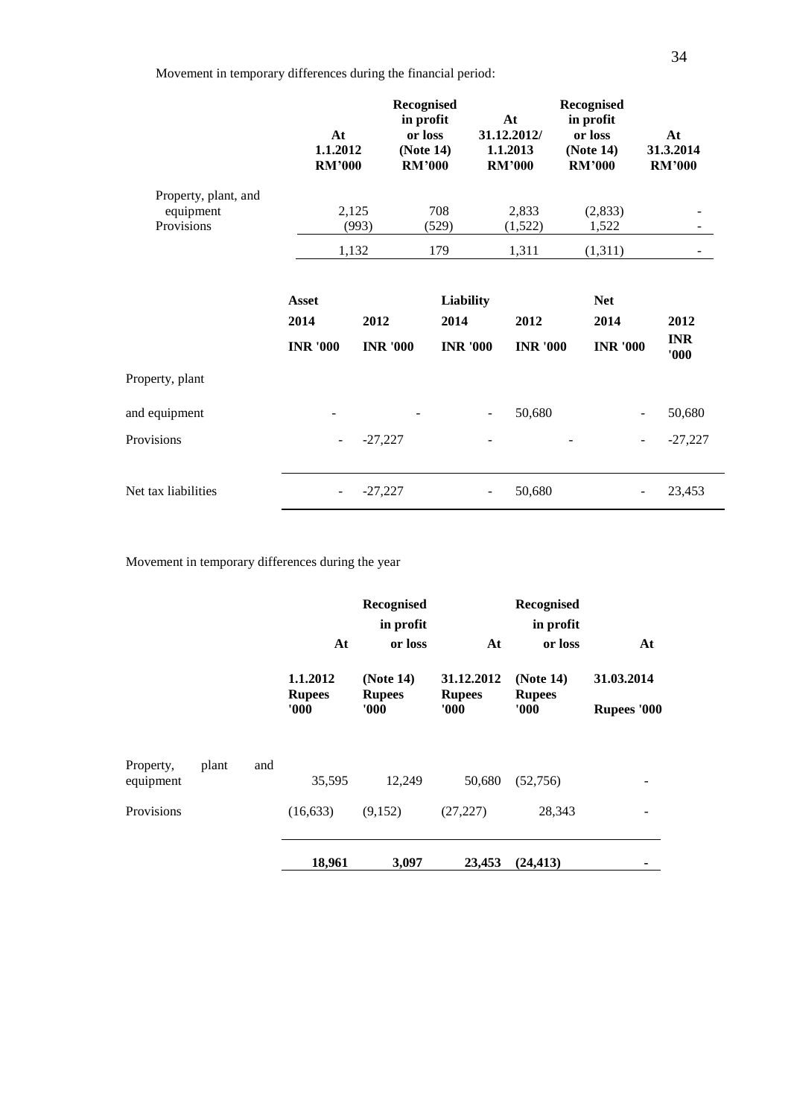Movement in temporary differences during the financial period:

|                                                 | At<br>1.1.2012<br><b>RM'000</b> |                 | Recognised<br>in profit<br>or loss<br>(Note 14)<br><b>RM'000</b> | At<br>31.12.2012/<br>1.1.2013<br><b>RM'000</b> | Recognised<br>in profit<br>or loss<br>(Note 14)<br><b>RM'000</b> | At<br>31.3.2014<br><b>RM'000</b> |
|-------------------------------------------------|---------------------------------|-----------------|------------------------------------------------------------------|------------------------------------------------|------------------------------------------------------------------|----------------------------------|
| Property, plant, and<br>equipment<br>Provisions |                                 | 2,125<br>(993)  | 708<br>(529)                                                     | 2,833<br>(1,522)                               | (2,833)<br>1,522                                                 |                                  |
|                                                 |                                 | 1,132           | 179                                                              | 1,311                                          | (1,311)                                                          |                                  |
|                                                 | <b>Asset</b>                    |                 | <b>Liability</b>                                                 |                                                | <b>Net</b>                                                       |                                  |
|                                                 | 2014                            | 2012            | 2014                                                             | 2012                                           | 2014                                                             | 2012                             |
|                                                 | <b>INR '000</b>                 | <b>INR '000</b> | <b>INR '000</b>                                                  | <b>INR '000</b>                                | <b>INR '000</b>                                                  | <b>INR</b><br>'000               |
| Property, plant                                 |                                 |                 |                                                                  |                                                |                                                                  |                                  |
| and equipment                                   |                                 |                 |                                                                  | 50,680<br>$\overline{\phantom{0}}$             | $\overline{\phantom{a}}$                                         | 50,680                           |
| Provisions                                      |                                 | $-27,227$       |                                                                  |                                                | -                                                                | $-27,227$                        |
| Net tax liabilities                             | $\overline{\phantom{a}}$        | $-27,227$       |                                                                  | 50,680<br>$\overline{\phantom{a}}$             | $\overline{\phantom{a}}$                                         | 23,453                           |

Movement in temporary differences during the year

|                        |       |     | At                                 | Recognised<br>in profit<br>or loss  | At                                   | Recognised<br>in profit<br>or loss  | At                        |
|------------------------|-------|-----|------------------------------------|-------------------------------------|--------------------------------------|-------------------------------------|---------------------------|
|                        |       |     | 1.1.2012<br><b>Rupees</b><br>'000' | (Note 14)<br><b>Rupees</b><br>'000' | 31.12.2012<br><b>Rupees</b><br>'000' | (Note 14)<br><b>Rupees</b><br>'000' | 31.03.2014<br>Rupees '000 |
| Property,<br>equipment | plant | and | 35,595                             | 12,249                              | 50,680                               | (52,756)                            |                           |
| Provisions             |       |     | (16, 633)                          | (9,152)                             | (27, 227)                            | 28,343                              |                           |
|                        |       |     | 18,961                             | 3,097                               | 23,453                               | (24, 413)                           |                           |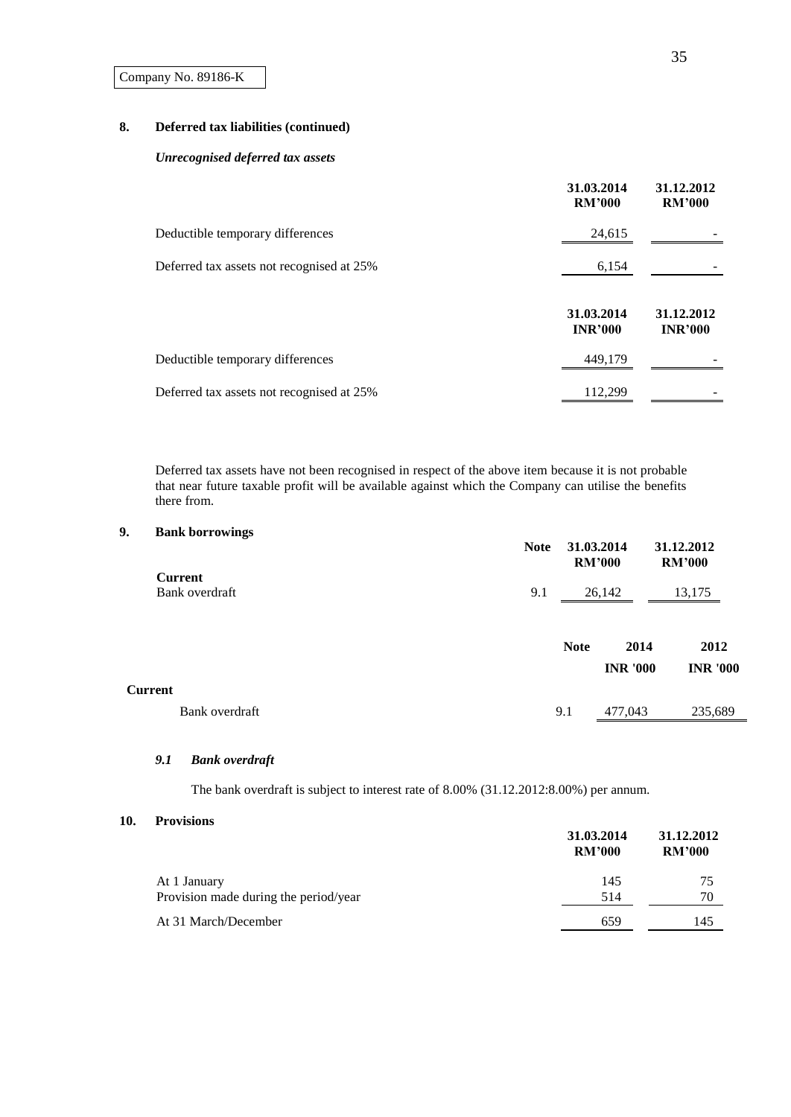# **8. Deferred tax liabilities (continued)**

# *Unrecognised deferred tax assets*

|                                           | 31.03.2014<br><b>RM'000</b>  | 31.12.2012<br><b>RM'000</b>  |
|-------------------------------------------|------------------------------|------------------------------|
| Deductible temporary differences          | 24,615                       |                              |
| Deferred tax assets not recognised at 25% | 6,154                        |                              |
|                                           | 31.03.2014<br><b>INR'000</b> | 31.12.2012<br><b>INR'000</b> |
| Deductible temporary differences          | 449,179                      |                              |
| Deferred tax assets not recognised at 25% | 112,299                      |                              |

Deferred tax assets have not been recognised in respect of the above item because it is not probable that near future taxable profit will be available against which the Company can utilise the benefits there from.

# **9. Bank borrowings**

|                                  | <b>Note</b> | 31.03.2014<br><b>RM'000</b> |                         | 31.12.2012<br><b>RM'000</b> |
|----------------------------------|-------------|-----------------------------|-------------------------|-----------------------------|
| <b>Current</b><br>Bank overdraft | 9.1         |                             | 26,142                  | 13,175                      |
|                                  |             | <b>Note</b>                 | 2014<br><b>INR '000</b> | 2012<br><b>INR</b> '000     |
| <b>Current</b>                   |             |                             |                         |                             |
| Bank overdraft                   |             | 9.1                         | 477,043                 | 235,689                     |

# *9.1 Bank overdraft*

The bank overdraft is subject to interest rate of 8.00% (31.12.2012:8.00%) per annum.

# **10. Provisions**

|                                       | 31.03.2014<br><b>RM'000</b> | 31.12.2012<br><b>RM'000</b> |
|---------------------------------------|-----------------------------|-----------------------------|
| At 1 January                          | 145                         | 75                          |
| Provision made during the period/year | 514                         | 70                          |
| At 31 March/December                  | 659                         | 145                         |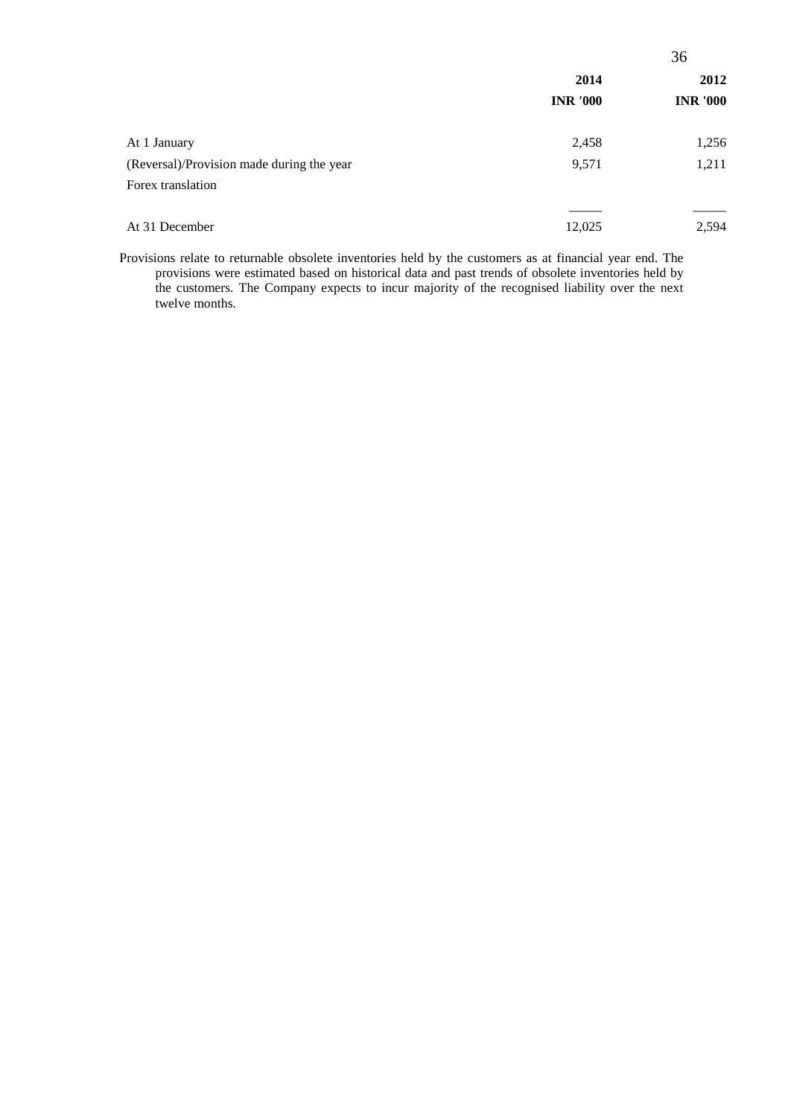|                                           | 36              |                 |  |
|-------------------------------------------|-----------------|-----------------|--|
|                                           | 2014            | 2012            |  |
|                                           | <b>INR '000</b> | <b>INR '000</b> |  |
| At 1 January                              | 2,458           | 1,256           |  |
| (Reversal)/Provision made during the year | 9,571           | 1,211           |  |
| Forex translation                         |                 |                 |  |
|                                           |                 |                 |  |
| At 31 December                            | 12,025          | 2,594           |  |

Provisions relate to returnable obsolete inventories held by the customers as at financial year end. The provisions were estimated based on historical data and past trends of obsolete inventories held by the customers. The Company expects to incur majority of the recognised liability over the next twelve months.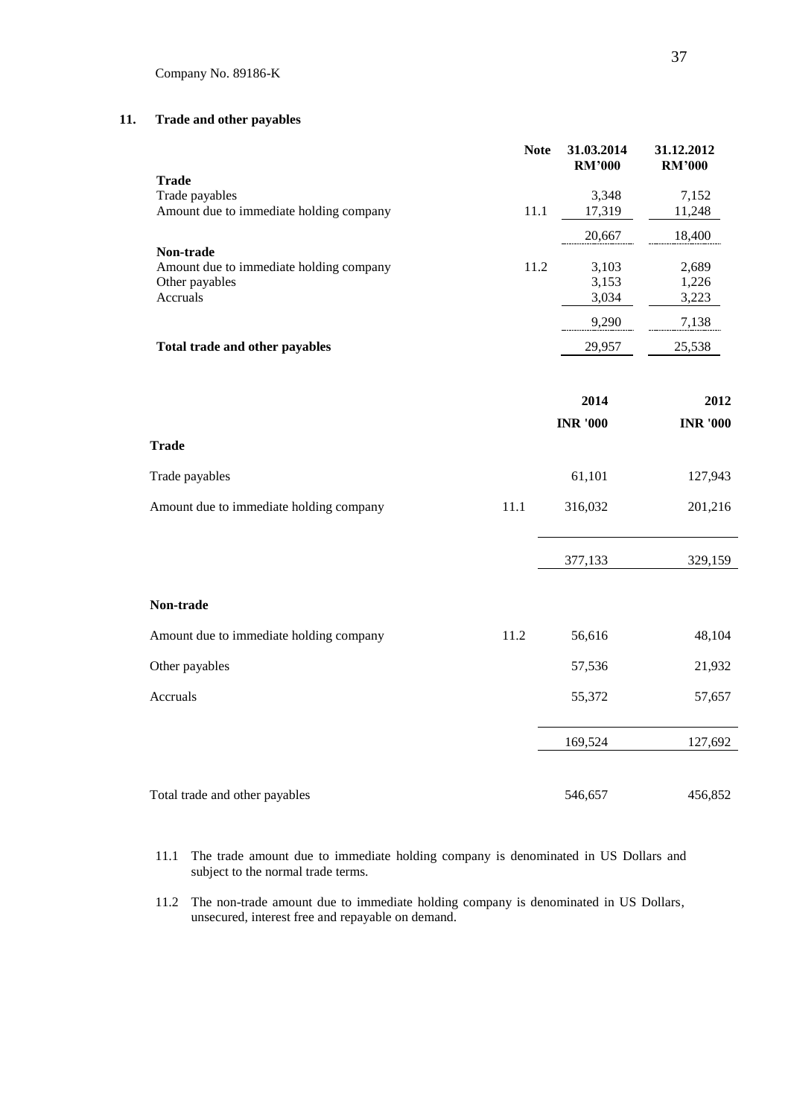# **11. Trade and other payables**

|                                                           | <b>Note</b> | 31.03.2014<br><b>RM'000</b> | 31.12.2012<br><b>RM'000</b> |
|-----------------------------------------------------------|-------------|-----------------------------|-----------------------------|
| <b>Trade</b>                                              |             |                             |                             |
| Trade payables<br>Amount due to immediate holding company | 11.1        | 3,348<br>17,319             | 7,152<br>11,248             |
|                                                           |             |                             |                             |
| Non-trade                                                 |             | 20,667                      | 18,400                      |
| Amount due to immediate holding company                   | 11.2        | 3,103                       | 2,689                       |
| Other payables                                            |             | 3,153                       | 1,226                       |
| Accruals                                                  |             | 3,034                       | 3,223                       |
|                                                           |             | 9,290                       | 7,138                       |
| Total trade and other payables                            |             | 29,957                      | 25,538                      |
|                                                           |             | 2014                        | 2012                        |
|                                                           |             | <b>INR '000</b>             | <b>INR '000</b>             |
| <b>Trade</b>                                              |             |                             |                             |
| Trade payables                                            |             | 61,101                      | 127,943                     |
| Amount due to immediate holding company                   | 11.1        | 316,032                     | 201,216                     |
|                                                           |             | 377,133                     | 329,159                     |
| Non-trade                                                 |             |                             |                             |
| Amount due to immediate holding company                   | 11.2        | 56,616                      | 48,104                      |
| Other payables                                            |             | 57,536                      | 21,932                      |
| Accruals                                                  |             | 55,372                      | 57,657                      |
|                                                           |             | 169,524                     | 127,692                     |
| Total trade and other payables                            |             | 546,657                     | 456,852                     |

- 11.1 The trade amount due to immediate holding company is denominated in US Dollars and subject to the normal trade terms.
- 11.2 The non-trade amount due to immediate holding company is denominated in US Dollars, unsecured, interest free and repayable on demand.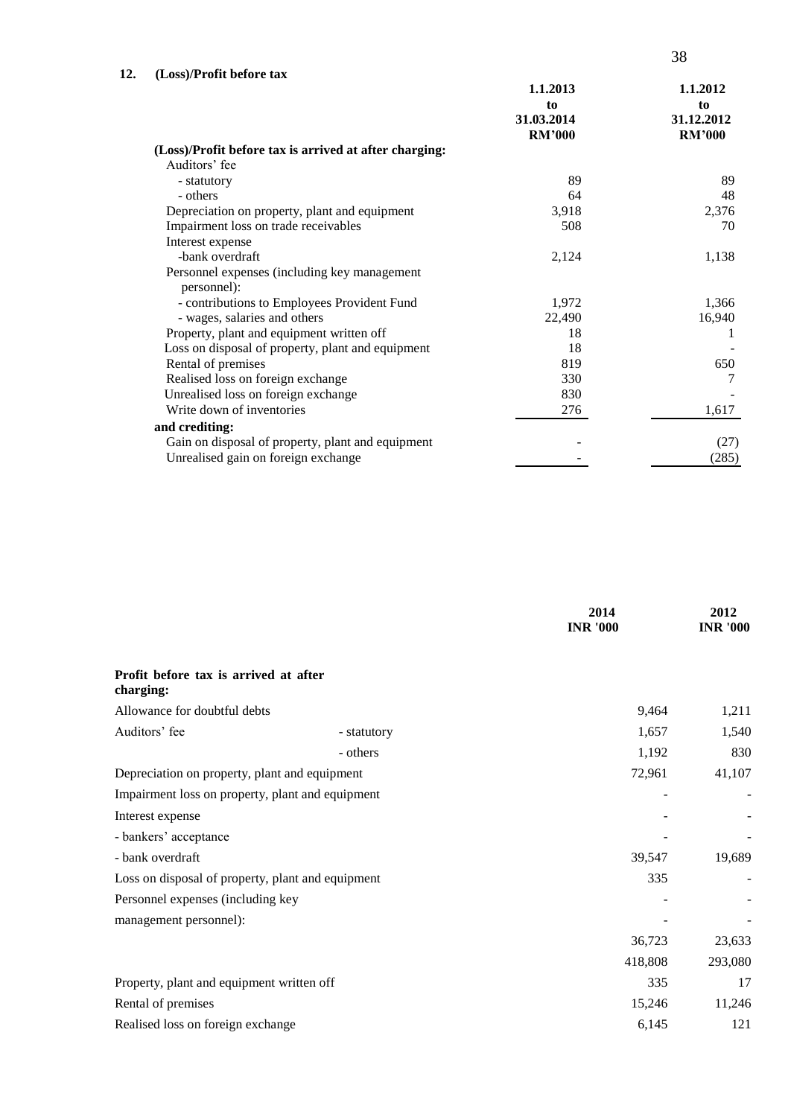**12.** 

| (Loss)/Profit before tax                               |               |               |
|--------------------------------------------------------|---------------|---------------|
|                                                        | 1.1.2013      | 1.1.2012      |
|                                                        | to            | to            |
|                                                        | 31.03.2014    | 31.12.2012    |
|                                                        | <b>RM'000</b> | <b>RM'000</b> |
| (Loss)/Profit before tax is arrived at after charging: |               |               |
| Auditors' fee                                          |               |               |
| - statutory                                            | 89            | 89            |
| - others                                               | 64            | 48            |
| Depreciation on property, plant and equipment          | 3,918         | 2,376         |
| Impairment loss on trade receivables                   | 508           | 70            |
| Interest expense                                       |               |               |
| -bank overdraft                                        | 2,124         | 1,138         |
| Personnel expenses (including key management           |               |               |
| personnel):                                            |               |               |
| - contributions to Employees Provident Fund            | 1,972         | 1,366         |
| - wages, salaries and others                           | 22,490        | 16,940        |
| Property, plant and equipment written off              | 18            | 1             |
| Loss on disposal of property, plant and equipment      | 18            |               |
| Rental of premises                                     | 819           | 650           |
| Realised loss on foreign exchange                      | 330           | 7             |
| Unrealised loss on foreign exchange                    | 830           |               |
| Write down of inventories                              | 276           | 1,617         |
| and crediting:                                         |               |               |
| Gain on disposal of property, plant and equipment      |               | (27)          |
| Unrealised gain on foreign exchange                    |               | (285)         |

|                                                    |             | 2014<br><b>INR '000</b> | 2012<br><b>INR '000</b> |
|----------------------------------------------------|-------------|-------------------------|-------------------------|
| Profit before tax is arrived at after<br>charging: |             |                         |                         |
| Allowance for doubtful debts                       |             | 9,464                   | 1,211                   |
| Auditors' fee                                      | - statutory | 1,657                   | 1,540                   |
|                                                    | - others    | 1,192                   | 830                     |
| Depreciation on property, plant and equipment      |             | 72,961                  | 41,107                  |
| Impairment loss on property, plant and equipment   |             |                         |                         |
| Interest expense                                   |             |                         |                         |
| - bankers' acceptance                              |             |                         |                         |
| - bank overdraft                                   |             | 39,547                  | 19,689                  |
| Loss on disposal of property, plant and equipment  |             | 335                     |                         |
| Personnel expenses (including key                  |             |                         |                         |
| management personnel):                             |             |                         |                         |
|                                                    |             | 36,723                  | 23,633                  |
|                                                    |             | 418,808                 | 293,080                 |
| Property, plant and equipment written off          |             | 335                     | 17                      |
| Rental of premises                                 |             | 15,246                  | 11,246                  |
| Realised loss on foreign exchange                  |             | 6,145                   | 121                     |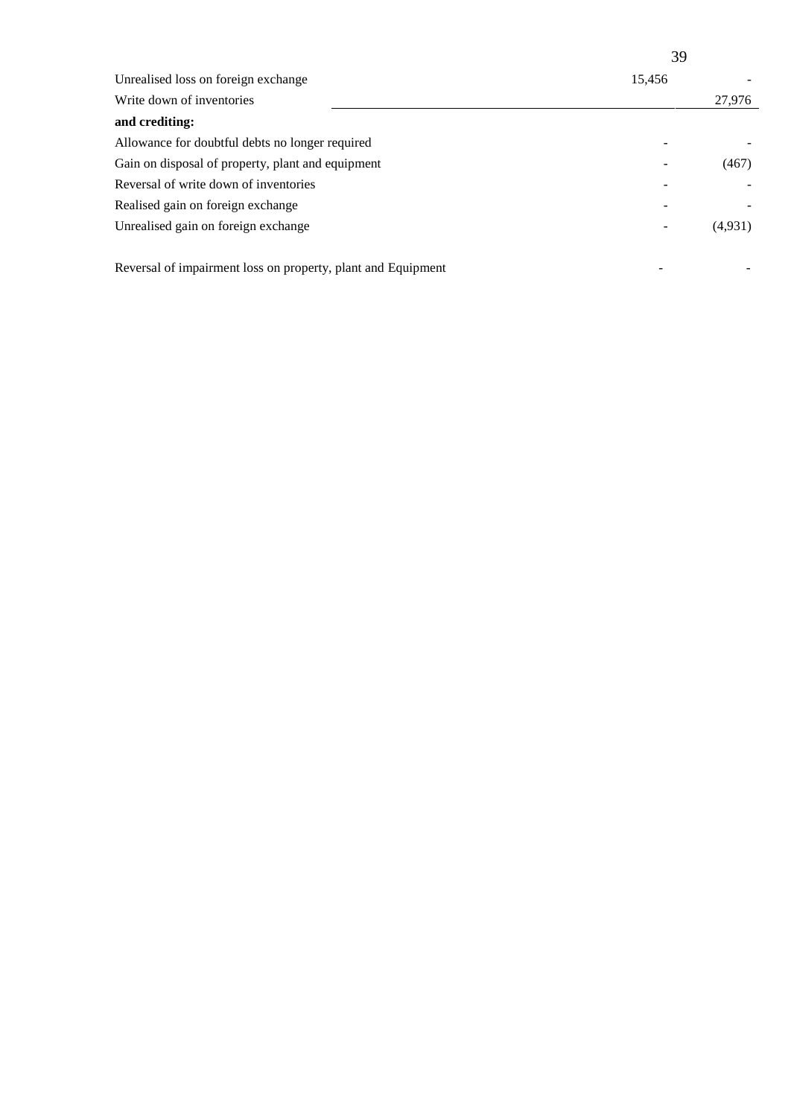|                                                              | 39     |         |
|--------------------------------------------------------------|--------|---------|
| Unrealised loss on foreign exchange                          | 15,456 |         |
| Write down of inventories                                    |        | 27,976  |
| and crediting:                                               |        |         |
| Allowance for doubtful debts no longer required              |        |         |
| Gain on disposal of property, plant and equipment            |        | (467)   |
| Reversal of write down of inventories                        |        |         |
| Realised gain on foreign exchange                            |        |         |
| Unrealised gain on foreign exchange                          |        | (4,931) |
|                                                              |        |         |
| Reversal of impairment loss on property, plant and Equipment |        |         |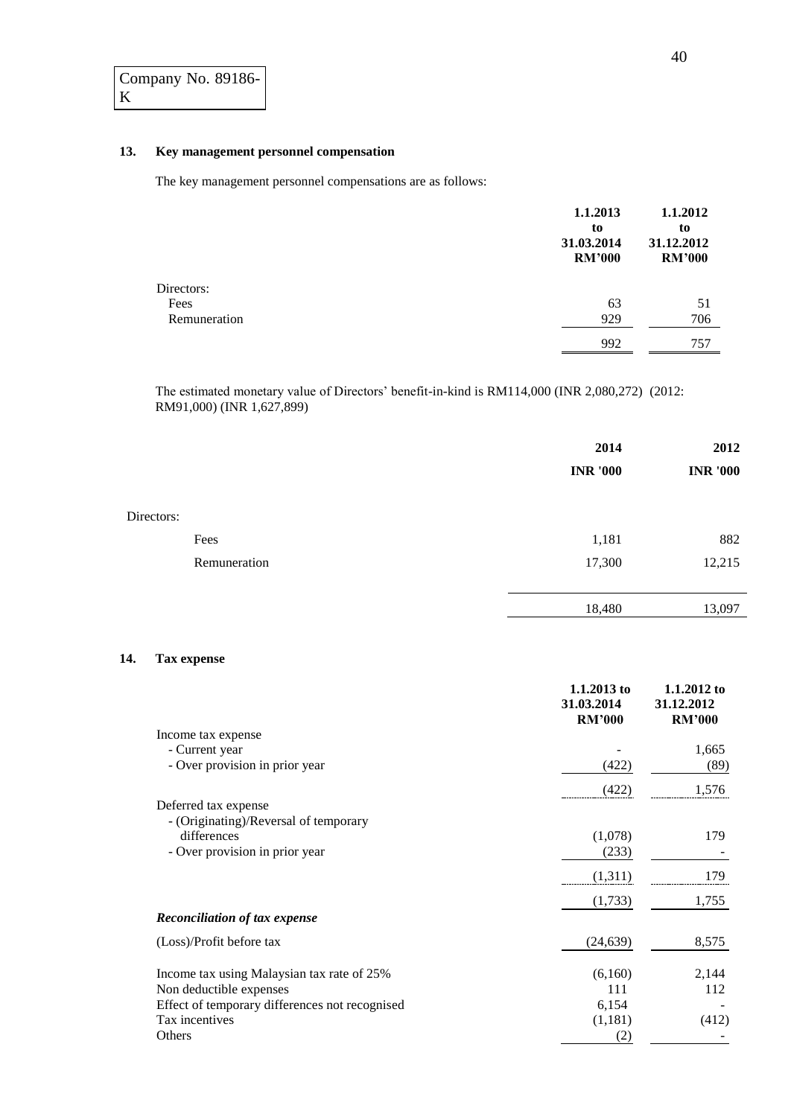# **13. Key management personnel compensation**

The key management personnel compensations are as follows:

|              | 1.1.2013<br>to<br>31.03.2014<br><b>RM'000</b> | 1.1.2012<br>to<br>31.12.2012<br><b>RM'000</b> |
|--------------|-----------------------------------------------|-----------------------------------------------|
| Directors:   |                                               |                                               |
| Fees         | 63                                            | 51                                            |
| Remuneration | 929                                           | 706                                           |
|              | 992                                           | 757                                           |
|              |                                               |                                               |

The estimated monetary value of Directors' benefit-in-kind is RM114,000 (INR 2,080,272) (2012: RM91,000) (INR 1,627,899)

|            |                      | 2014<br><b>INR '000</b> | 2012<br><b>INR '000</b> |
|------------|----------------------|-------------------------|-------------------------|
| Directors: |                      |                         |                         |
|            | Fees<br>Remuneration | 1,181<br>17,300         | 882<br>12,215           |
|            |                      |                         |                         |
|            |                      | 18,480                  | 13,097                  |

# **14. Tax expense**

|                                                | 1.1.2013 to<br>31.03.2014<br><b>RM'000</b> | 1.1.2012 to<br>31.12.2012<br><b>RM'000</b> |
|------------------------------------------------|--------------------------------------------|--------------------------------------------|
| Income tax expense                             |                                            |                                            |
| - Current year                                 |                                            | 1,665                                      |
| - Over provision in prior year                 | (422)                                      | (89)                                       |
|                                                | (422)                                      | 1,576                                      |
| Deferred tax expense                           |                                            |                                            |
| - (Originating)/Reversal of temporary          |                                            |                                            |
| differences                                    | (1,078)                                    | 179                                        |
| - Over provision in prior year                 | (233)                                      |                                            |
|                                                | (1,311)                                    | 179                                        |
|                                                | (1,733)                                    | 1,755                                      |
| <b>Reconciliation of tax expense</b>           |                                            |                                            |
| (Loss)/Profit before tax                       | (24, 639)                                  | 8,575                                      |
| Income tax using Malaysian tax rate of 25%     | (6,160)                                    | 2,144                                      |
| Non deductible expenses                        | 111                                        | 112                                        |
| Effect of temporary differences not recognised | 6,154                                      |                                            |
| Tax incentives                                 | (1,181)                                    | (412)                                      |
| Others                                         | (2)                                        |                                            |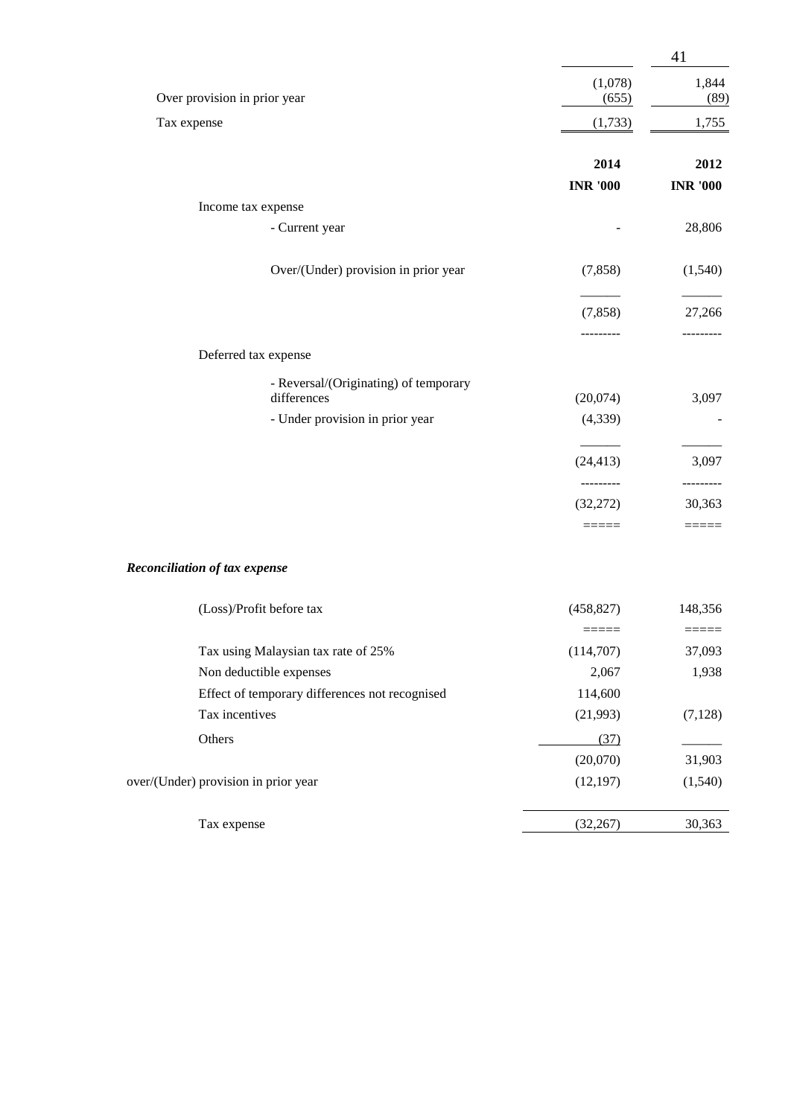|                              |                                                                                         |                         | 41                      |
|------------------------------|-----------------------------------------------------------------------------------------|-------------------------|-------------------------|
| Over provision in prior year |                                                                                         | (1,078)<br>(655)        | 1,844<br>(89)           |
| Tax expense                  |                                                                                         | (1,733)                 | 1,755                   |
|                              |                                                                                         | 2014<br><b>INR '000</b> | 2012<br><b>INR '000</b> |
|                              | Income tax expense                                                                      |                         |                         |
|                              | - Current year                                                                          |                         | 28,806                  |
|                              | Over/(Under) provision in prior year                                                    | (7, 858)                | (1,540)                 |
|                              |                                                                                         | (7, 858)                | 27,266                  |
|                              |                                                                                         |                         |                         |
|                              | Deferred tax expense                                                                    |                         |                         |
|                              | - Reversal/(Originating) of temporary<br>differences<br>- Under provision in prior year | (20,074)<br>(4, 339)    | 3,097                   |
|                              |                                                                                         | (24, 413)               | 3,097                   |
|                              |                                                                                         | (32, 272)               | 30,363                  |
|                              |                                                                                         |                         |                         |

| <b>Reconciliation of tax expense</b> |  |  |  |  |
|--------------------------------------|--|--|--|--|
|--------------------------------------|--|--|--|--|

| (Loss)/Profit before tax                       | (458, 827) | 148,356 |
|------------------------------------------------|------------|---------|
|                                                |            |         |
| Tax using Malaysian tax rate of 25%            | (114,707)  | 37,093  |
| Non deductible expenses                        | 2,067      | 1,938   |
| Effect of temporary differences not recognised | 114,600    |         |
| Tax incentives                                 | (21,993)   | (7,128) |
| <b>Others</b>                                  | (37)       |         |
|                                                | (20,070)   | 31,903  |
| over/(Under) provision in prior year           | (12, 197)  | (1,540) |
|                                                |            |         |
| Tax expense                                    | (32.267)   | 30,363  |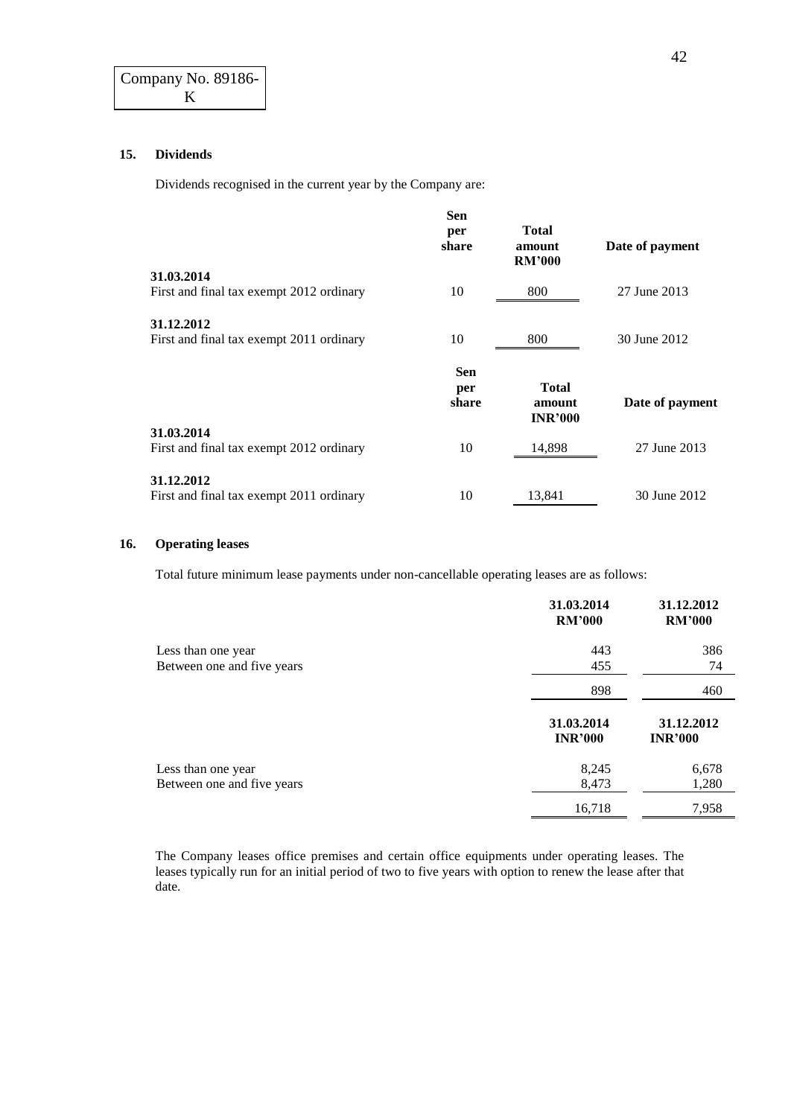# **15. Dividends**

Dividends recognised in the current year by the Company are:

|                                                        | <b>Sen</b><br>per<br>share | <b>Total</b><br>amount<br><b>RM'000</b>  | Date of payment |
|--------------------------------------------------------|----------------------------|------------------------------------------|-----------------|
| 31.03.2014<br>First and final tax exempt 2012 ordinary | 10                         | 800                                      | 27 June 2013    |
| 31.12.2012<br>First and final tax exempt 2011 ordinary | 10                         | 800                                      | 30 June 2012    |
|                                                        | Sen<br>per<br>share        | <b>Total</b><br>amount<br><b>INR'000</b> | Date of payment |
| 31.03.2014<br>First and final tax exempt 2012 ordinary | 10                         | 14,898                                   | 27 June 2013    |
| 31.12.2012<br>First and final tax exempt 2011 ordinary | 10                         | 13,841                                   | 30 June 2012    |

# **16. Operating leases**

Total future minimum lease payments under non-cancellable operating leases are as follows:

|                            | 31.03.2014<br><b>RM'000</b>  | 31.12.2012<br><b>RM'000</b>  |
|----------------------------|------------------------------|------------------------------|
| Less than one year         | 443                          | 386                          |
| Between one and five years | 455                          | 74                           |
|                            | 898                          | 460                          |
|                            | 31.03.2014<br><b>INR'000</b> | 31.12.2012<br><b>INR'000</b> |
| Less than one year         | 8,245                        | 6,678                        |
| Between one and five years | 8,473                        | 1,280                        |
|                            | 16,718                       | 7,958                        |

The Company leases office premises and certain office equipments under operating leases. The leases typically run for an initial period of two to five years with option to renew the lease after that date.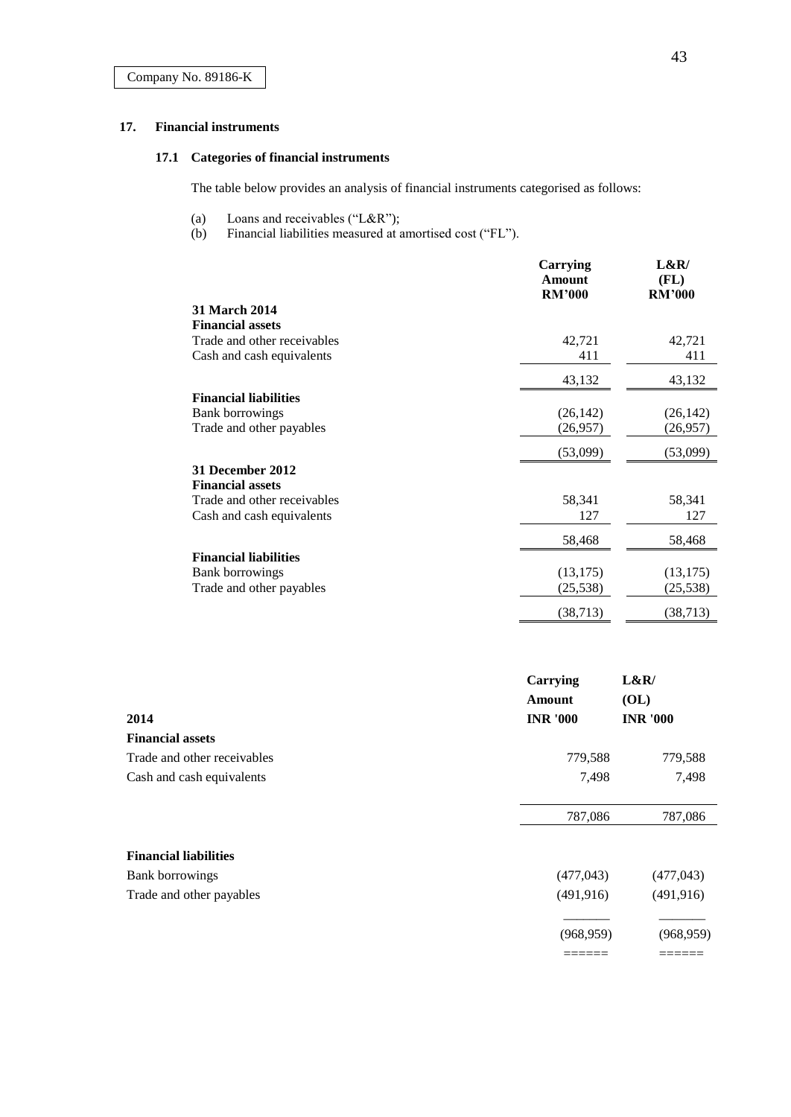# **17. Financial instruments**

# **17.1 Categories of financial instruments**

The table below provides an analysis of financial instruments categorised as follows:

- (a) Loans and receivables ("L&R");
- (b) Financial liabilities measured at amortised cost ("FL").

|                              | Carrying<br>Amount<br><b>RM'000</b> | L&R/<br>(FL)<br><b>RM'000</b> |
|------------------------------|-------------------------------------|-------------------------------|
| 31 March 2014                |                                     |                               |
| <b>Financial assets</b>      |                                     |                               |
| Trade and other receivables  | 42,721                              | 42,721                        |
| Cash and cash equivalents    | 411                                 | 411                           |
|                              | 43,132                              | 43,132                        |
| <b>Financial liabilities</b> |                                     |                               |
| <b>Bank borrowings</b>       | (26, 142)                           | (26, 142)                     |
| Trade and other payables     | (26,957)                            | (26,957)                      |
|                              | (53,099)                            | (53,099)                      |
| 31 December 2012             |                                     |                               |
| <b>Financial assets</b>      |                                     |                               |
| Trade and other receivables  | 58,341                              | 58,341                        |
| Cash and cash equivalents    | 127                                 | 127                           |
|                              | 58,468                              | 58,468                        |
| <b>Financial liabilities</b> |                                     |                               |
| <b>Bank borrowings</b>       | (13, 175)                           | (13, 175)                     |
| Trade and other payables     | (25, 538)                           | (25, 538)                     |
|                              | (38, 713)                           | (38, 713)                     |

|                              | Carrying        | L&R/              |
|------------------------------|-----------------|-------------------|
|                              | Amount          | (O <sub>L</sub> ) |
| 2014                         | <b>INR '000</b> | <b>INR '000</b>   |
| <b>Financial assets</b>      |                 |                   |
| Trade and other receivables  | 779,588         | 779,588           |
| Cash and cash equivalents    | 7,498           | 7,498             |
|                              | 787,086         | 787,086           |
| <b>Financial liabilities</b> |                 |                   |
| <b>Bank borrowings</b>       | (477, 043)      | (477, 043)        |
| Trade and other payables     | (491, 916)      | (491, 916)        |
|                              |                 |                   |
|                              | (968, 959)      | (968, 959)        |
|                              | -------         | -------           |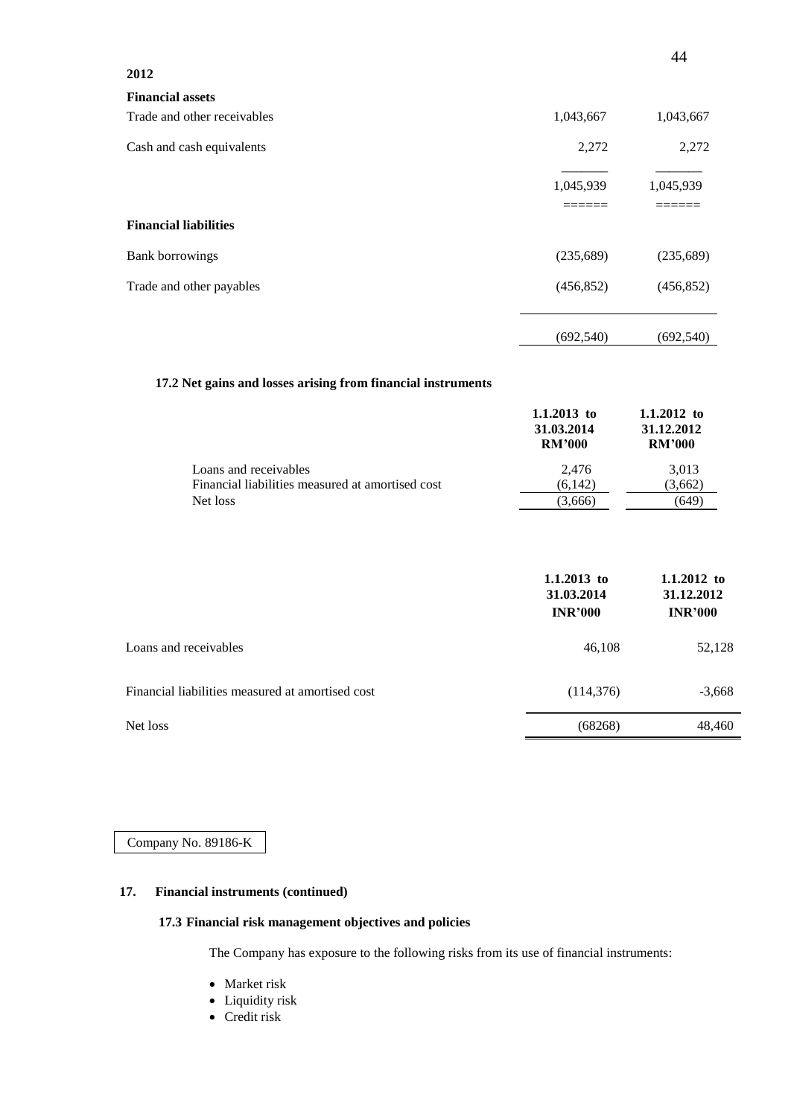| 2012                         |            |            |
|------------------------------|------------|------------|
| <b>Financial assets</b>      |            |            |
| Trade and other receivables  | 1,043,667  | 1,043,667  |
| Cash and cash equivalents    | 2,272      | 2,272      |
|                              | 1,045,939  | 1,045,939  |
|                              |            |            |
| <b>Financial liabilities</b> |            |            |
| <b>Bank borrowings</b>       | (235,689)  | (235, 689) |
| Trade and other payables     | (456, 852) | (456, 852) |
|                              | (692, 540) | (692, 540) |

# **17.2 Net gains and losses arising from financial instruments**

|                                                  | 1.1.2013 to<br>31.03.2014<br><b>RM'000</b> | $1.1.2012$ to<br>31.12.2012<br><b>RM'000</b> |
|--------------------------------------------------|--------------------------------------------|----------------------------------------------|
| Loans and receivables                            | 2.476                                      | 3,013                                        |
| Financial liabilities measured at amortised cost | (6,142)                                    | (3,662)                                      |
| Net loss                                         | (3,666)                                    | 649)                                         |

|                                                  | $1.1.2013$ to<br>31.03.2014<br><b>INR'000</b> | $1.1.2012$ to<br>31.12.2012<br><b>INR'000</b> |
|--------------------------------------------------|-----------------------------------------------|-----------------------------------------------|
| Loans and receivables                            | 46,108                                        | 52,128                                        |
| Financial liabilities measured at amortised cost | (114, 376)                                    | $-3,668$                                      |
| Net loss                                         | (68268)                                       | 48,460                                        |

Company No. 89186-K

# **17. Financial instruments (continued)**

# **17.3 Financial risk management objectives and policies**

The Company has exposure to the following risks from its use of financial instruments:

- Market risk
- Liquidity risk
- Credit risk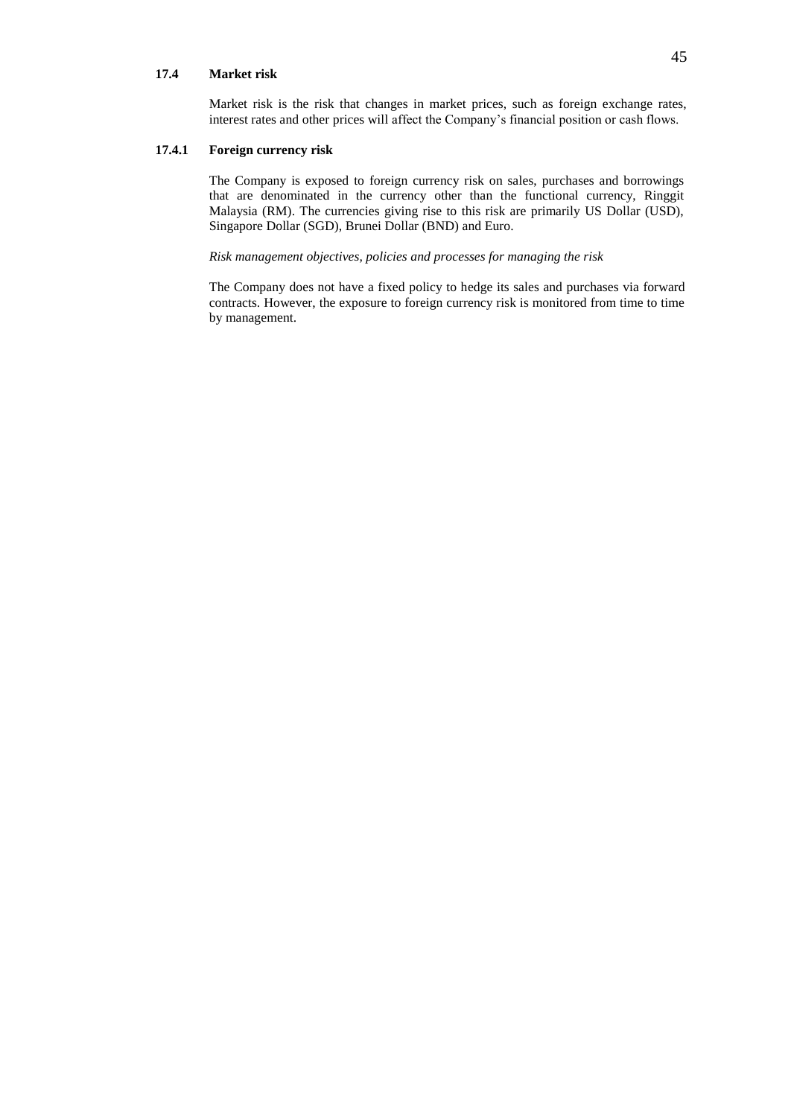## **17.4 Market risk**

Market risk is the risk that changes in market prices, such as foreign exchange rates, interest rates and other prices will affect the Company's financial position or cash flows.

# **17.4.1 Foreign currency risk**

The Company is exposed to foreign currency risk on sales, purchases and borrowings that are denominated in the currency other than the functional currency, Ringgit Malaysia (RM). The currencies giving rise to this risk are primarily US Dollar (USD), Singapore Dollar (SGD), Brunei Dollar (BND) and Euro.

## *Risk management objectives, policies and processes for managing the risk*

The Company does not have a fixed policy to hedge its sales and purchases via forward contracts. However, the exposure to foreign currency risk is monitored from time to time by management.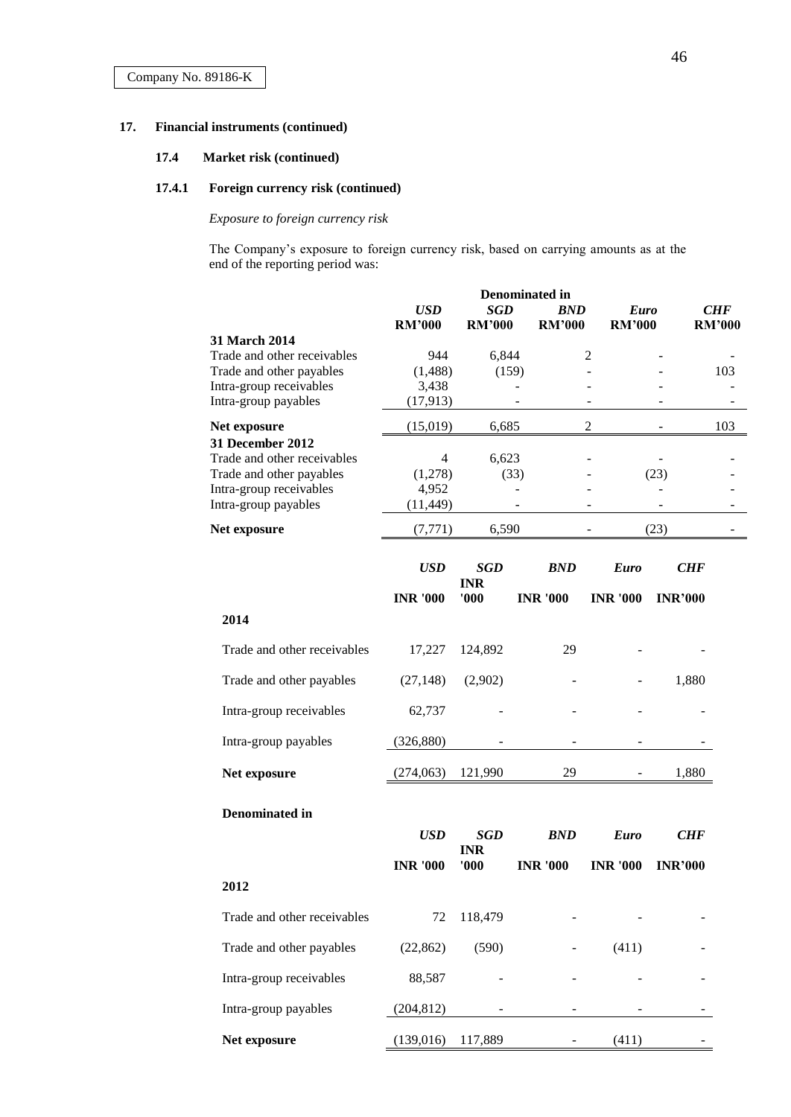# **17.4 Market risk (continued)**

# **17.4.1 Foreign currency risk (continued)**

# *Exposure to foreign currency risk*

The Company's exposure to foreign currency risk, based on carrying amounts as at the end of the reporting period was:

|                                                 |                    |                          | <b>Denominated in</b> |                 |                |               |
|-------------------------------------------------|--------------------|--------------------------|-----------------------|-----------------|----------------|---------------|
|                                                 | <b>USD</b>         | <b>SGD</b>               | <b>BND</b>            | Euro            |                | <b>CHF</b>    |
| 31 March 2014                                   | <b>RM'000</b>      | <b>RM'000</b>            | <b>RM'000</b>         | <b>RM'000</b>   |                | <b>RM'000</b> |
| Trade and other receivables                     | 944                | 6,844                    |                       | 2               |                |               |
| Trade and other payables                        | (1, 488)           | (159)                    |                       |                 |                | 103           |
| Intra-group receivables<br>Intra-group payables | 3,438<br>(17, 913) |                          |                       |                 |                |               |
|                                                 |                    |                          |                       |                 |                |               |
| Net exposure<br>31 December 2012                | (15,019)           | 6,685                    |                       | 2               |                | 103           |
| Trade and other receivables                     | $\overline{4}$     | 6,623                    |                       |                 |                |               |
| Trade and other payables                        | (1,278)            |                          | (33)                  |                 | (23)           |               |
| Intra-group receivables                         | 4,952              |                          |                       |                 |                |               |
| Intra-group payables                            | (11, 449)          |                          |                       |                 |                |               |
| Net exposure                                    | (7, 771)           | 6,590                    |                       |                 | (23)           |               |
|                                                 | <b>USD</b>         | <b>SGD</b><br><b>INR</b> | <b>BND</b>            | Euro            | <b>CHF</b>     |               |
|                                                 | <b>INR '000</b>    | '000                     | <b>INR '000</b>       | <b>INR '000</b> | <b>INR'000</b> |               |
| 2014                                            |                    |                          |                       |                 |                |               |
| Trade and other receivables                     | 17,227             | 124,892                  | 29                    |                 |                |               |
| Trade and other payables                        | (27, 148)          | (2,902)                  |                       |                 | 1,880          |               |
| Intra-group receivables                         | 62,737             |                          |                       |                 |                |               |
| Intra-group payables                            | (326, 880)         |                          |                       |                 |                |               |
| Net exposure                                    | (274,063)          | 121,990                  | 29                    |                 | 1,880          |               |
| Denominated in                                  |                    |                          |                       |                 |                |               |
|                                                 | <b>USD</b>         | <b>SGD</b>               | <b>BND</b>            | <b>Euro</b>     | <i>CHF</i>     |               |
|                                                 | <b>INR '000</b>    | <b>INR</b><br>"000"      | <b>INR '000</b>       | <b>INR '000</b> | <b>INR'000</b> |               |
| 2012                                            |                    |                          |                       |                 |                |               |
| Trade and other receivables                     | 72                 | 118,479                  |                       |                 |                |               |
| Trade and other payables                        | (22, 862)          | (590)                    |                       | (411)           |                |               |
| Intra-group receivables                         | 88,587             |                          |                       |                 |                |               |
| Intra-group payables                            | (204, 812)         |                          |                       |                 |                |               |
| Net exposure                                    | (139,016)          | 117,889                  |                       | (411)           |                |               |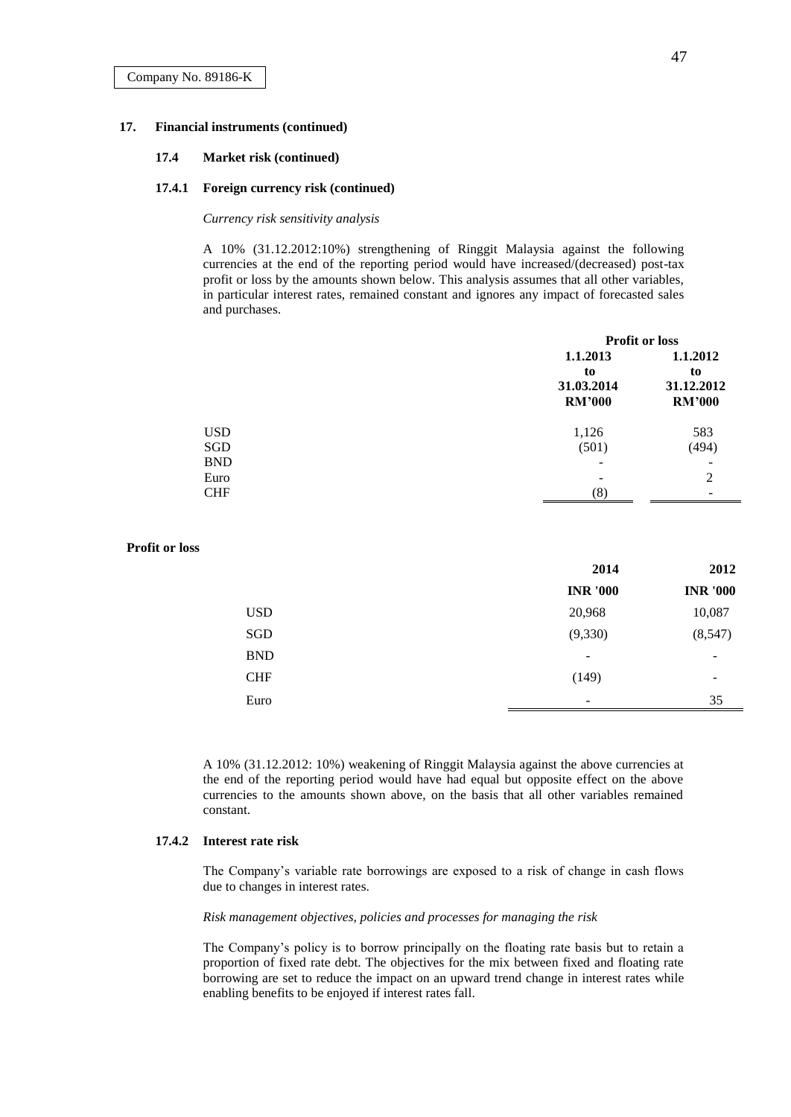#### **17.4 Market risk (continued)**

#### **17.4.1 Foreign currency risk (continued)**

#### *Currency risk sensitivity analysis*

A 10% (31.12.2012:10%) strengthening of Ringgit Malaysia against the following currencies at the end of the reporting period would have increased/(decreased) post-tax profit or loss by the amounts shown below. This analysis assumes that all other variables, in particular interest rates, remained constant and ignores any impact of forecasted sales and purchases.

|            |               | <b>Profit or loss</b> |  |
|------------|---------------|-----------------------|--|
|            | 1.1.2013      | 1.1.2012<br>to        |  |
|            | to            |                       |  |
|            | 31.03.2014    | 31.12.2012            |  |
|            | <b>RM'000</b> | <b>RM'000</b>         |  |
| <b>USD</b> | 1,126         | 583                   |  |
| SGD        | (501)         | (494)                 |  |
| <b>BND</b> |               |                       |  |
| Euro       | -             | $\overline{2}$        |  |
| <b>CHF</b> | (8)           |                       |  |

## **Profit or loss**

|            | 2014            | 2012            |
|------------|-----------------|-----------------|
|            | <b>INR '000</b> | <b>INR '000</b> |
| <b>USD</b> | 20,968          | 10,087          |
| SGD        | (9,330)         | (8,547)         |
| <b>BND</b> | -               | -               |
| <b>CHF</b> | (149)           | -               |
| Euro       | -               | 35              |

A 10% (31.12.2012: 10%) weakening of Ringgit Malaysia against the above currencies at the end of the reporting period would have had equal but opposite effect on the above currencies to the amounts shown above, on the basis that all other variables remained constant.

#### **17.4.2 Interest rate risk**

The Company's variable rate borrowings are exposed to a risk of change in cash flows due to changes in interest rates.

*Risk management objectives, policies and processes for managing the risk*

The Company's policy is to borrow principally on the floating rate basis but to retain a proportion of fixed rate debt. The objectives for the mix between fixed and floating rate borrowing are set to reduce the impact on an upward trend change in interest rates while enabling benefits to be enjoyed if interest rates fall.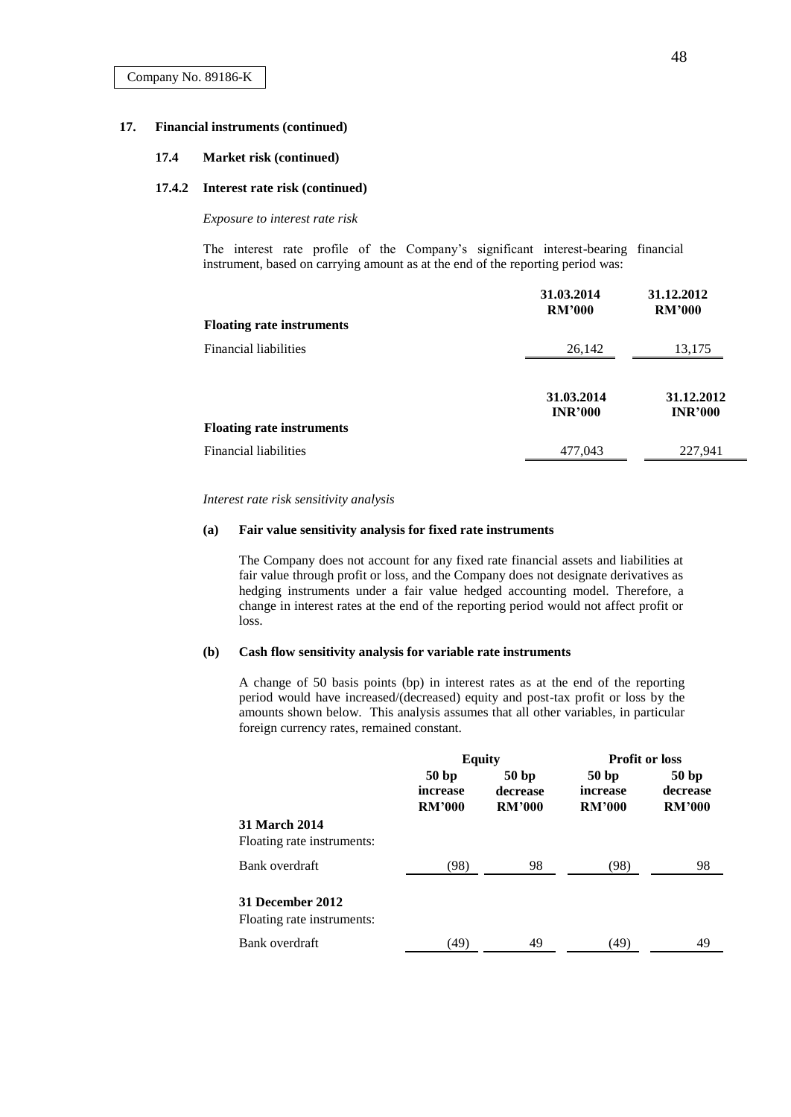#### **17.4 Market risk (continued)**

#### **17.4.2 Interest rate risk (continued)**

*Exposure to interest rate risk*

The interest rate profile of the Company's significant interest-bearing financial instrument, based on carrying amount as at the end of the reporting period was:

| <b>Floating rate instruments</b> | 31.03.2014<br><b>RM'000</b>  | 31.12.2012<br><b>RM'000</b>  |
|----------------------------------|------------------------------|------------------------------|
| <b>Financial liabilities</b>     | 26,142                       | 13,175                       |
| <b>Floating rate instruments</b> | 31.03.2014<br><b>INR'000</b> | 31.12.2012<br><b>INR'000</b> |
| <b>Financial liabilities</b>     | 477,043                      | 227,941                      |

*Interest rate risk sensitivity analysis*

#### **(a) Fair value sensitivity analysis for fixed rate instruments**

The Company does not account for any fixed rate financial assets and liabilities at fair value through profit or loss, and the Company does not designate derivatives as hedging instruments under a fair value hedged accounting model. Therefore, a change in interest rates at the end of the reporting period would not affect profit or loss.

# **(b) Cash flow sensitivity analysis for variable rate instruments**

A change of 50 basis points (bp) in interest rates as at the end of the reporting period would have increased/(decreased) equity and post-tax profit or loss by the amounts shown below. This analysis assumes that all other variables, in particular foreign currency rates, remained constant.

|                                                       | <b>Equity</b>                      |                                    | <b>Profit or loss</b>             |                                   |
|-------------------------------------------------------|------------------------------------|------------------------------------|-----------------------------------|-----------------------------------|
|                                                       | 50 bp<br>increase<br><b>RM'000</b> | 50 bp<br>decrease<br><b>RM'000</b> | 50bp<br>increase<br><b>RM'000</b> | 50bp<br>decrease<br><b>RM'000</b> |
| 31 March 2014<br>Floating rate instruments:           |                                    |                                    |                                   |                                   |
| Bank overdraft                                        | (98)                               | 98                                 | (98)                              | 98                                |
| <b>31 December 2012</b><br>Floating rate instruments: |                                    |                                    |                                   |                                   |
| Bank overdraft                                        | (49)                               | 49                                 | (49)                              | 49                                |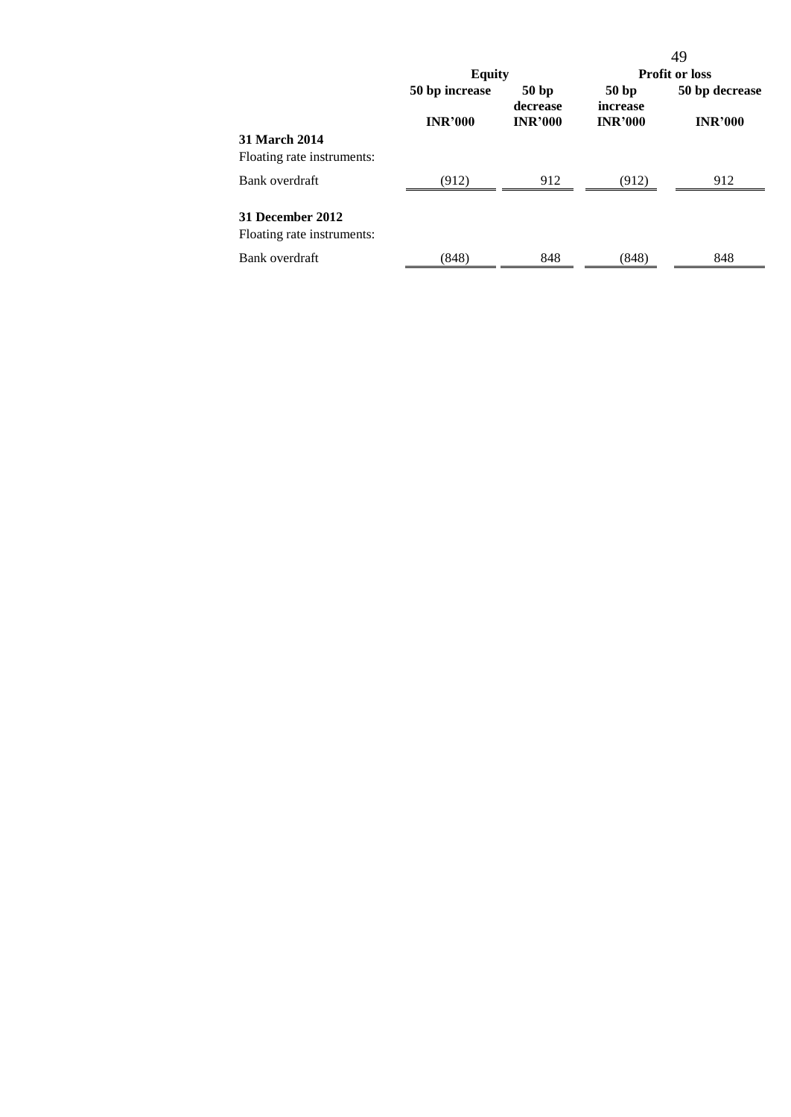|                                                       |                                  |                                    |                                    | 49                               |
|-------------------------------------------------------|----------------------------------|------------------------------------|------------------------------------|----------------------------------|
|                                                       | <b>Equity</b>                    |                                    |                                    | <b>Profit or loss</b>            |
|                                                       | 50 bp increase<br><b>INR'000</b> | 50bp<br>decrease<br><b>INR'000</b> | 50bp<br>increase<br><b>INR'000</b> | 50 bp decrease<br><b>INR'000</b> |
| <b>31 March 2014</b><br>Floating rate instruments:    |                                  |                                    |                                    |                                  |
| Bank overdraft                                        | (912)                            | 912                                | (912)                              | 912                              |
| <b>31 December 2012</b><br>Floating rate instruments: |                                  |                                    |                                    |                                  |
| Bank overdraft                                        | (848)                            | 848                                | (848)                              | 848                              |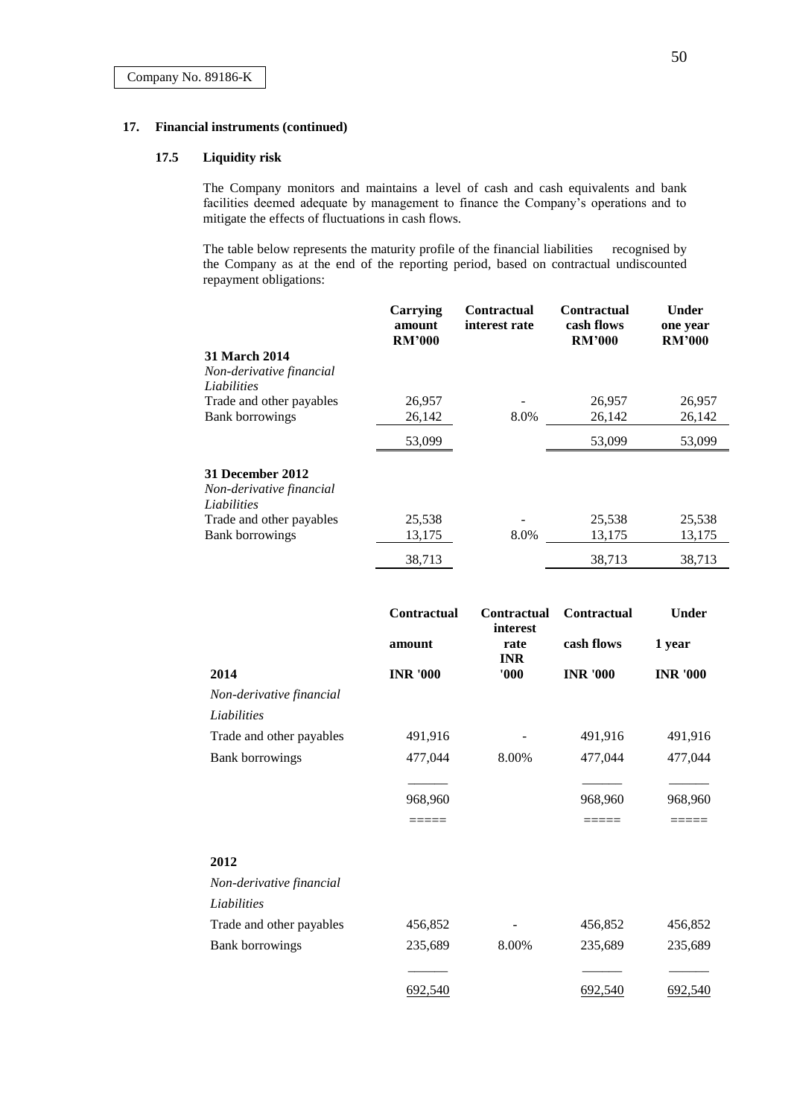# **17.5 Liquidity risk**

The Company monitors and maintains a level of cash and cash equivalents and bank facilities deemed adequate by management to finance the Company's operations and to mitigate the effects of fluctuations in cash flows.

The table below represents the maturity profile of the financial liabilities recognised by the Company as at the end of the reporting period, based on contractual undiscounted repayment obligations:

|                                                             | <b>Carrying</b><br>amount<br><b>RM'000</b> | Contractual<br>interest rate | Contractual<br>cash flows<br><b>RM'000</b> | <b>Under</b><br>one year<br><b>RM'000</b> |
|-------------------------------------------------------------|--------------------------------------------|------------------------------|--------------------------------------------|-------------------------------------------|
| 31 March 2014<br>Non-derivative financial<br>Liabilities    |                                            |                              |                                            |                                           |
| Trade and other payables<br><b>Bank borrowings</b>          | 26,957<br>26,142                           | 8.0%                         | 26,957<br>26,142                           | 26,957<br>26,142                          |
|                                                             | 53,099                                     |                              | 53,099                                     | 53,099                                    |
| 31 December 2012<br>Non-derivative financial<br>Liabilities |                                            |                              |                                            |                                           |
| Trade and other payables<br><b>Bank borrowings</b>          | 25,538<br>13,175                           | 8.0%                         | 25,538<br>13,175                           | 25,538<br>13,175                          |
|                                                             | 38,713                                     |                              | 38,713                                     | 38,713                                    |
|                                                             |                                            |                              |                                            |                                           |
|                                                             | Contractual                                | Contractual<br>interest      | Contractual                                | <b>Under</b>                              |
|                                                             | amount                                     | rate<br><b>INR</b>           | cash flows                                 | 1 year                                    |
| 2014                                                        | <b>INR '000</b>                            | '000                         | <b>INR '000</b>                            | <b>INR '000</b>                           |
| Non-derivative financial<br>Liabilities                     |                                            |                              |                                            |                                           |
| Trade and other payables                                    | 491,916                                    |                              | 491,916                                    | 491,916                                   |
| <b>Bank borrowings</b>                                      | 477,044                                    | 8.00%                        | 477,044                                    | 477,044                                   |
|                                                             | 968,960                                    |                              | 968,960                                    | 968,960                                   |
|                                                             | $=====$                                    |                              | $=====$                                    | =====                                     |
| 2012                                                        |                                            |                              |                                            |                                           |
| Non-derivative financial                                    |                                            |                              |                                            |                                           |
| Liabilities                                                 |                                            |                              |                                            |                                           |
| Trade and other payables                                    | 456,852                                    |                              | 456,852                                    | 456,852                                   |
| <b>Bank borrowings</b>                                      | 235,689                                    | 8.00%                        | 235,689                                    | 235,689                                   |
|                                                             | 692,540                                    |                              | 692,540                                    | 692,540                                   |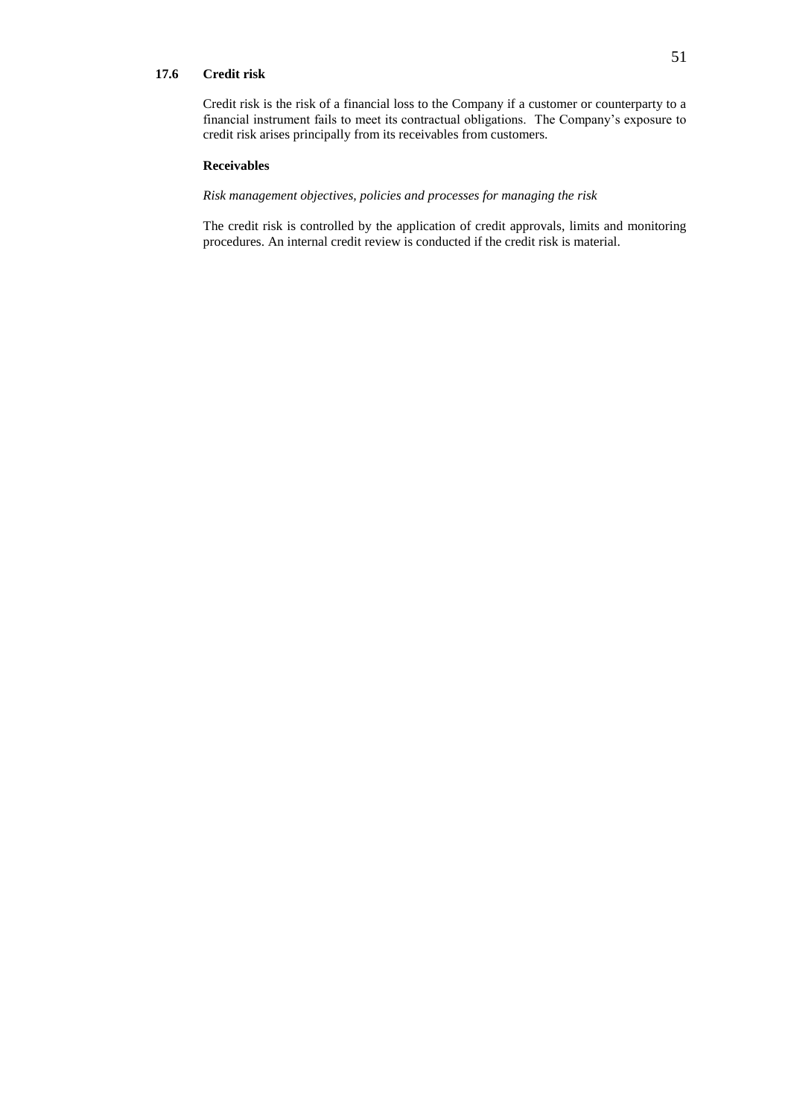# **17.6 Credit risk**

Credit risk is the risk of a financial loss to the Company if a customer or counterparty to a financial instrument fails to meet its contractual obligations. The Company's exposure to credit risk arises principally from its receivables from customers.

# **Receivables**

*Risk management objectives, policies and processes for managing the risk*

The credit risk is controlled by the application of credit approvals, limits and monitoring procedures. An internal credit review is conducted if the credit risk is material.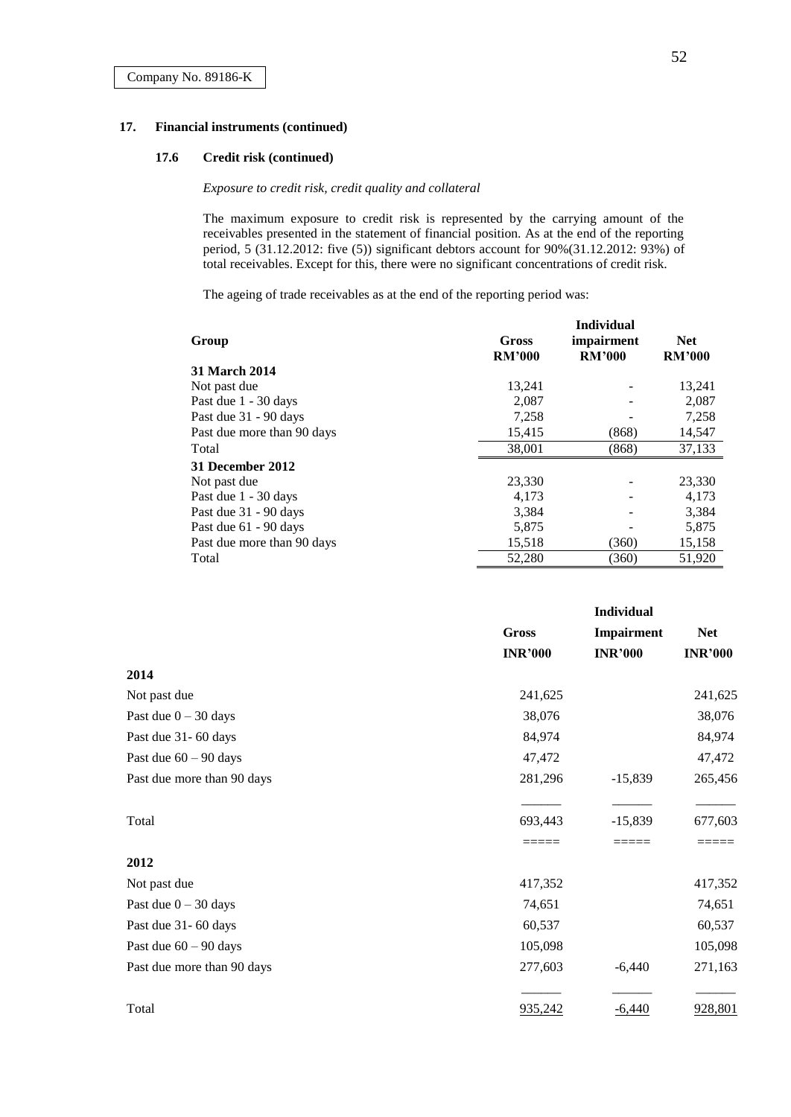# **17.6 Credit risk (continued)**

# *Exposure to credit risk, credit quality and collateral*

The maximum exposure to credit risk is represented by the carrying amount of the receivables presented in the statement of financial position. As at the end of the reporting period, 5 (31.12.2012: five (5)) significant debtors account for 90%(31.12.2012: 93%) of total receivables. Except for this, there were no significant concentrations of credit risk.

The ageing of trade receivables as at the end of the reporting period was:

|                            |               | <b>Individual</b> |               |
|----------------------------|---------------|-------------------|---------------|
| Group                      | Gross         | impairment        | <b>Net</b>    |
|                            | <b>RM'000</b> | <b>RM'000</b>     | <b>RM'000</b> |
| <b>31 March 2014</b>       |               |                   |               |
| Not past due               | 13,241        |                   | 13,241        |
| Past due 1 - 30 days       | 2,087         |                   | 2,087         |
| Past due 31 - 90 days      | 7,258         |                   | 7,258         |
| Past due more than 90 days | 15,415        | (868)             | 14,547        |
| Total                      | 38,001        | (868)             | 37,133        |
| 31 December 2012           |               |                   |               |
| Not past due               | 23,330        |                   | 23,330        |
| Past due 1 - 30 days       | 4,173         |                   | 4,173         |
| Past due 31 - 90 days      | 3,384         |                   | 3,384         |
| Past due 61 - 90 days      | 5,875         |                   | 5,875         |
| Past due more than 90 days | 15,518        | (360)             | 15,158        |
| Total                      | 52,280        | (360)             | 51,920        |
|                            |               |                   |               |

|                | Individual     |                |
|----------------|----------------|----------------|
| <b>Gross</b>   | Impairment     | <b>Net</b>     |
| <b>INR'000</b> | <b>INR'000</b> | <b>INR'000</b> |
|                |                |                |
| 241,625        |                | 241,625        |
| 38,076         |                | 38,076         |
| 84,974         |                | 84,974         |
| 47,472         |                | 47,472         |
| 281,296        | $-15,839$      | 265,456        |
| 693,443        | $-15,839$      | 677,603        |
|                |                |                |
|                |                |                |
| 417,352        |                | 417,352        |
| 74,651         |                | 74,651         |
| 60,537         |                | 60,537         |
| 105,098        |                | 105,098        |
| 277,603        | $-6,440$       | 271,163        |
|                |                | 928,801        |
|                | 935,242        | $-6,440$       |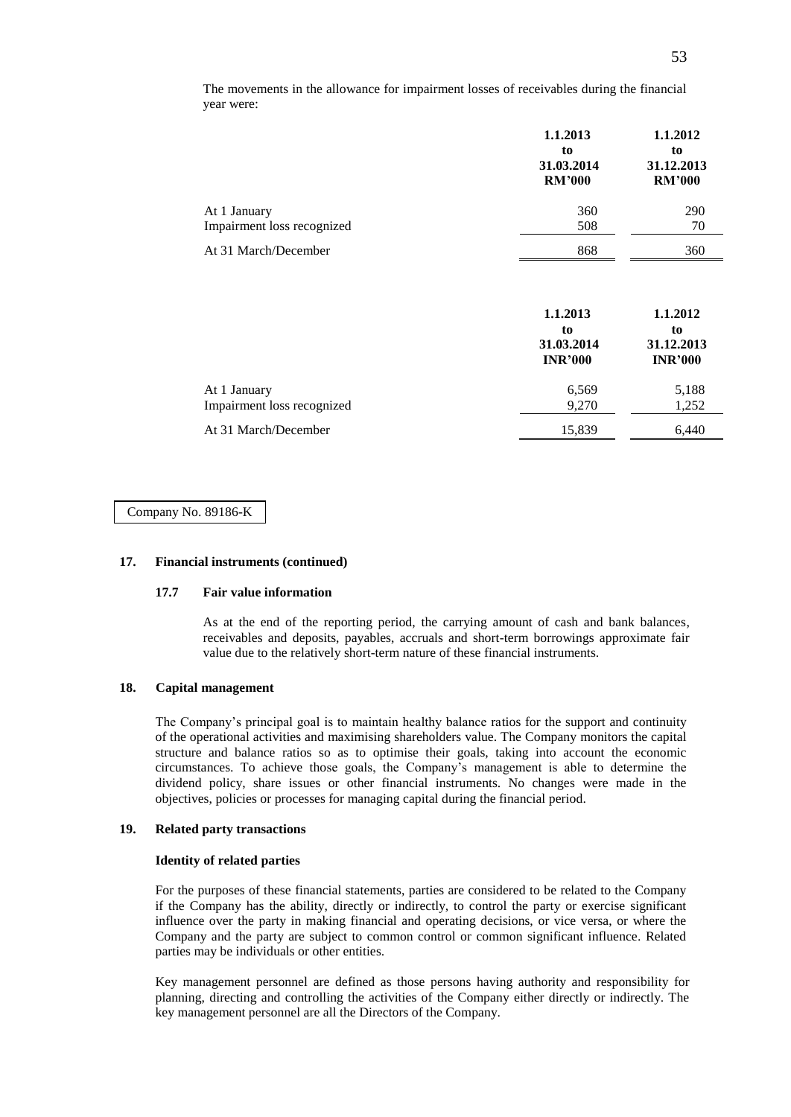The movements in the allowance for impairment losses of receivables during the financial year were:

|                                            | 1.1.2013<br>to<br>31.03.2014<br><b>RM'000</b>  | 1.1.2012<br>to<br>31.12.2013<br><b>RM'000</b>  |
|--------------------------------------------|------------------------------------------------|------------------------------------------------|
| At 1 January<br>Impairment loss recognized | 360<br>508                                     | 290<br>70                                      |
| At 31 March/December                       | 868                                            | 360                                            |
|                                            | 1.1.2013<br>to<br>31.03.2014<br><b>INR'000</b> | 1.1.2012<br>to<br>31.12.2013<br><b>INR'000</b> |
| At 1 January<br>Impairment loss recognized | 6,569<br>9,270                                 | 5,188<br>1,252                                 |

At 31 March/December 15,839 6,440

Company No. 89186-K

#### **17. Financial instruments (continued)**

## **17.7 Fair value information**

As at the end of the reporting period, the carrying amount of cash and bank balances, receivables and deposits, payables, accruals and short-term borrowings approximate fair value due to the relatively short-term nature of these financial instruments.

## **18. Capital management**

The Company's principal goal is to maintain healthy balance ratios for the support and continuity of the operational activities and maximising shareholders value. The Company monitors the capital structure and balance ratios so as to optimise their goals, taking into account the economic circumstances. To achieve those goals, the Company's management is able to determine the dividend policy, share issues or other financial instruments. No changes were made in the objectives, policies or processes for managing capital during the financial period.

## **19. Related party transactions**

#### **Identity of related parties**

For the purposes of these financial statements, parties are considered to be related to the Company if the Company has the ability, directly or indirectly, to control the party or exercise significant influence over the party in making financial and operating decisions, or vice versa, or where the Company and the party are subject to common control or common significant influence. Related parties may be individuals or other entities.

Key management personnel are defined as those persons having authority and responsibility for planning, directing and controlling the activities of the Company either directly or indirectly. The key management personnel are all the Directors of the Company.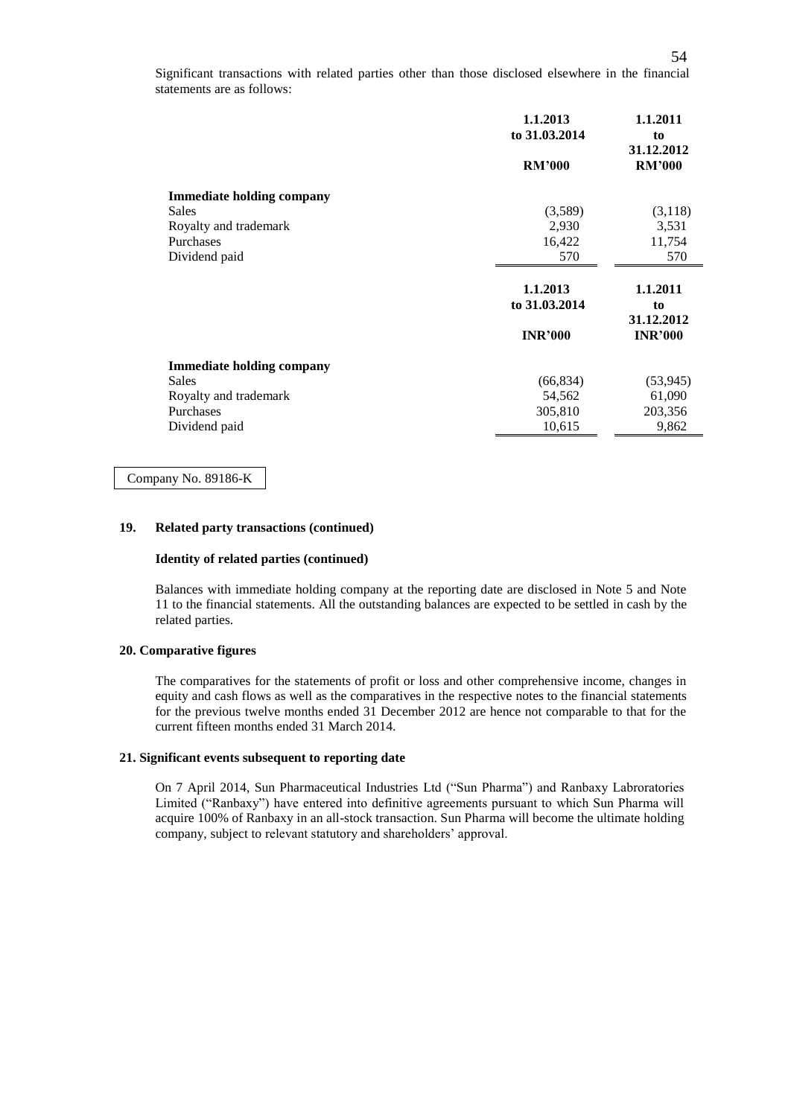Significant transactions with related parties other than those disclosed elsewhere in the financial statements are as follows:

|                                  | 1.1.2013<br>to 31.03.2014 | 1.1.2011<br>to<br>31.12.2012 |
|----------------------------------|---------------------------|------------------------------|
|                                  | <b>RM'000</b>             | <b>RM'000</b>                |
| <b>Immediate holding company</b> |                           |                              |
| <b>Sales</b>                     | (3,589)                   | (3,118)                      |
| Royalty and trademark            | 2,930                     | 3,531                        |
| Purchases                        | 16,422                    | 11,754                       |
| Dividend paid                    | 570                       | 570                          |
|                                  | 1.1.2013<br>to 31.03.2014 | 1.1.2011<br>to               |
|                                  |                           |                              |
|                                  | <b>INR'000</b>            | 31.12.2012<br><b>INR'000</b> |
| <b>Immediate holding company</b> |                           |                              |
| Sales                            | (66, 834)                 | (53, 945)                    |
| Royalty and trademark            | 54,562                    | 61,090                       |
| Purchases                        | 305,810                   | 203,356                      |
| Dividend paid                    | 10,615                    | 9,862                        |

Company No. 89186-K

## **19. Related party transactions (continued)**

#### **Identity of related parties (continued)**

Balances with immediate holding company at the reporting date are disclosed in Note 5 and Note 11 to the financial statements. All the outstanding balances are expected to be settled in cash by the related parties.

## **20. Comparative figures**

The comparatives for the statements of profit or loss and other comprehensive income, changes in equity and cash flows as well as the comparatives in the respective notes to the financial statements for the previous twelve months ended 31 December 2012 are hence not comparable to that for the current fifteen months ended 31 March 2014.

## **21. Significant events subsequent to reporting date**

On 7 April 2014, Sun Pharmaceutical Industries Ltd ("Sun Pharma") and Ranbaxy Labroratories Limited ("Ranbaxy") have entered into definitive agreements pursuant to which Sun Pharma will acquire 100% of Ranbaxy in an all-stock transaction. Sun Pharma will become the ultimate holding company, subject to relevant statutory and shareholders' approval.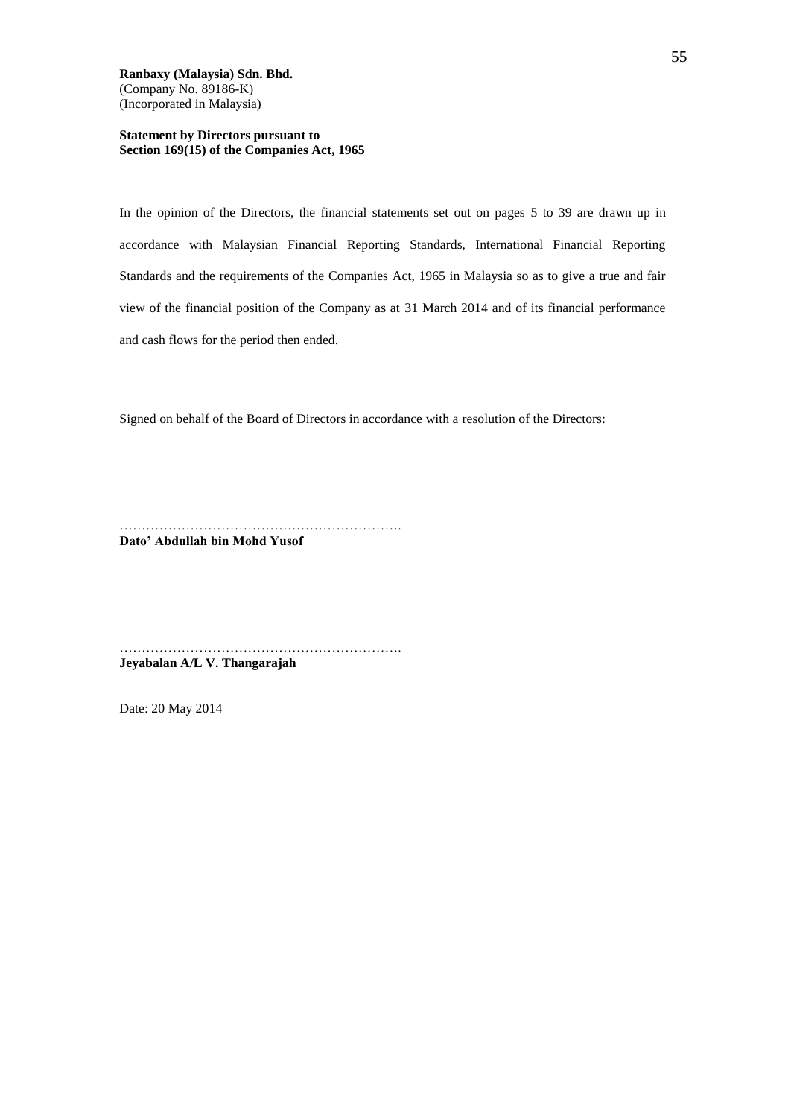**Ranbaxy (Malaysia) Sdn. Bhd.** (Company No. 89186-K) (Incorporated in Malaysia)

**Statement by Directors pursuant to Section 169(15) of the Companies Act, 1965**

In the opinion of the Directors, the financial statements set out on pages 5 to 39 are drawn up in accordance with Malaysian Financial Reporting Standards, International Financial Reporting Standards and the requirements of the Companies Act, 1965 in Malaysia so as to give a true and fair view of the financial position of the Company as at 31 March 2014 and of its financial performance and cash flows for the period then ended.

Signed on behalf of the Board of Directors in accordance with a resolution of the Directors:

………………………………………………………. **Dato' Abdullah bin Mohd Yusof**

………………………………………………………. **Jeyabalan A/L V. Thangarajah**

Date: 20 May 2014